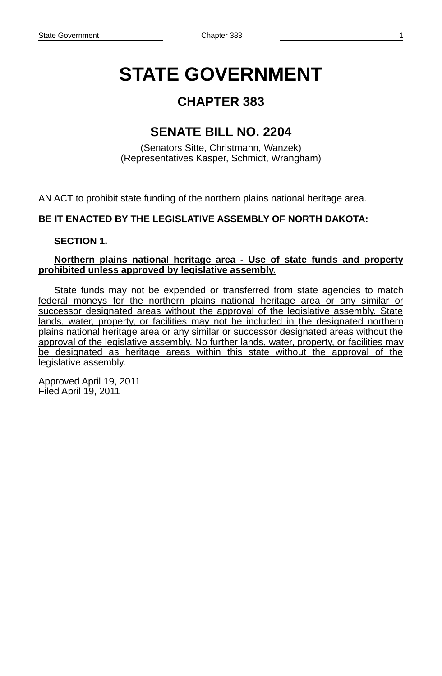# **STATE GOVERNMENT**

### **CHAPTER 383**

### **SENATE BILL NO. 2204**

(Senators Sitte, Christmann, Wanzek) (Representatives Kasper, Schmidt, Wrangham)

AN ACT to prohibit state funding of the northern plains national heritage area.

#### **BE IT ENACTED BY THE LEGISLATIVE ASSEMBLY OF NORTH DAKOTA:**

#### **SECTION 1.**

#### **Northern plains national heritage area - Use of state funds and property prohibited unless approved by legislative assembly.**

State funds may not be expended or transferred from state agencies to match federal moneys for the northern plains national heritage area or any similar or successor designated areas without the approval of the legislative assembly. State lands, water, property, or facilities may not be included in the designated northern plains national heritage area or any similar or successor designated areas without the approval of the legislative assembly. No further lands, water, property, or facilities may be designated as heritage areas within this state without the approval of the legislative assembly.

Approved April 19, 2011 Filed April 19, 2011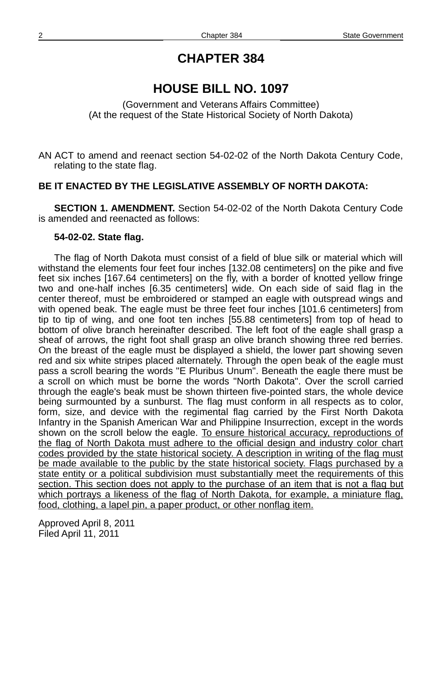### **HOUSE BILL NO. 1097**

(Government and Veterans Affairs Committee) (At the request of the State Historical Society of North Dakota)

AN ACT to amend and reenact section 54-02-02 of the North Dakota Century Code, relating to the state flag.

#### **BE IT ENACTED BY THE LEGISLATIVE ASSEMBLY OF NORTH DAKOTA:**

**SECTION 1. AMENDMENT.** Section 54-02-02 of the North Dakota Century Code is amended and reenacted as follows:

#### **54-02-02. State flag.**

The flag of North Dakota must consist of a field of blue silk or material which will withstand the elements four feet four inches [132.08 centimeters] on the pike and five feet six inches [167.64 centimeters] on the fly, with a border of knotted yellow fringe two and one-half inches [6.35 centimeters] wide. On each side of said flag in the center thereof, must be embroidered or stamped an eagle with outspread wings and with opened beak. The eagle must be three feet four inches [101.6 centimeters] from tip to tip of wing, and one foot ten inches [55.88 centimeters] from top of head to bottom of olive branch hereinafter described. The left foot of the eagle shall grasp a sheaf of arrows, the right foot shall grasp an olive branch showing three red berries. On the breast of the eagle must be displayed a shield, the lower part showing seven red and six white stripes placed alternately. Through the open beak of the eagle must pass a scroll bearing the words "E Pluribus Unum". Beneath the eagle there must be a scroll on which must be borne the words "North Dakota". Over the scroll carried through the eagle's beak must be shown thirteen five-pointed stars, the whole device being surmounted by a sunburst. The flag must conform in all respects as to color, form, size, and device with the regimental flag carried by the First North Dakota Infantry in the Spanish American War and Philippine Insurrection, except in the words shown on the scroll below the eagle. To ensure historical accuracy, reproductions of the flag of North Dakota must adhere to the official design and industry color chart codes provided by the state historical society . A description in writing of the flag must be made available to the public by the state historical society. Flags purchased by a state entity or a political subdivision must substantially meet the requirements of this section. This section does not apply to the purchase of an item that is not a flag but which portrays a likeness of the flag of North Dakota, for example, a miniature flag, food, clothing, a lapel pin, a paper product, or other nonflag item.

Approved April 8, 2011 Filed April 11, 2011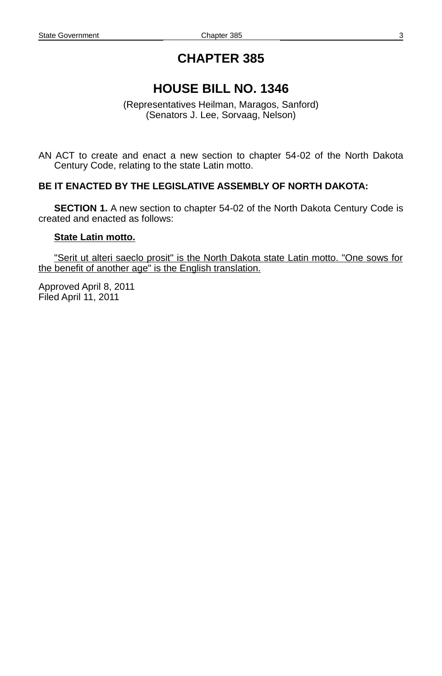# **HOUSE BILL NO. 1346**

(Representatives Heilman, Maragos, Sanford) (Senators J. Lee, Sorvaag, Nelson)

AN ACT to create and enact a new section to chapter 54-02 of the North Dakota Century Code, relating to the state Latin motto.

#### **BE IT ENACTED BY THE LEGISLATIVE ASSEMBLY OF NORTH DAKOTA:**

**SECTION 1.** A new section to chapter 54-02 of the North Dakota Century Code is created and enacted as follows:

#### **State Latin motto.**

"Serit ut alteri saeclo prosit" is the North Dakota state Latin motto. "One sows for the benefit of another age" is the English translation.

Approved April 8, 2011 Filed April 11, 2011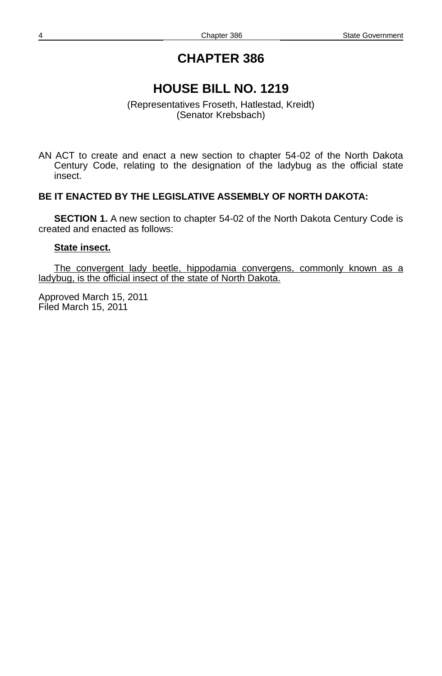# **HOUSE BILL NO. 1219**

(Representatives Froseth, Hatlestad, Kreidt) (Senator Krebsbach)

AN ACT to create and enact a new section to chapter 54-02 of the North Dakota Century Code, relating to the designation of the ladybug as the official state insect.

#### **BE IT ENACTED BY THE LEGISLATIVE ASSEMBLY OF NORTH DAKOTA:**

**SECTION 1.** A new section to chapter 54-02 of the North Dakota Century Code is created and enacted as follows:

#### **State insect.**

The convergent lady beetle, hippodamia convergens, commonly known as a ladybug, is the official insect of the state of North Dakota.

Approved March 15, 2011 Filed March 15, 2011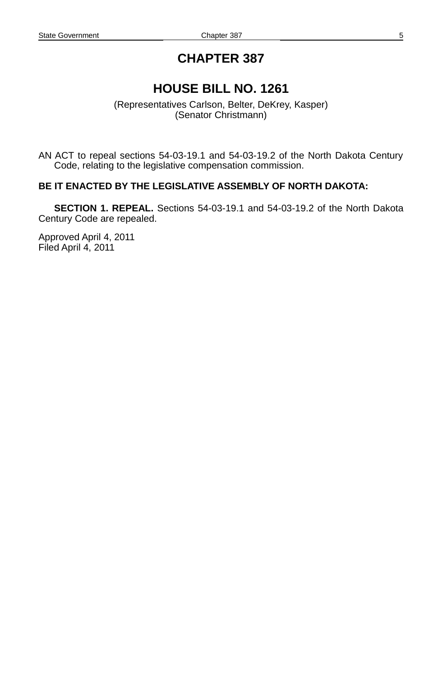### **HOUSE BILL NO. 1261**

(Representatives Carlson, Belter, DeKrey, Kasper) (Senator Christmann)

AN ACT to repeal sections 54-03-19.1 and 54-03-19.2 of the North Dakota Century Code, relating to the legislative compensation commission.

#### **BE IT ENACTED BY THE LEGISLATIVE ASSEMBLY OF NORTH DAKOTA:**

**SECTION 1. REPEAL.** Sections 54-03-19.1 and 54-03-19.2 of the North Dakota Century Code are repealed.

Approved April 4, 2011 Filed April 4, 2011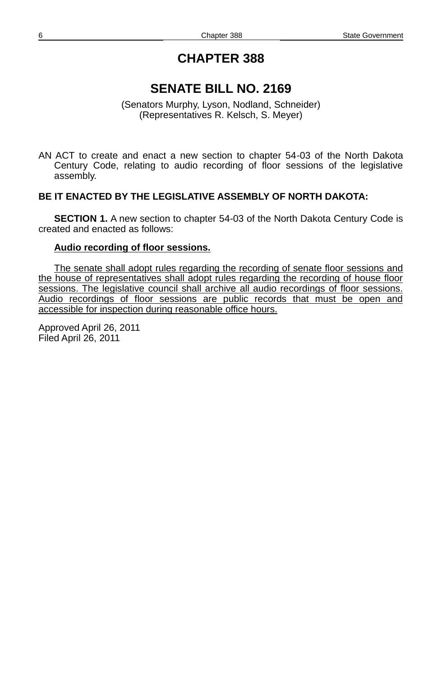### **SENATE BILL NO. 2169**

(Senators Murphy, Lyson, Nodland, Schneider) (Representatives R. Kelsch, S. Meyer)

AN ACT to create and enact a new section to chapter 54-03 of the North Dakota Century Code, relating to audio recording of floor sessions of the legislative assembly.

#### **BE IT ENACTED BY THE LEGISLATIVE ASSEMBLY OF NORTH DAKOTA:**

**SECTION 1.** A new section to chapter 54-03 of the North Dakota Century Code is created and enacted as follows:

#### **Audio recording of floor sessions.**

The senate shall adopt rules regarding the recording of senate floor sessions and the house of representatives shall adopt rules regarding the recording of house floor sessions. The legislative council shall archive all audio recordings of floor sessions. Audio recordings of floor sessions are public records that must be open and accessible for inspection during reasonable office hours.

Approved April 26, 2011 Filed April 26, 2011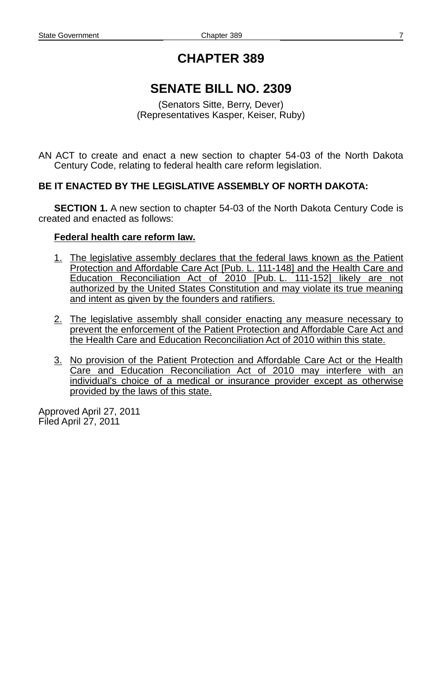# **SENATE BILL NO. 2309**

(Senators Sitte, Berry, Dever) (Representatives Kasper, Keiser, Ruby)

AN ACT to create and enact a new section to chapter 54-03 of the North Dakota Century Code, relating to federal health care reform legislation.

#### **BE IT ENACTED BY THE LEGISLATIVE ASSEMBLY OF NORTH DAKOTA:**

**SECTION 1.** A new section to chapter 54-03 of the North Dakota Century Code is created and enacted as follows:

#### **Federal health care reform law.**

- 1. The legislative assembly declares that the federal laws known as the Patient Protection and Affordable Care Act [Pub. L. 111 - 148] and the Health Care and Education Reconciliation Act of 2010 [Pub. L. 111-152] likely are not authorized by the United States Constitution and may violate its true meaning and intent as given by the founders and ratifiers.
- 2. The legislative assembly shall consider enacting any measure necessary to prevent the enforcement of the Patient Protection and Affordable Care Act and the Health Care and Education Reconciliation Act of 2010 within this state.
- 3. No provision of the Patient Protection and Affordable Care Act or the Health Care and Education Reconciliation Act of 2010 may interfere with an individual's choice of a medical or insurance provider except as otherwise provided by the laws of this state.

Approved April 27, 2011 Filed April 27, 2011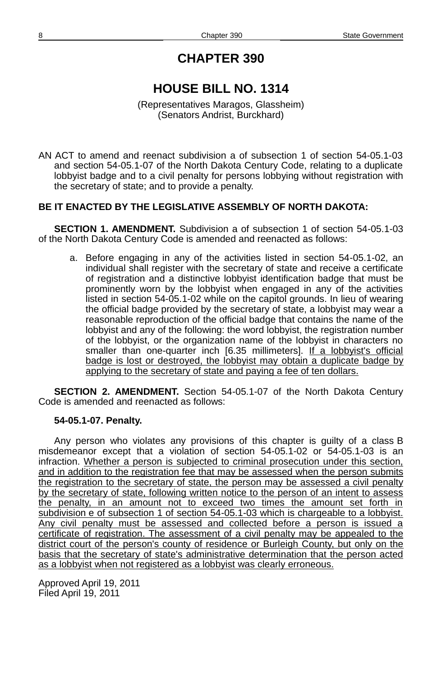# **HOUSE BILL NO. 1314**

(Representatives Maragos, Glassheim) (Senators Andrist, Burckhard)

AN ACT to amend and reenact subdivision a of subsection 1 of section 54-05.1-03 and section 54-05.1-07 of the North Dakota Century Code, relating to a duplicate lobbyist badge and to a civil penalty for persons lobbying without registration with the secretary of state; and to provide a penalty.

### **BE IT ENACTED BY THE LEGISLATIVE ASSEMBLY OF NORTH DAKOTA:**

**SECTION 1. AMENDMENT.** Subdivision a of subsection 1 of section 54-05.1-03 of the North Dakota Century Code is amended and reenacted as follows:

a. Before engaging in any of the activities listed in section 54-05.1-02, an individual shall register with the secretary of state and receive a certificate of registration and a distinctive lobbyist identification badge that must be prominently worn by the lobbyist when engaged in any of the activities listed in section 54-05.1-02 while on the capitol grounds. In lieu of wearing the official badge provided by the secretary of state, a lobbyist may wear a reasonable reproduction of the official badge that contains the name of the lobbyist and any of the following: the word lobbyist, the registration number of the lobbyist, or the organization name of the lobbyist in characters no smaller than one-quarter inch [6.35 millimeters]. If a lobbyist's official badge is lost or destroyed, the lobbyist may obtain a duplicate badge by applying to the secretary of state and paying a fee of ten dollars.

**SECTION 2. AMENDMENT.** Section 54-05.1-07 of the North Dakota Century Code is amended and reenacted as follows:

#### **54-05.1-07. Penalty.**

Any person who violates any provisions of this chapter is guilty of a class B misdemeanor except that a violation of section 54-05.1-02 or 54-05.1-03 is an infraction. Whether a person is subjected to criminal prosecution under this section, and in addition to the registration fee that may be assessed when the person submits the registration to the secretary of state, the person may be assessed a civil penalty by the secretary of state, following written notice to the person of an intent to assess the penalty, in an amount not to exceed two times the amount set forth in subdivision e of subsection 1 of section 54-05.1-03 which is chargeable to a lobbyist. Any civil penalty must be assessed and collected before a person is issued a certificate of registration. The assessment of a civil penalty may be appealed to the district court of the person's county of residence or Burleigh County, but only on the basis that the secretary of state's administrative determination that the person acted as a lobbyist when not registered as a lobbyist was clearly erroneous.

Approved April 19, 2011 Filed April 19, 2011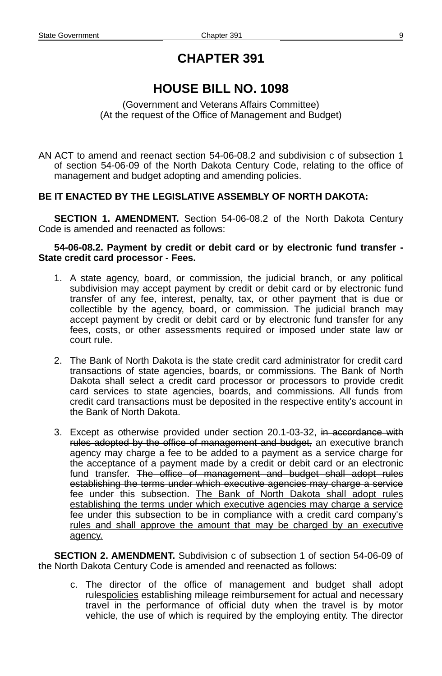# **HOUSE BILL NO. 1098**

(Government and Veterans Affairs Committee) (At the request of the Office of Management and Budget)

AN ACT to amend and reenact section 54-06-08.2 and subdivision c of subsection 1 of section 54-06-09 of the North Dakota Century Code, relating to the office of management and budget adopting and amending policies.

#### **BE IT ENACTED BY THE LEGISLATIVE ASSEMBLY OF NORTH DAKOTA:**

**SECTION 1. AMENDMENT.** Section 54-06-08.2 of the North Dakota Century Code is amended and reenacted as follows:

#### **54-06-08.2. Payment by credit or debit card or by electronic fund transfer - State credit card processor - Fees.**

- 1. A state agency, board, or commission, the judicial branch, or any political subdivision may accept payment by credit or debit card or by electronic fund transfer of any fee, interest, penalty, tax, or other payment that is due or collectible by the agency, board, or commission. The judicial branch may accept payment by credit or debit card or by electronic fund transfer for any fees, costs, or other assessments required or imposed under state law or court rule.
- 2. The Bank of North Dakota is the state credit card administrator for credit card transactions of state agencies, boards, or commissions. The Bank of North Dakota shall select a credit card processor or processors to provide credit card services to state agencies, boards, and commissions. All funds from credit card transactions must be deposited in the respective entity's account in the Bank of North Dakota.
- 3. Except as otherwise provided under section 20.1-03-32, in accordance with rules adopted by the office of management and budget, an executive branch agency may charge a fee to be added to a payment as a service charge for the acceptance of a payment made by a credit or debit card or an electronic fund transfer. The office of management and budget shall adopt rules establishing the terms under which executive agencies may charge a service fee under this subsection. The Bank of North Dakota shall adopt rules establishing the terms under which executive agencies may charge a service fee under this subsection to be in compliance with a credit card company's rules and shall approve the amount that may be charged by an executive agency.

**SECTION 2. AMENDMENT.** Subdivision c of subsection 1 of section 54-06-09 of the North Dakota Century Code is amended and reenacted as follows:

c. The director of the office of management and budget shall adopt rulespolicies establishing mileage reimbursement for actual and necessary travel in the performance of official duty when the travel is by motor vehicle, the use of which is required by the employing entity. The director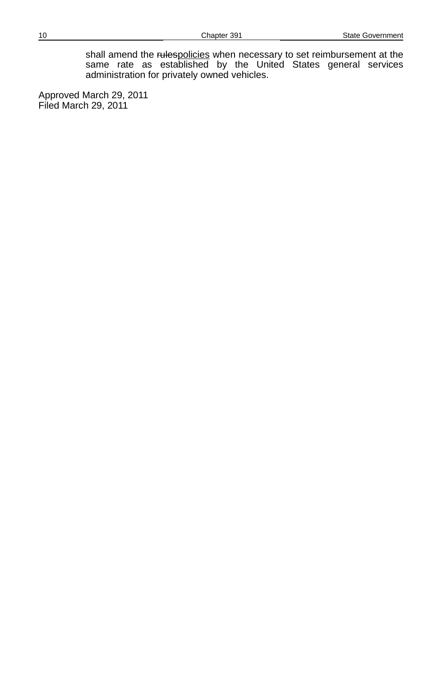shall amend the rulespolicies when necessary to set reimbursement at the same rate as established by the United States general services administration for privately owned vehicles.

Approved March 29, 2011 Filed March 29, 2011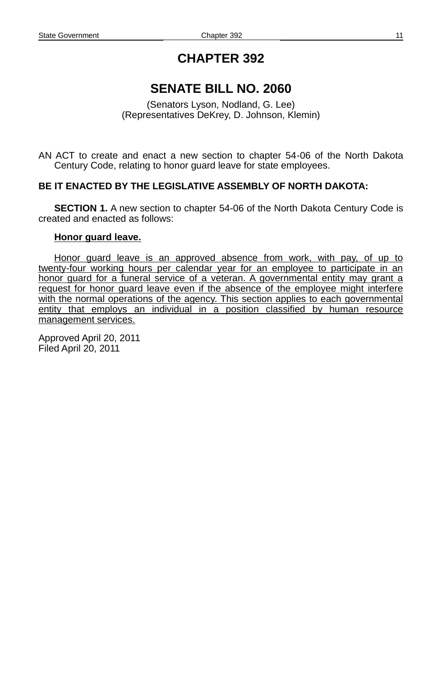# **SENATE BILL NO. 2060**

(Senators Lyson, Nodland, G. Lee) (Representatives DeKrey, D. Johnson, Klemin)

AN ACT to create and enact a new section to chapter 54-06 of the North Dakota Century Code, relating to honor guard leave for state employees.

### **BE IT ENACTED BY THE LEGISLATIVE ASSEMBLY OF NORTH DAKOTA:**

**SECTION 1.** A new section to chapter 54-06 of the North Dakota Century Code is created and enacted as follows:

#### **Honor guard leave.**

 Honor guard leave is an approved absence from work, with pay, of up to twenty -four working hours per calendar year for an employee to participate in an honor guard for a funeral service of a veteran. A governmental entity may grant a request for honor guard leave even if the absence of the employee might interfere with the normal operations of the agency. This section applies to each governmental entity that employs an individual in a position classified by human resource management services.

Approved April 20, 2011 Filed April 20, 2011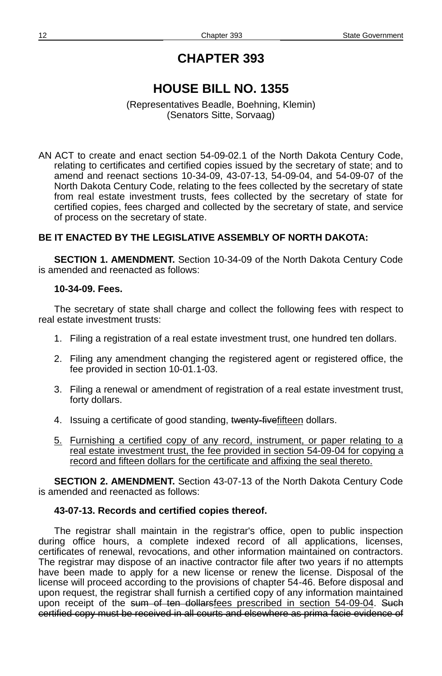# **HOUSE BILL NO. 1355**

#### (Representatives Beadle, Boehning, Klemin) (Senators Sitte, Sorvaag)

AN ACT to create and enact section 54-09-02.1 of the North Dakota Century Code, relating to certificates and certified copies issued by the secretary of state; and to amend and reenact sections 10-34-09, 43-07-13, 54-09-04, and 54-09-07 of the North Dakota Century Code, relating to the fees collected by the secretary of state from real estate investment trusts, fees collected by the secretary of state for certified copies, fees charged and collected by the secretary of state, and service of process on the secretary of state.

### **BE IT ENACTED BY THE LEGISLATIVE ASSEMBLY OF NORTH DAKOTA:**

**SECTION 1. AMENDMENT.** Section 10-34-09 of the North Dakota Century Code is amended and reenacted as follows:

#### **10-34-09. Fees.**

The secretary of state shall charge and collect the following fees with respect to real estate investment trusts:

- 1. Filing a registration of a real estate investment trust, one hundred ten dollars.
- 2. Filing any amendment changing the registered agent or registered office, the fee provided in section 10-01.1-03.
- 3. Filing a renewal or amendment of registration of a real estate investment trust, forty dollars.
- 4. Issuing a certificate of good standing, twenty-fivefifteen dollars.
- 5. Furnishing a certified copy of any record, instrument, or paper relating to a real estate investment trust, the fee provided in section 54-09-04 for copying a record and fifteen dollars for the certificate and affixing the seal thereto.

**SECTION 2. AMENDMENT.** Section 43-07-13 of the North Dakota Century Code is amended and reenacted as follows:

#### **43-07-13. Records and certified copies thereof.**

The registrar shall maintain in the registrar's office, open to public inspection during office hours, a complete indexed record of all applications, licenses, certificates of renewal, revocations, and other information maintained on contractors. The registrar may dispose of an inactive contractor file after two years if no attempts have been made to apply for a new license or renew the license. Disposal of the license will proceed according to the provisions of chapter 54-46. Before disposal and upon request, the registrar shall furnish a certified copy of any information maintained upon receipt of the sum of ten dollars fees prescribed in section 54-09-04. Such certified copy must be received in all courts and elsewhere as prima facie evidence of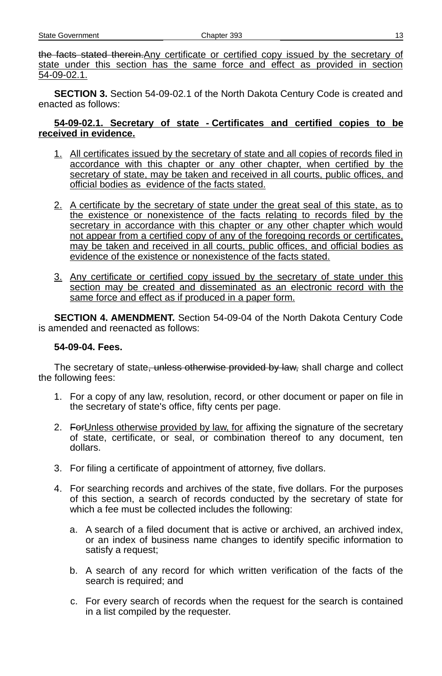| Chapter 393<br>State Government |  |
|---------------------------------|--|
|---------------------------------|--|

the facts stated therein.Any certificate or certified copy issued by the secretary of state under this section has the same force and effect as provided in section 54-09-02.1.

**SECTION 3.** Section 54-09-02.1 of the North Dakota Century Code is created and enacted as follows:

#### **54- 09 - 02.1. Secretary of state - Certificates and certified copies to be received in evidence.**

- 1. All certificates issued by the secretary of state and all copies of records filed in accordance with this chapter or any other chapter, when certified by the secretary of state, may be taken and received in all courts, public offices, and official bodies as evidence of the facts stated.
- 2. A certificate by the secretary of state under the great seal of this state, as to the existence or nonexistence of the facts relating to records filed by the secretary in accordance with this chapter or any other chapter which would not appear from a certified copy of any of the foregoing records or certificates, may be taken and received in all courts, public offices, and official bodies as evidence of the existence or nonexistence of the facts stated.
- 3. Any certificate or certified copy issued by the secretary of state under this section may be created and disseminated as an electronic record with the same force and effect as if produced in a paper form.

**SECTION 4. AMENDMENT.** Section 54-09-04 of the North Dakota Century Code is amended and reenacted as follows:

#### **54-09-04. Fees.**

The secretary of state, unless otherwise provided by law, shall charge and collect the following fees:

- 1. For a copy of any law, resolution, record, or other document or paper on file in the secretary of state's office, fifty cents per page.
- 2. For Unless otherwise provided by law, for affixing the signature of the secretary of state, certificate, or seal, or combination thereof to any document, ten dollars.
- 3. For filing a certificate of appointment of attorney, five dollars.
- 4. For searching records and archives of the state, five dollars. For the purposes of this section, a search of records conducted by the secretary of state for which a fee must be collected includes the following:
	- a. A search of a filed document that is active or archived, an archived index, or an index of business name changes to identify specific information to satisfy a request;
	- b. A search of any record for which written verification of the facts of the search is required; and
	- c. For every search of records when the request for the search is contained in a list compiled by the requester.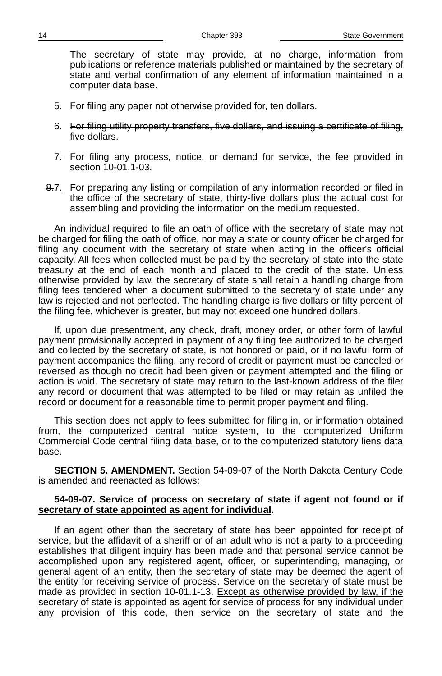The secretary of state may provide, at no charge, information from publications or reference materials published or maintained by the secretary of state and verbal confirmation of any element of information maintained in a computer data base.

- 5. For filing any paper not otherwise provided for, ten dollars.
- 6. For filing utility property transfers, five dollars, and issuing a certificate of filing, five dollars.
- 7. For filing any process, notice, or demand for service, the fee provided in section 10-01.1-03.
- 8.7. For preparing any listing or compilation of any information recorded or filed in the office of the secretary of state, thirty-five dollars plus the actual cost for assembling and providing the information on the medium requested.

An individual required to file an oath of office with the secretary of state may not be charged for filing the oath of office, nor may a state or county officer be charged for filing any document with the secretary of state when acting in the officer's official capacity. All fees when collected must be paid by the secretary of state into the state treasury at the end of each month and placed to the credit of the state. Unless otherwise provided by law, the secretary of state shall retain a handling charge from filing fees tendered when a document submitted to the secretary of state under any law is rejected and not perfected. The handling charge is five dollars or fifty percent of the filing fee, whichever is greater, but may not exceed one hundred dollars.

If, upon due presentment, any check, draft, money order, or other form of lawful payment provisionally accepted in payment of any filing fee authorized to be charged and collected by the secretary of state, is not honored or paid, or if no lawful form of payment accompanies the filing, any record of credit or payment must be canceled or reversed as though no credit had been given or payment attempted and the filing or action is void. The secretary of state may return to the last-known address of the filer any record or document that was attempted to be filed or may retain as unfiled the record or document for a reasonable time to permit proper payment and filing.

This section does not apply to fees submitted for filing in, or information obtained from, the computerized central notice system, to the computerized Uniform Commercial Code central filing data base, or to the computerized statutory liens data base.

**SECTION 5. AMENDMENT.** Section 54-09-07 of the North Dakota Century Code is amended and reenacted as follows:

#### **54-09-07. Service of process on secretary of state if agent not found or if secretary of state appointed as agent for individual.**

If an agent other than the secretary of state has been appointed for receipt of service, but the affidavit of a sheriff or of an adult who is not a party to a proceeding establishes that diligent inquiry has been made and that personal service cannot be accomplished upon any registered agent, officer, or superintending, managing, or general agent of an entity, then the secretary of state may be deemed the agent of the entity for receiving service of process. Service on the secretary of state must be made as provided in section 10-01.1-13. Except as otherwise provided by law, if the secretary of state is appointed as agent for service of process for any individual under any provision of this code, then service on the secretary of state and the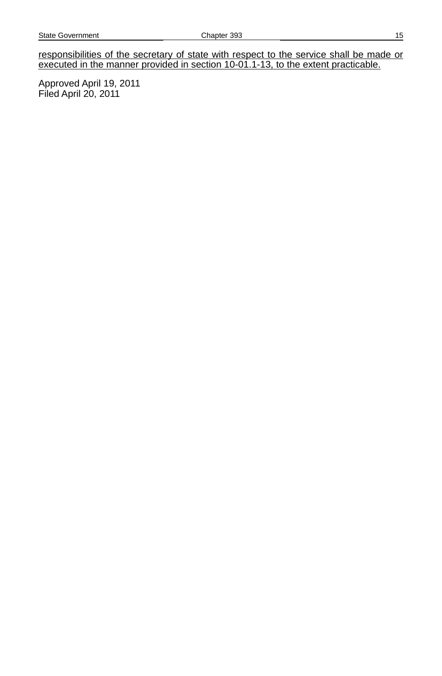responsibilities of the secretary of state with respect to the service shall be made or executed in the manner provided in section 10-01.1-13, to the extent practicable.

Approved April 19, 2011 Filed April 20, 2011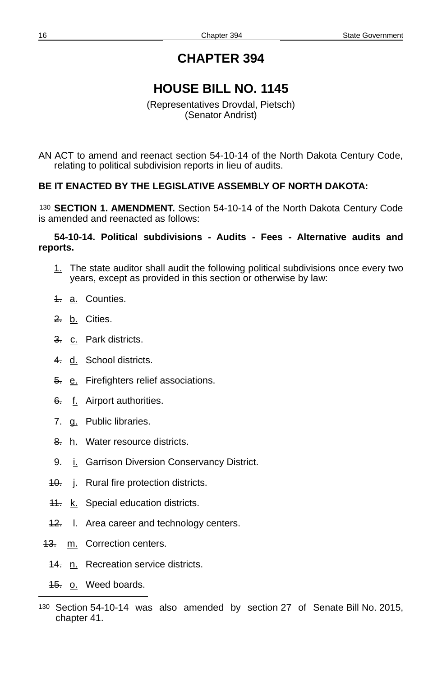# **HOUSE BILL NO. 1145**

(Representatives Drovdal, Pietsch) (Senator Andrist)

AN ACT to amend and reenact section 54-10-14 of the North Dakota Century Code, relating to political subdivision reports in lieu of audits.

### **BE IT ENACTED BY THE LEGISLATIVE ASSEMBLY OF NORTH DAKOTA:**

[130](#page-15-0) **SECTION 1. AMENDMENT.** Section 54-10-14 of the North Dakota Century Code is amended and reenacted as follows:

#### **54-10-14. Political subdivisions - Audits - Fees - Alternative audits and reports.**

- 1. The state auditor shall audit the following political subdivisions once every two years, except as provided in this section or otherwise by law:
- 4. a. Counties.
- 2. b. Cities.
- 3. c. Park districts.
- 4. d. School districts.
- 5. e. Firefighters relief associations.
- 6. f. Airport authorities.
- 7. g. Public libraries.
- 8. h. Water resource districts.
- 9. i. Garrison Diversion Conservancy District.
- 40. j. Rural fire protection districts.
- **11.** k. Special education districts.
- 42. I. Area career and technology centers.
- 43. m. Correction centers.
	- 44. n. Recreation service districts.
	- 45. o. Weed boards.

<span id="page-15-0"></span><sup>130</sup> Section 54-10-14 was also amended by section 27 of Senate Bill No. 2015, chapter 41.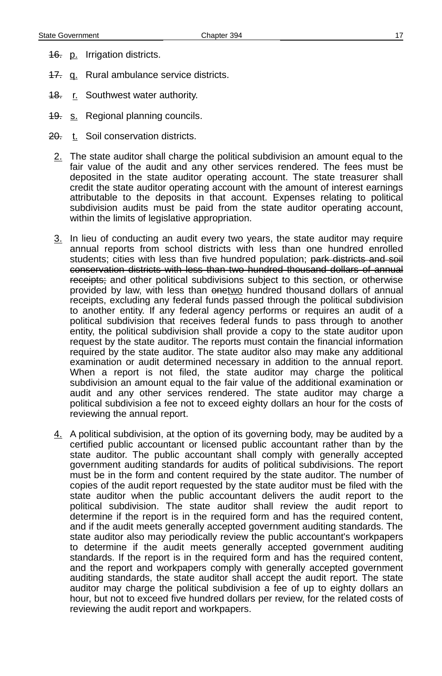- **16.** p. Irrigation districts.
- 47. q. Rural ambulance service districts.
- **18.** r. Southwest water authority.
- **19.** s. Regional planning councils.
- 20. t. Soil conservation districts.
- $2.$  The state auditor shall charge the political subdivision an amount equal to the fair value of the audit and any other services rendered. The fees must be deposited in the state auditor operating account. The state treasurer shall credit the state auditor operating account with the amount of interest earnings attributable to the deposits in that account. Expenses relating to political subdivision audits must be paid from the state auditor operating account, within the limits of legislative appropriation.
- 3. In lieu of conducting an audit every two years, the state auditor may require annual reports from school districts with less than one hundred enrolled students; cities with less than five hundred population; park districts and soil conservation districts with less than two hundred thousand dollars of annual receipts; and other political subdivisions subject to this section, or otherwise provided by law, with less than onetwo hundred thousand dollars of annual receipts, excluding any federal funds passed through the political subdivision to another entity. If any federal agency performs or requires an audit of a political subdivision that receives federal funds to pass through to another entity, the political subdivision shall provide a copy to the state auditor upon request by the state auditor. The reports must contain the financial information required by the state auditor. The state auditor also may make any additional examination or audit determined necessary in addition to the annual report. When a report is not filed, the state auditor may charge the political subdivision an amount equal to the fair value of the additional examination or audit and any other services rendered. The state auditor may charge a political subdivision a fee not to exceed eighty dollars an hour for the costs of reviewing the annual report.
- 4. A political subdivision, at the option of its governing body, may be audited by a certified public accountant or licensed public accountant rather than by the state auditor. The public accountant shall comply with generally accepted government auditing standards for audits of political subdivisions. The report must be in the form and content required by the state auditor. The number of copies of the audit report requested by the state auditor must be filed with the state auditor when the public accountant delivers the audit report to the political subdivision. The state auditor shall review the audit report to determine if the report is in the required form and has the required content, and if the audit meets generally accepted government auditing standards. The state auditor also may periodically review the public accountant's workpapers to determine if the audit meets generally accepted government auditing standards. If the report is in the required form and has the required content, and the report and workpapers comply with generally accepted government auditing standards, the state auditor shall accept the audit report. The state auditor may charge the political subdivision a fee of up to eighty dollars an hour, but not to exceed five hundred dollars per review, for the related costs of reviewing the audit report and workpapers.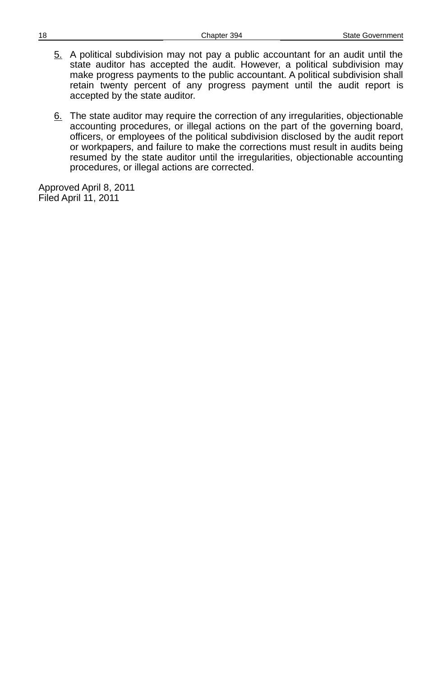- 5. A political subdivision may not pay a public accountant for an audit until the state auditor has accepted the audit. However, a political subdivision may make progress payments to the public accountant. A political subdivision shall retain twenty percent of any progress payment until the audit report is accepted by the state auditor.
- 6. The state auditor may require the correction of any irregularities, objectionable accounting procedures, or illegal actions on the part of the governing board, officers, or employees of the political subdivision disclosed by the audit report or workpapers, and failure to make the corrections must result in audits being resumed by the state auditor until the irregularities, objectionable accounting procedures, or illegal actions are corrected.

Approved April 8, 2011 Filed April 11, 2011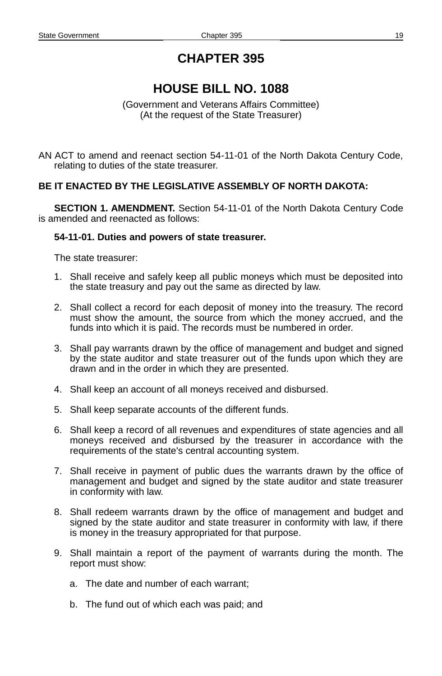# **HOUSE BILL NO. 1088**

(Government and Veterans Affairs Committee) (At the request of the State Treasurer)

AN ACT to amend and reenact section 54-11-01 of the North Dakota Century Code, relating to duties of the state treasurer.

#### **BE IT ENACTED BY THE LEGISLATIVE ASSEMBLY OF NORTH DAKOTA:**

**SECTION 1. AMENDMENT.** Section 54-11-01 of the North Dakota Century Code is amended and reenacted as follows:

#### **54-11-01. Duties and powers of state treasurer.**

The state treasurer:

- 1. Shall receive and safely keep all public moneys which must be deposited into the state treasury and pay out the same as directed by law.
- 2. Shall collect a record for each deposit of money into the treasury. The record must show the amount, the source from which the money accrued, and the funds into which it is paid. The records must be numbered in order.
- 3. Shall pay warrants drawn by the office of management and budget and signed by the state auditor and state treasurer out of the funds upon which they are drawn and in the order in which they are presented.
- 4. Shall keep an account of all moneys received and disbursed.
- 5. Shall keep separate accounts of the different funds.
- 6. Shall keep a record of all revenues and expenditures of state agencies and all moneys received and disbursed by the treasurer in accordance with the requirements of the state's central accounting system.
- 7. Shall receive in payment of public dues the warrants drawn by the office of management and budget and signed by the state auditor and state treasurer in conformity with law.
- 8. Shall redeem warrants drawn by the office of management and budget and signed by the state auditor and state treasurer in conformity with law, if there is money in the treasury appropriated for that purpose.
- 9. Shall maintain a report of the payment of warrants during the month. The report must show:
	- a. The date and number of each warrant;
	- b. The fund out of which each was paid; and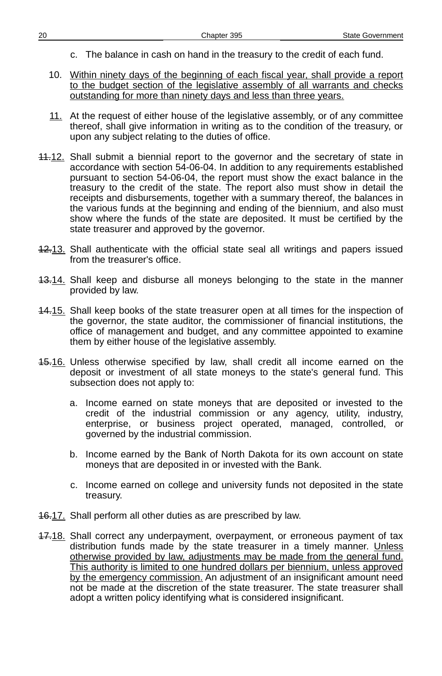- c. The balance in cash on hand in the treasury to the credit of each fund.
- 10. Within ninety days of the beginning of each fiscal year, shall provide a report to the budget section of the legislative assembly of all warrants and checks outstanding for more than ninety days and less than three years.
- 11. At the request of either house of the legislative assembly, or of any committee thereof, shall give information in writing as to the condition of the treasury, or upon any subject relating to the duties of office.
- 44.12. Shall submit a biennial report to the governor and the secretary of state in accordance with section 54-06-04. In addition to any requirements established pursuant to section 54-06-04, the report must show the exact balance in the treasury to the credit of the state. The report also must show in detail the receipts and disbursements, together with a summary thereof, the balances in the various funds at the beginning and ending of the biennium, and also must show where the funds of the state are deposited. It must be certified by the state treasurer and approved by the governor.
- 12.13. Shall authenticate with the official state seal all writings and papers issued from the treasurer's office.
- 43.14. Shall keep and disburse all moneys belonging to the state in the manner provided by law.
- 14.15. Shall keep books of the state treasurer open at all times for the inspection of the governor, the state auditor, the commissioner of financial institutions, the office of management and budget, and any committee appointed to examine them by either house of the legislative assembly.
- 15.16. Unless otherwise specified by law, shall credit all income earned on the deposit or investment of all state moneys to the state's general fund. This subsection does not apply to:
	- a. Income earned on state moneys that are deposited or invested to the credit of the industrial commission or any agency, utility, industry, enterprise, or business project operated, managed, controlled, or governed by the industrial commission.
	- b. Income earned by the Bank of North Dakota for its own account on state moneys that are deposited in or invested with the Bank.
	- c. Income earned on college and university funds not deposited in the state treasury.
- **16.17.** Shall perform all other duties as are prescribed by law.
- 47.18. Shall correct any underpayment, overpayment, or erroneous payment of tax distribution funds made by the state treasurer in a timely manner. Unless otherwise provided by law, adjustments may be made from the general fund. This authority is limited to one hundred dollars per biennium, unless approved by the emergency commission. An adjustment of an insignificant amount need not be made at the discretion of the state treasurer. The state treasurer shall adopt a written policy identifying what is considered insignificant.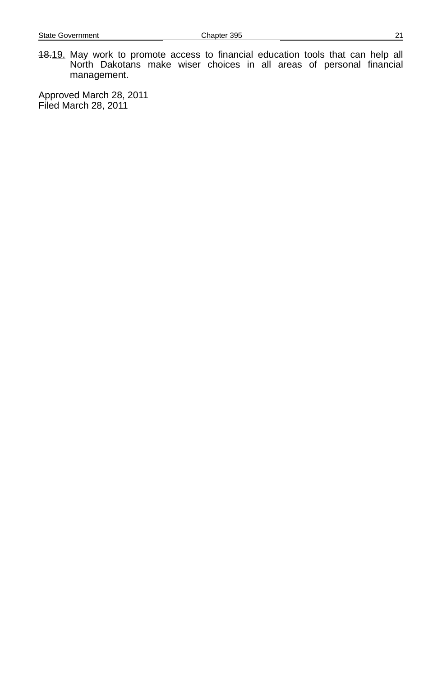18.19. May work to promote access to financial education tools that can help all North Dakotans make wiser choices in all areas of personal financial management.

Approved March 28, 2011 Filed March 28, 2011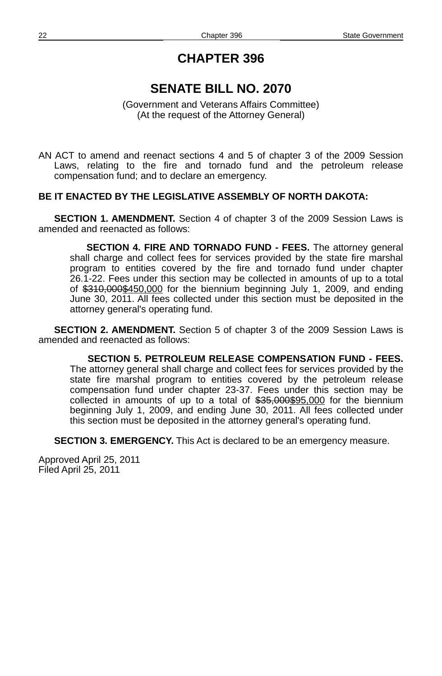# **SENATE BILL NO. 2070**

(Government and Veterans Affairs Committee) (At the request of the Attorney General)

AN ACT to amend and reenact sections 4 and 5 of chapter 3 of the 2009 Session Laws, relating to the fire and tornado fund and the petroleum release compensation fund; and to declare an emergency.

#### **BE IT ENACTED BY THE LEGISLATIVE ASSEMBLY OF NORTH DAKOTA:**

**SECTION 1. AMENDMENT.** Section 4 of chapter 3 of the 2009 Session Laws is amended and reenacted as follows:

**SECTION 4. FIRE AND TORNADO FUND - FEES.** The attorney general shall charge and collect fees for services provided by the state fire marshal program to entities covered by the fire and tornado fund under chapter 26.1-22. Fees under this section may be collected in amounts of up to a total of \$310,000\$450,000 for the biennium beginning July 1, 2009, and ending June 30, 2011. All fees collected under this section must be deposited in the attorney general's operating fund.

**SECTION 2. AMENDMENT.** Section 5 of chapter 3 of the 2009 Session Laws is amended and reenacted as follows:

**SECTION 5. PETROLEUM RELEASE COMPENSATION FUND - FEES.** The attorney general shall charge and collect fees for services provided by the state fire marshal program to entities covered by the petroleum release compensation fund under chapter 23-37. Fees under this section may be collected in amounts of up to a total of \$35,000\$95,000 for the biennium beginning July 1, 2009, and ending June 30, 2011. All fees collected under this section must be deposited in the attorney general's operating fund.

**SECTION 3. EMERGENCY.** This Act is declared to be an emergency measure.

Approved April 25, 2011 Filed April 25, 2011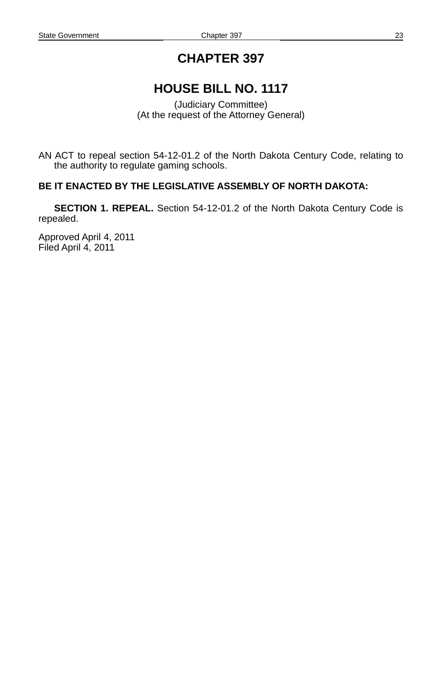# **HOUSE BILL NO. 1117**

(Judiciary Committee) (At the request of the Attorney General)

AN ACT to repeal section 54-12-01.2 of the North Dakota Century Code, relating to the authority to regulate gaming schools.

### **BE IT ENACTED BY THE LEGISLATIVE ASSEMBLY OF NORTH DAKOTA:**

**SECTION 1. REPEAL.** Section 54-12-01.2 of the North Dakota Century Code is repealed.

Approved April 4, 2011 Filed April 4, 2011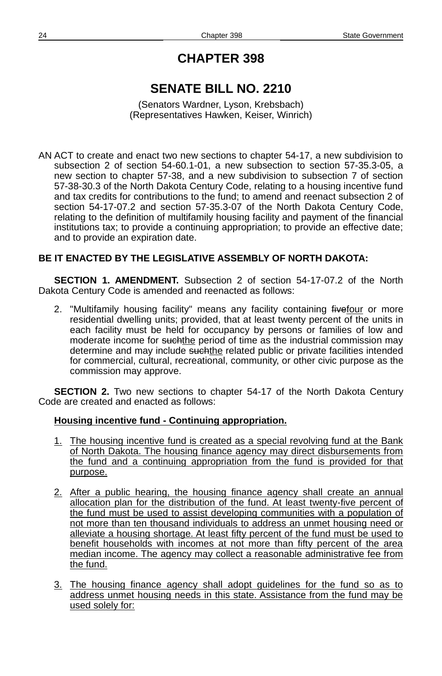# **SENATE BILL NO. 2210**

(Senators Wardner, Lyson, Krebsbach) (Representatives Hawken, Keiser, Winrich)

AN ACT to create and enact two new sections to chapter 54-17, a new subdivision to subsection 2 of section 54-60.1-01, a new subsection to section 57-35.3-05, a new section to chapter 57-38, and a new subdivision to subsection 7 of section 57-38-30.3 of the North Dakota Century Code, relating to a housing incentive fund and tax credits for contributions to the fund; to amend and reenact subsection 2 of section 54-17-07.2 and section 57-35.3-07 of the North Dakota Century Code, relating to the definition of multifamily housing facility and payment of the financial institutions tax; to provide a continuing appropriation; to provide an effective date; and to provide an expiration date.

### **BE IT ENACTED BY THE LEGISLATIVE ASSEMBLY OF NORTH DAKOTA:**

**SECTION 1. AMENDMENT.** Subsection 2 of section 54-17-07.2 of the North Dakota Century Code is amended and reenacted as follows:

2. "Multifamily housing facility" means any facility containing fivefour or more residential dwelling units; provided, that at least twenty percent of the units in each facility must be held for occupancy by persons or families of low and moderate income for suchthe period of time as the industrial commission may determine and may include such the related public or private facilities intended for commercial, cultural, recreational, community, or other civic purpose as the commission may approve.

**SECTION 2.** Two new sections to chapter 54-17 of the North Dakota Century Code are created and enacted as follows:

### **Housing incentive fund - Continuing appropriation.**

- 1. The housing incentive fund is created as a special revolving fund at the Bank of North Dakota. The housing finance agency may direct disbursements from the fund and a continuing appropriation from the fund is provided for that purpose.
- 2. After a public hearing, the housing finance agency shall create an annual allocation plan for the distribution of the fund. At least twenty-five percent of the fund must be used to assist developing communities with a population of not more than ten thousand individuals to address an unmet housing need or alleviate a housing shortage. At least fifty percent of the fund must be used to benefit households with incomes at not more than fifty percent of the area median income. The agency may collect a reasonable administrative fee from the fund.
- 3. The housing finance agency shall adopt guidelines for the fund so as to address unmet housing needs in this state. Assistance from the fund may be used solely for: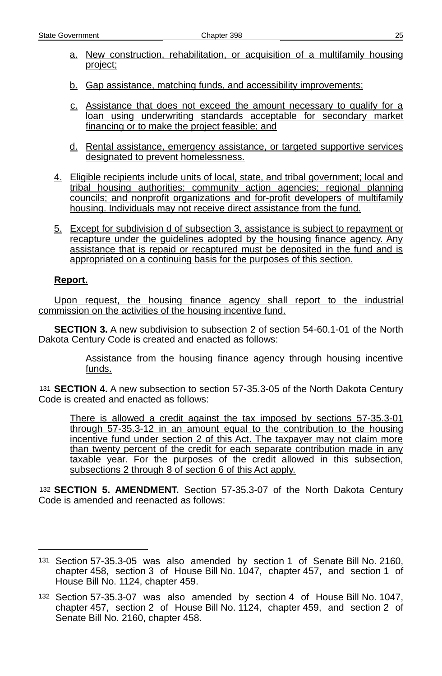- a. New construction, rehabilitation, or acquisition of a multifamily housing project;
- b. Gap assistance, matching funds, and accessibility improvements;
- c. Assistance that does not exceed the amount necessary to qualify for a loan using underwriting standards acceptable for secondary market financing or to make the project feasible; and
- d. Rental assistance, emergency assistance, or targeted supportive services designated to prevent homelessness.
- 4. Eligible recipients include units of local, state, and tribal government; local and tribal housing authorities; community action agencies; regional planning councils; and nonprofit organizations and for-profit developers of multifamily housing. Individuals may not receive direct assistance from the fund.
- 5. Except for subdivision d of subsection 3, assistance is subject to repayment or recapture under the guidelines adopted by the housing finance agency. Any assistance that is repaid or recaptured must be deposited in the fund and is appropriated on a continuing basis for the purposes of this section.

### **Report.**

Upon request, the housing finance agency shall report to the industrial commission on the activities of the housing incentive fund.

**SECTION 3.** A new subdivision to subsection 2 of section 54-60.1-01 of the North Dakota Century Code is created and enacted as follows:

> Assistance from the housing finance agency through housing incentive funds.

[131](#page-24-0) **SECTION 4.** A new subsection to section 57-35.3-05 of the North Dakota Century Code is created and enacted as follows:

There is allowed a credit against the tax imposed by sections 57-35.3-01 through 57-35.3-12 in an amount equal to the contribution to the housing incentive fund under section 2 of this Act. The taxpayer may not claim more than twenty percent of the credit for each separate contribution made in any taxable year. For the purposes of the credit allowed in this subsection, subsections 2 through 8 of section 6 of this Act apply.

[132](#page-24-1) **SECTION 5. AMENDMENT.** Section 57-35.3-07 of the North Dakota Century Code is amended and reenacted as follows:

<span id="page-24-0"></span><sup>131</sup> Section 57-35.3-05 was also amended by section 1 of Senate Bill No. 2160, chapter 458, section 3 of House Bill No. 1047, chapter 457, and section 1 of House Bill No. 1124, chapter 459.

<span id="page-24-1"></span><sup>132</sup> Section 57-35.3-07 was also amended by section 4 of House Bill No. 1047, chapter 457, section 2 of House Bill No. 1124, chapter 459, and section 2 of Senate Bill No. 2160, chapter 458.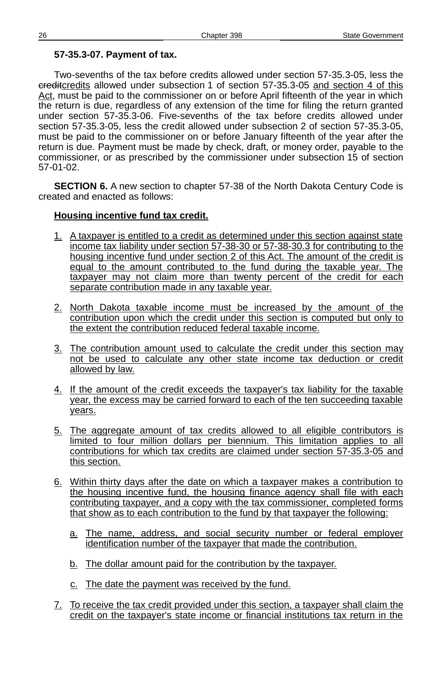#### **57-35.3-07. Payment of tax.**

Two-sevenths of the tax before credits allowed under section 57-35.3-05, less the creditcredits allowed under subsection 1 of section 57-35.3-05 and section 4 of this Act, must be paid to the commissioner on or before April fifteenth of the year in which the return is due, regardless of any extension of the time for filing the return granted under section 57-35.3-06. Five-sevenths of the tax before credits allowed under section 57-35.3-05, less the credit allowed under subsection 2 of section 57-35.3-05, must be paid to the commissioner on or before January fifteenth of the year after the return is due. Payment must be made by check, draft, or money order, payable to the commissioner, or as prescribed by the commissioner under subsection 15 of section 57-01-02.

**SECTION 6.** A new section to chapter 57-38 of the North Dakota Century Code is created and enacted as follows:

#### **Housing incentive fund tax credit.**

- 1. A taxpayer is entitled to a credit as determined under this section against state income tax liability under section 57-38-30 or 57-38-30.3 for contributing to the housing incentive fund under section 2 of this Act. The amount of the credit is equal to the amount contributed to the fund during the taxable year. The taxpayer may not claim more than twenty percent of the credit for each separate contribution made in any taxable year.
- 2. North Dakota taxable income must be increased by the amount of the contribution upon which the credit under this section is computed but only to the extent the contribution reduced federal taxable income.
- 3. The contribution amount used to calculate the credit under this section may not be used to calculate any other state income tax deduction or credit allowed by law.
- 4. If the amount of the credit exceeds the taxpayer's tax liability for the taxable year, the excess may be carried forward to each of the ten succeeding taxable years.
- 5. The aggregate amount of tax credits allowed to all eligible contributors is limited to four million dollars per biennium. This limitation applies to all contributions for which tax credits are claimed under section 57-35.3-05 and this section.
- 6. Within thirty days after the date on which a taxpayer makes a contribution to the housing incentive fund, the housing finance agency shall file with each contributing taxpayer, and a copy with the tax commissioner, completed forms that show as to each contribution to the fund by that taxpayer the following:
	- a. The name, address, and social security number or federal employer identification number of the taxpayer that made the contribution.
	- b. The dollar amount paid for the contribution by the taxpayer.
	- c. The date the payment was received by the fund.
- 7. To receive the tax credit provided under this section, a taxpayer shall claim the credit on the taxpayer's state income or financial institutions tax return in the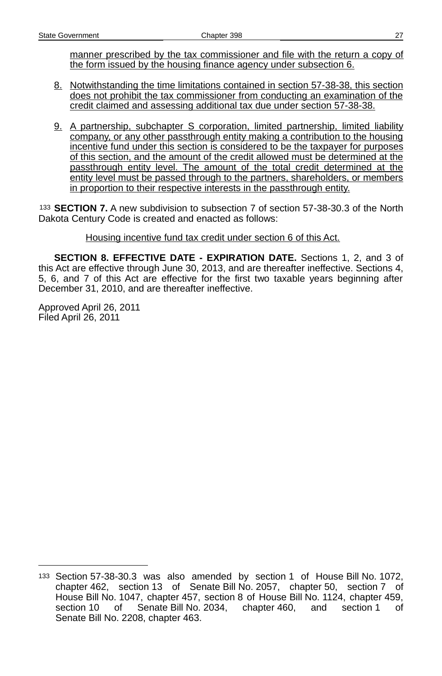manner prescribed by the tax commissioner and file with the return a copy of the form issued by the housing finance agency under subsection 6.

- 8. Notwithstanding the time limitations contained in section 57-38-38, this section does not prohibit the tax commissioner from conducting an examination of the credit claimed and assessing additional tax due under section 57-38-38.
- 9. A partnership, subchapter S corporation, limited partnership, limited liability company, or any other passthrough entity making a contribution to the housing incentive fund under this section is considered to be the taxpayer for purposes of this section, and the amount of the credit allowed must be determined at the passthrough entity level. The amount of the total credit determined at the entity level must be passed through to the partners, shareholders, or members in proportion to their respective interests in the passthrough entity.

[133](#page-26-0) **SECTION 7.** A new subdivision to subsection 7 of section 57-38-30.3 of the North Dakota Century Code is created and enacted as follows:

#### Housing incentive fund tax credit under section 6 of this Act.

**SECTION 8. EFFECTIVE DATE - EXPIRATION DATE.** Sections 1, 2, and 3 of this Act are effective through June 30, 2013, and are thereafter ineffective. Sections 4, 5, 6, and 7 of this Act are effective for the first two taxable years beginning after December 31, 2010, and are thereafter ineffective.

Approved April 26, 2011 Filed April 26, 2011

<span id="page-26-0"></span><sup>133</sup> Section 57-38-30.3 was also amended by section 1 of House Bill No. 1072, chapter 462, section 13 of Senate Bill No. 2057, chapter 50, section 7 of House Bill No. 1047, chapter 457, section 8 of House Bill No. 1124, chapter 459, section 10 of Senate Bill No. 2034, chapter 460, and section 1 of Senate Bill No. 2208, chapter 463.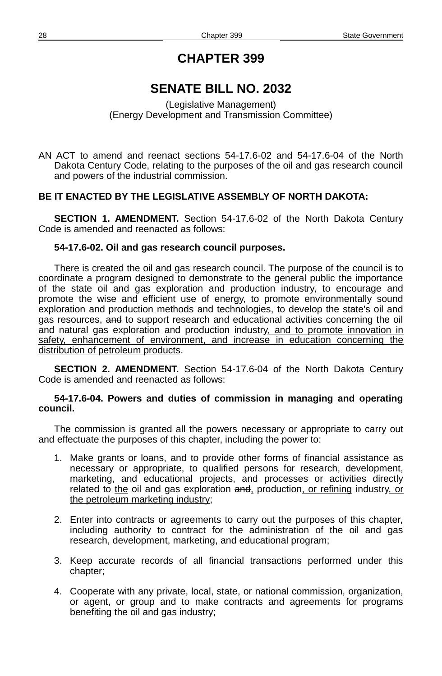# **SENATE BILL NO. 2032**

#### (Legislative Management) (Energy Development and Transmission Committee)

AN ACT to amend and reenact sections 54-17.6-02 and 54-17.6-04 of the North Dakota Century Code, relating to the purposes of the oil and gas research council and powers of the industrial commission.

#### **BE IT ENACTED BY THE LEGISLATIVE ASSEMBLY OF NORTH DAKOTA:**

**SECTION 1. AMENDMENT.** Section 54-17.6-02 of the North Dakota Century Code is amended and reenacted as follows:

#### **54-17.6-02. Oil and gas research council purposes.**

There is created the oil and gas research council. The purpose of the council is to coordinate a program designed to demonstrate to the general public the importance of the state oil and gas exploration and production industry, to encourage and promote the wise and efficient use of energy, to promote environmentally sound exploration and production methods and technologies, to develop the state's oil and gas resources, and to support research and educational activities concerning the oil and natural gas exploration and production industry, and to promote innovation in safety, enhancement of environment, and increase in education concerning the distribution of petroleum products.

**SECTION 2. AMENDMENT.** Section 54-17.6-04 of the North Dakota Century Code is amended and reenacted as follows:

#### **54-17.6-04. Powers and duties of commission in managing and operating council.**

The commission is granted all the powers necessary or appropriate to carry out and effectuate the purposes of this chapter, including the power to:

- 1. Make grants or loans, and to provide other forms of financial assistance as necessary or appropriate, to qualified persons for research, development, marketing, and educational projects, and processes or activities directly related to the oil and gas exploration and, production, or refining industry, or the petroleum marketing industry;
- 2. Enter into contracts or agreements to carry out the purposes of this chapter, including authority to contract for the administration of the oil and gas research, development, marketing, and educational program;
- 3. Keep accurate records of all financial transactions performed under this chapter;
- 4. Cooperate with any private, local, state, or national commission, organization, or agent, or group and to make contracts and agreements for programs benefiting the oil and gas industry;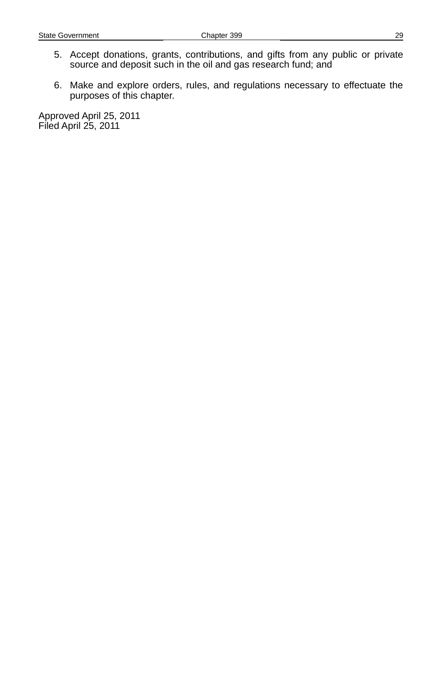- 5. Accept donations, grants, contributions, and gifts from any public or private source and deposit such in the oil and gas research fund; and
- 6. Make and explore orders, rules, and regulations necessary to effectuate the purposes of this chapter.

Approved April 25, 2011 Filed April 25, 2011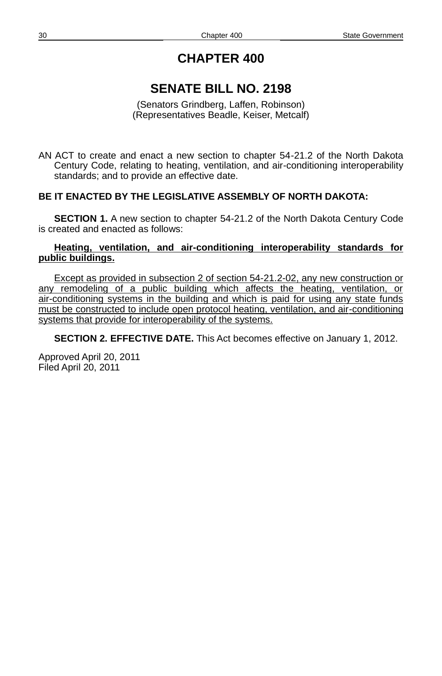# **SENATE BILL NO. 2198**

(Senators Grindberg, Laffen, Robinson) (Representatives Beadle, Keiser, Metcalf)

AN ACT to create and enact a new section to chapter 54-21.2 of the North Dakota Century Code, relating to heating, ventilation, and air-conditioning interoperability standards; and to provide an effective date.

### **BE IT ENACTED BY THE LEGISLATIVE ASSEMBLY OF NORTH DAKOTA:**

**SECTION 1.** A new section to chapter 54-21.2 of the North Dakota Century Code is created and enacted as follows:

#### **Heating, ventilation, and air-conditioning interoperability standards for public buildings.**

Except as provided in subsection 2 of section 54-21.2-02, any new construction or any remodeling of a public building which affects the heating, ventilation, or air -conditioning systems in the building and which is paid for using any state funds must be constructed to include open protocol heating, ventilation, and air - conditioning systems that provide for interoperability of the systems.

**SECTION 2. EFFECTIVE DATE.** This Act becomes effective on January 1, 2012.

Approved April 20, 2011 Filed April 20, 2011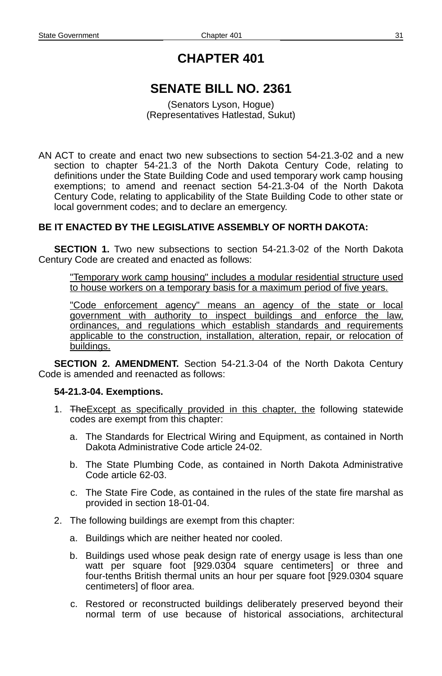# **SENATE BILL NO. 2361**

(Senators Lyson, Hogue) (Representatives Hatlestad, Sukut)

AN ACT to create and enact two new subsections to section 54-21.3-02 and a new section to chapter 54-21.3 of the North Dakota Century Code, relating to definitions under the State Building Code and used temporary work camp housing exemptions; to amend and reenact section 54-21.3-04 of the North Dakota Century Code, relating to applicability of the State Building Code to other state or local government codes; and to declare an emergency.

### **BE IT ENACTED BY THE LEGISLATIVE ASSEMBLY OF NORTH DAKOTA:**

**SECTION 1.** Two new subsections to section 54-21.3-02 of the North Dakota Century Code are created and enacted as follows:

"Temporary work camp housing" includes a modular residential structure used to house workers on a temporary basis for a maximum period of five years.

"Code enforcement agency" means an agency of the state or local government with authority to inspect buildings and enforce the law, ordinances, and regulations which establish standards and requirements applicable to the construction, installation, alteration, repair, or relocation of buildings.

**SECTION 2. AMENDMENT.** Section 54-21.3-04 of the North Dakota Century Code is amended and reenacted as follows:

#### **54-21.3-04. Exemptions.**

- 1. The Except as specifically provided in this chapter, the following statewide codes are exempt from this chapter:
	- a. The Standards for Electrical Wiring and Equipment, as contained in North Dakota Administrative Code article 24-02.
	- b. The State Plumbing Code, as contained in North Dakota Administrative Code article 62-03.
	- c. The State Fire Code, as contained in the rules of the state fire marshal as provided in section 18-01-04.
- 2. The following buildings are exempt from this chapter:
	- a. Buildings which are neither heated nor cooled.
	- b. Buildings used whose peak design rate of energy usage is less than one watt per square foot [929.0304 square centimeters] or three and four-tenths British thermal units an hour per square foot [929.0304 square centimeters] of floor area.
	- c. Restored or reconstructed buildings deliberately preserved beyond their normal term of use because of historical associations, architectural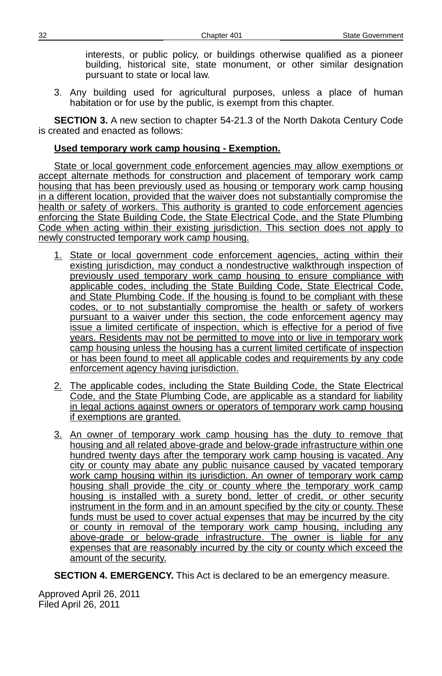interests, or public policy, or buildings otherwise qualified as a pioneer building, historical site, state monument, or other similar designation pursuant to state or local law.

3. Any building used for agricultural purposes, unless a place of human habitation or for use by the public, is exempt from this chapter.

**SECTION 3.** A new section to chapter 54-21.3 of the North Dakota Century Code is created and enacted as follows:

#### **Used temporary work camp housing - Exemption.**

State or local government code enforcement agencies may allow exemptions or accept alternate methods for construction and placement of temporary work camp housing that has been previously used as housing or temporary work camp housing in a different location, provided that the waiver does not substantially compromise the health or safety of workers. This authority is granted to code enforcement agencies enforcing the State Building Code, the State Electrical Code, and the State Plumbing Code when acting within their existing jurisdiction. This section does not apply to newly constructed temporary work camp housing.

- 1. State or local government code enforcement agencies, acting within their existing jurisdiction, may conduct a nondestructive walkthrough inspection of previously used temporary work camp housing to ensure compliance with applicable codes, including the State Building Code, State Electrical Code, and State Plumbing Code. If the housing is found to be compliant with these codes, or to not substantially compromise the health or safety of workers pursuant to a waiver under this section, the code enforcement agency may issue a limited certificate of inspection, which is effective for a period of five years. Residents may not be permitted to move into or live in temporary work camp housing unless the housing has a current limited certificate of inspection or has been found to meet all applicable codes and requirements by any code enforcement agency having jurisdiction.
- 2. The applicable codes, including the State Building Code, the State Electrical Code, and the State Plumbing Code, are applicable as a standard for liability in legal actions against owners or operators of temporary work camp housing if exemptions are granted.
- 3. An owner of temporary work camp housing has the duty to remove that housing and all related above-grade and below-grade infrastructure within one hundred twenty days after the temporary work camp housing is vacated. Any city or county may abate any public nuisance caused by vacated temporary work camp housing within its jurisdiction. An owner of temporary work camp housing shall provide the city or county where the temporary work camp housing is installed with a surety bond, letter of credit, or other security instrument in the form and in an amount specified by the city or county. These funds must be used to cover actual expenses that may be incurred by the city or county in removal of the temporary work camp housing, including any above-grade or below-grade infrastructure. The owner is liable for any expenses that are reasonably incurred by the city or county which exceed the amount of the security.

**SECTION 4. EMERGENCY.** This Act is declared to be an emergency measure.

Approved April 26, 2011 Filed April 26, 2011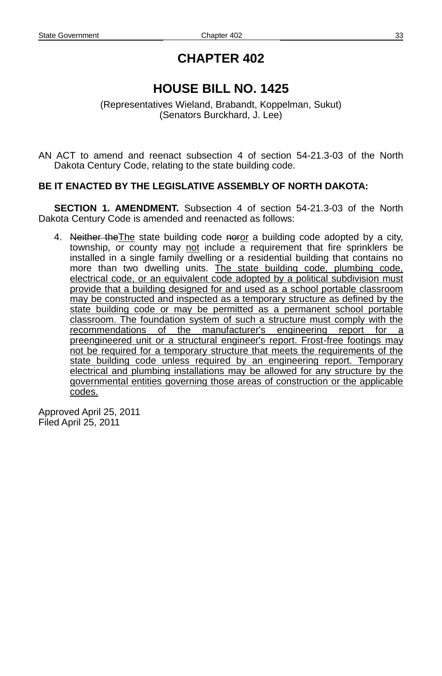# **HOUSE BILL NO. 1425**

(Representatives Wieland, Brabandt, Koppelman, Sukut) (Senators Burckhard, J. Lee)

AN ACT to amend and reenact subsection 4 of section 54-21.3-03 of the North Dakota Century Code, relating to the state building code.

#### **BE IT ENACTED BY THE LEGISLATIVE ASSEMBLY OF NORTH DAKOTA:**

**SECTION 1. AMENDMENT.** Subsection 4 of section 54-21.3-03 of the North Dakota Century Code is amended and reenacted as follows:

4. Neither the The state building code noror a building code adopted by a city, township, or county may not include  $\overline{a}$  requirement that fire sprinklers be installed in a single family dwelling or a residential building that contains no more than two dwelling units. The state building code, plumbing code, electrical code, or an equivalent code adopted by a political subdivision must provide that a building designed for and used as a school portable classroom may be constructed and inspected as a temporary structure as defined by the state building code or may be permitted as a permanent school portable classroom. The foundation system of such a structure must comply with the recommendations of the manufacturer's engineering report for a preengineered unit or a structural engineer's report. Frost-free footings may not be required for a temporary structure that meets the requirements of the state building code unless required by an engineering report. Temporary electrical and plumbing installations may be allowed for any structure by the governmental entities governing those areas of construction or the applicable codes.

Approved April 25, 2011 Filed April 25, 2011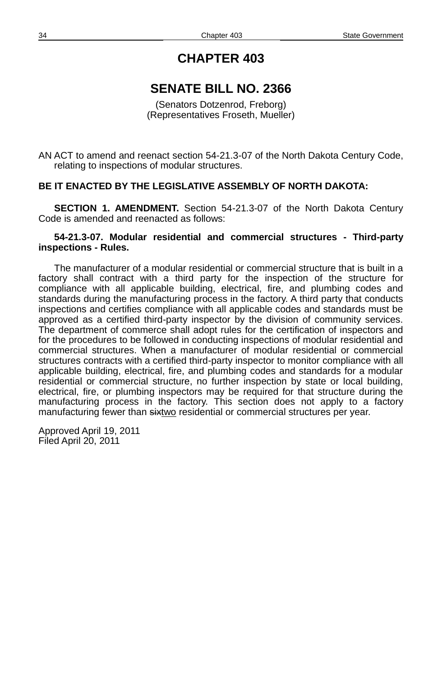### **SENATE BILL NO. 2366**

(Senators Dotzenrod, Freborg) (Representatives Froseth, Mueller)

AN ACT to amend and reenact section 54-21.3-07 of the North Dakota Century Code, relating to inspections of modular structures.

#### **BE IT ENACTED BY THE LEGISLATIVE ASSEMBLY OF NORTH DAKOTA:**

**SECTION 1. AMENDMENT.** Section 54-21.3-07 of the North Dakota Century Code is amended and reenacted as follows:

#### **54-21.3-07. Modular residential and commercial structures - Third-party inspections - Rules.**

The manufacturer of a modular residential or commercial structure that is built in a factory shall contract with a third party for the inspection of the structure for compliance with all applicable building, electrical, fire, and plumbing codes and standards during the manufacturing process in the factory. A third party that conducts inspections and certifies compliance with all applicable codes and standards must be approved as a certified third-party inspector by the division of community services. The department of commerce shall adopt rules for the certification of inspectors and for the procedures to be followed in conducting inspections of modular residential and commercial structures. When a manufacturer of modular residential or commercial structures contracts with a certified third-party inspector to monitor compliance with all applicable building, electrical, fire, and plumbing codes and standards for a modular residential or commercial structure, no further inspection by state or local building, electrical, fire, or plumbing inspectors may be required for that structure during the manufacturing process in the factory. This section does not apply to a factory manufacturing fewer than sixtwo residential or commercial structures per year.

Approved April 19, 2011 Filed April 20, 2011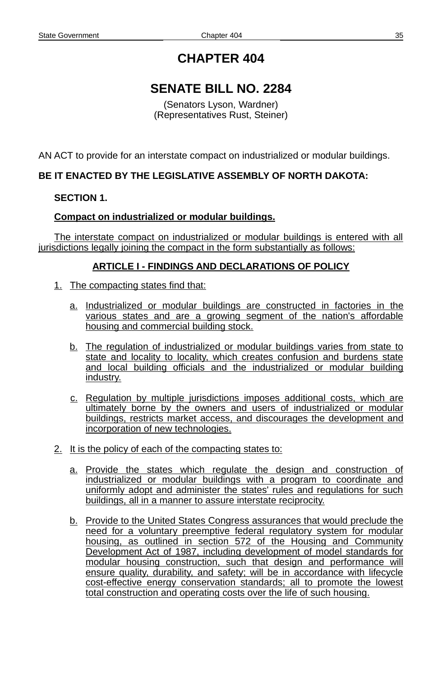# **SENATE BILL NO. 2284**

(Senators Lyson, Wardner) (Representatives Rust, Steiner)

AN ACT to provide for an interstate compact on industrialized or modular buildings.

### **BE IT ENACTED BY THE LEGISLATIVE ASSEMBLY OF NORTH DAKOTA:**

#### **SECTION 1.**

#### **Compact on industrialized or modular buildings.**

The interstate compact on industrialized or modular buildings is entered with all jurisdictions legally joining the compact in the form substantially as follows:

#### **ARTICLE I - FINDINGS AND DECLARATIONS OF POLICY**

- 1. The compacting states find that:
	- a. Industrialized or modular buildings are constructed in factories in the various states and are a growing segment of the nation's affordable housing and commercial building stock.
	- b. The regulation of industrialized or modular buildings varies from state to state and locality to locality, which creates confusion and burdens state and local building officials and the industrialized or modular building industry.
	- c. Regulation by multiple jurisdictions imposes additional costs, which are ultimately borne by the owners and users of industrialized or modular buildings, restricts market access, and discourages the development and incorporation of new technologies.
- 2. It is the policy of each of the compacting states to:
	- a. Provide the states which regulate the design and construction of industrialized or modular buildings with a program to coordinate and uniformly adopt and administer the states' rules and regulations for such buildings, all in a manner to assure interstate reciprocity.
	- b. Provide to the United States Congress assurances that would preclude the need for a voluntary preemptive federal regulatory system for modular housing, as outlined in section 572 of the Housing and Community Development Act of 1987, including development of model standards for modular housing construction, such that design and performance will ensure quality, durability, and safety; will be in accordance with lifecycle cost-effective energy conservation standards; all to promote the lowest total construction and operating costs over the life of such housing.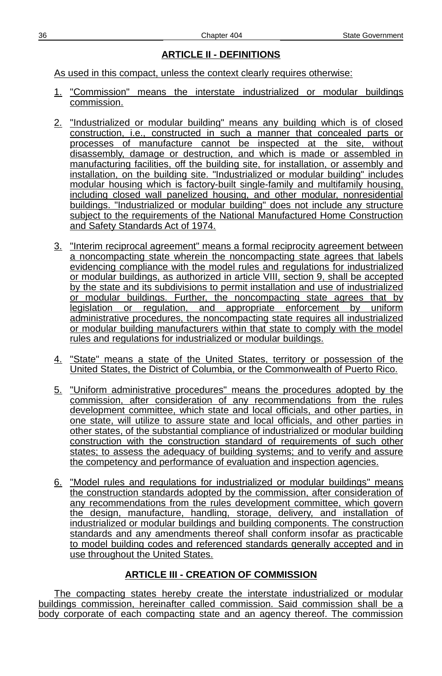### **ARTICLE II - DEFINITIONS**

As used in this compact, unless the context clearly requires otherwise:

- 1. "Commission" means the interstate industrialized or modular buildings commission.
- 2. "Industrialized or modular building" means any building which is of closed construction, i.e., constructed in such a manner that concealed parts or processes of manufacture cannot be inspected at the site, without disassembly, damage or destruction, and which is made or assembled in manufacturing facilities, off the building site, for installation, or assembly and installation, on the building site. "Industrialized or modular building" includes modular housing which is factory-built single-family and multifamily housing, including closed wall panelized housing, and other modular, nonresidential buildings. "Industrialized or modular building" does not include any structure subject to the requirements of the National Manufactured Home Construction and Safety Standards Act of 1974.
- 3. "Interim reciprocal agreement" means a formal reciprocity agreement between a noncompacting state wherein the noncompacting state agrees that labels evidencing compliance with the model rules and regulations for industrialized or modular buildings, as authorized in article VIII, section 9, shall be accepted by the state and its subdivisions to permit installation and use of industrialized or modular buildings. Further, the noncompacting state agrees that by legislation or regulation, and appropriate enforcement by uniform administrative procedures, the noncompacting state requires all industrialized or modular building manufacturers within that state to comply with the model rules and regulations for industrialized or modular buildings.
- 4. "State" means a state of the United States, territory or possession of the United States, the District of Columbia, or the Commonwealth of Puerto Rico.
- 5. "Uniform administrative procedures" means the procedures adopted by the commission, after consideration of any recommendations from the rules development committee, which state and local officials, and other parties, in one state, will utilize to assure state and local officials, and other parties in other states, of the substantial compliance of industrialized or modular building construction with the construction standard of requirements of such other states; to assess the adequacy of building systems; and to verify and assure the competency and performance of evaluation and inspection agencies.
- 6. "Model rules and regulations for industrialized or modular buildings" means the construction standards adopted by the commission, after consideration of any recommendations from the rules development committee, which govern the design, manufacture, handling, storage, delivery, and installation of industrialized or modular buildings and building components. The construction standards and any amendments thereof shall conform insofar as practicable to model building codes and referenced standards generally accepted and in use throughout the United States.

### **ARTICLE III - CREATION OF COMMISSION**

The compacting states hereby create the interstate industrialized or modular buildings commission, hereinafter called commission. Said commission shall be a body corporate of each compacting state and an agency thereof. The commission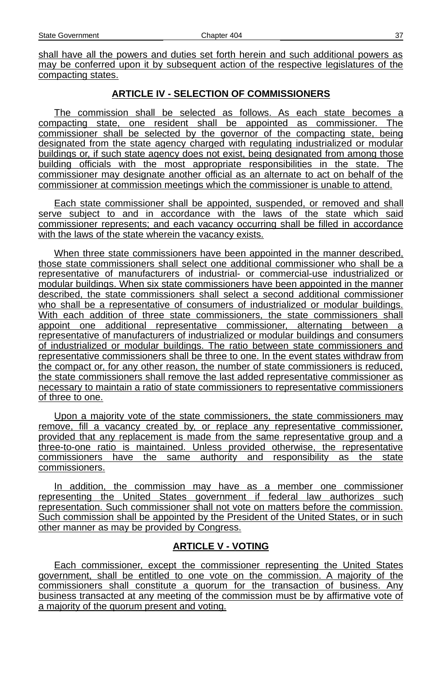shall have all the powers and duties set forth herein and such additional powers as may be conferred upon it by subsequent action of the respective legislatures of the compacting states.

### **ARTICLE IV - SELECTION OF COMMISSIONERS**

The commission shall be selected as follows. As each state becomes a compacting state, one resident shall be appointed as commissioner. The commissioner shall be selected by the governor of the compacting state, being designated from the state agency charged with regulating industrialized or modular buildings or, if such state agency does not exist, being designated from among those building officials with the most appropriate responsibilities in the state. The commissioner may designate another official as an alternate to act on behalf of the commissioner at commission meetings which the commissioner is unable to attend.

Each state commissioner shall be appointed, suspended, or removed and shall serve subject to and in accordance with the laws of the state which said commissioner represents; and each vacancy occurring shall be filled in accordance with the laws of the state wherein the vacancy exists.

When three state commissioners have been appointed in the manner described, those state commissioners shall select one additional commissioner who shall be a representative of manufacturers of industrial- or commercial-use industrialized or modular buildings. When six state commissioners have been appointed in the manner described, the state commissioners shall select a second additional commissioner who shall be a representative of consumers of industrialized or modular buildings. With each addition of three state commissioners, the state commissioners shall appoint one additional representative commissioner, alternating between a representative of manufacturers of industrialized or modular buildings and consumers of industrialized or modular buildings. The ratio between state commissioners and representative commissioners shall be three to one. In the event states withdraw from the compact or, for any other reason, the number of state commissioners is reduced, the state commissioners shall remove the last added representative commissioner as necessary to maintain a ratio of state commissioners to representative commissioners of three to one.

Upon a majority vote of the state commissioners, the state commissioners may remove, fill a vacancy created by, or replace any representative commissioner, provided that any replacement is made from the same representative group and a three- to - one ratio is maintained. Unless provided otherwise, the representative commissioners have the same authority and responsibility as the state commissioners.

In addition, the commission may have as a member one commissioner representing the United States government if federal law authorizes such representation. Such commissioner shall not vote on matters before the commission. Such commission shall be appointed by the President of the United States, or in such other manner as may be provided by Congress.

### **ARTICLE V - VOTING**

Each commissioner, except the commissioner representing the United States government, shall be entitled to one vote on the commission. A majority of the commissioners shall constitute a quorum for the transaction of business. Any business transacted at any meeting of the commission must be by affirmative vote of a majority of the quorum present and voting.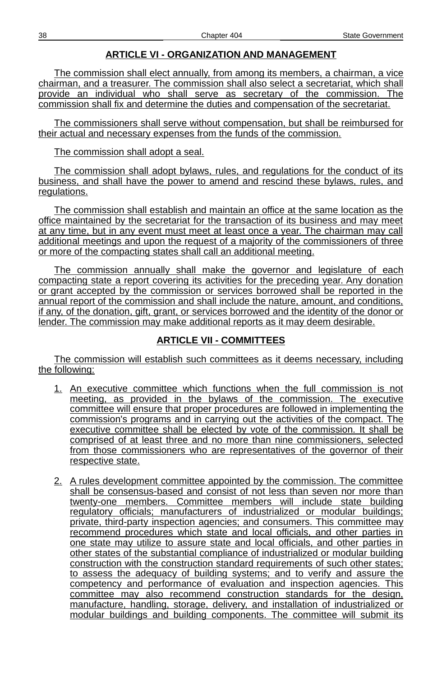### **ARTICLE VI - ORGANIZATION AND MANAGEMENT**

The commission shall elect annually, from among its members, a chairman, a vice chairman, and a treasurer. The commission shall also select a secretariat, which shall provide an individual who shall serve as secretary of the commission. The commission shall fix and determine the duties and compensation of the secretariat.

The commissioners shall serve without compensation, but shall be reimbursed for their actual and necessary expenses from the funds of the commission.

The commission shall adopt a seal.

The commission shall adopt bylaws, rules, and regulations for the conduct of its business, and shall have the power to amend and rescind these bylaws, rules, and regulations.

The commission shall establish and maintain an office at the same location as the office maintained by the secretariat for the transaction of its business and may meet at any time, but in any event must meet at least once a year. The chairman may call additional meetings and upon the request of a majority of the commissioners of three or more of the compacting states shall call an additional meeting.

The commission annually shall make the governor and legislature of each compacting state a report covering its activities for the preceding year. Any donation or grant accepted by the commission or services borrowed shall be reported in the annual report of the commission and shall include the nature, amount, and conditions, if any, of the donation, gift, grant, or services borrowed and the identity of the donor or lender. The commission may make additional reports as it may deem desirable.

### **ARTICLE VII - COMMITTEES**

The commission will establish such committees as it deems necessary, including the following:

- 1. An executive committee which functions when the full commission is not meeting, as provided in the bylaws of the commission. The executive committee will ensure that proper procedures are followed in implementing the commission's programs and in carrying out the activities of the compact. The executive committee shall be elected by vote of the commission. It shall be comprised of at least three and no more than nine commissioners, selected from those commissioners who are representatives of the governor of their respective state.
- 2. A rules development committee appointed by the commission. The committee shall be consensus-based and consist of not less than seven nor more than twenty-one members. Committee members will include state building regulatory officials; manufacturers of industrialized or modular buildings; private, third-party inspection agencies; and consumers. This committee may recommend procedures which state and local officials, and other parties in one state may utilize to assure state and local officials, and other parties in other states of the substantial compliance of industrialized or modular building construction with the construction standard requirements of such other states; to assess the adequacy of building systems; and to verify and assure the competency and performance of evaluation and inspection agencies. This committee may also recommend construction standards for the design, manufacture, handling, storage, delivery, and installation of industrialized or modular buildings and building components. The committee will submit its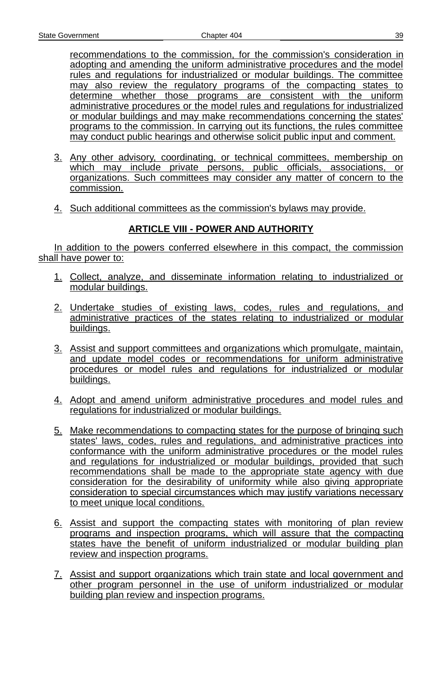recommendations to the commission, for the commission's consideration in adopting and amending the uniform administrative procedures and the model rules and regulations for industrialized or modular buildings. The committee may also review the regulatory programs of the compacting states to determine whether those programs are consistent with the uniform administrative procedures or the model rules and regulations for industrialized or modular buildings and may make recommendations concerning the states' programs to the commission. In carrying out its functions, the rules committee may conduct public hearings and otherwise solicit public input and comment.

- 3. Any other advisory, coordinating, or technical committees, membership on which may include private persons, public officials, associations, or organizations. Such committees may consider any matter of concern to the commission.
- 4. Such additional committees as the commission's bylaws may provide.

## **ARTICLE VIII - POWER AND AUTHORITY**

In addition to the powers conferred elsewhere in this compact, the commission shall have power to:

- 1. Collect, analyze, and disseminate information relating to industrialized or modular buildings.
- 2. Undertake studies of existing laws, codes, rules and regulations, and administrative practices of the states relating to industrialized or modular buildings.
- 3. Assist and support committees and organizations which promulgate, maintain, and update model codes or recommendations for uniform administrative procedures or model rules and regulations for industrialized or modular buildings.
- 4. Adopt and amend uniform administrative procedures and model rules and regulations for industrialized or modular buildings.
- 5. Make recommendations to compacting states for the purpose of bringing such states' laws, codes, rules and regulations, and administrative practices into conformance with the uniform administrative procedures or the model rules and regulations for industrialized or modular buildings, provided that such recommendations shall be made to the appropriate state agency with due consideration for the desirability of uniformity while also giving appropriate consideration to special circumstances which may justify variations necessary to meet unique local conditions.
- 6. Assist and support the compacting states with monitoring of plan review programs and inspection programs, which will assure that the compacting states have the benefit of uniform industrialized or modular building plan review and inspection programs.
- 7. Assist and support organizations which train state and local government and other program personnel in the use of uniform industrialized or modular building plan review and inspection programs.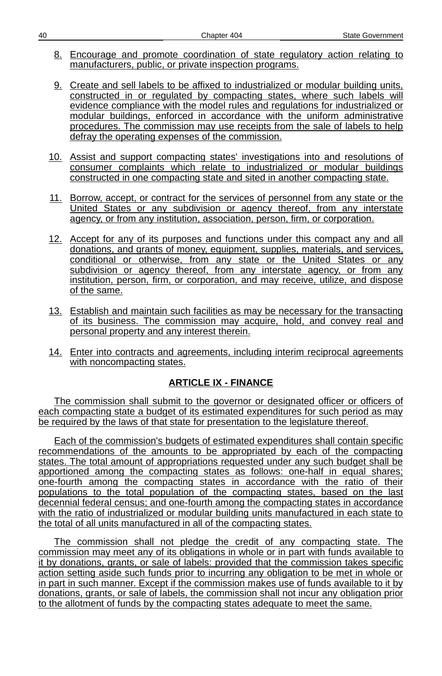- 8. Encourage and promote coordination of state regulatory action relating to manufacturers, public, or private inspection programs.
- 9. Create and sell labels to be affixed to industrialized or modular building units, constructed in or regulated by compacting states, where such labels will evidence compliance with the model rules and regulations for industrialized or modular buildings, enforced in accordance with the uniform administrative procedures. The commission may use receipts from the sale of labels to help defray the operating expenses of the commission.
- 10. Assist and support compacting states' investigations into and resolutions of consumer complaints which relate to industrialized or modular buildings constructed in one compacting state and sited in another compacting state.
- 11. Borrow, accept, or contract for the services of personnel from any state or the United States or any subdivision or agency thereof, from any interstate agency, or from any institution, association, person, firm, or corporation.
- 12. Accept for any of its purposes and functions under this compact any and all donations, and grants of money, equipment, supplies, materials, and services, conditional or otherwise, from any state or the United States or any subdivision or agency thereof, from any interstate agency, or from any institution, person, firm, or corporation, and may receive, utilize, and dispose of the same.
- 13. Establish and maintain such facilities as may be necessary for the transacting of its business. The commission may acquire, hold, and convey real and personal property and any interest therein.
- 14. Enter into contracts and agreements, including interim reciprocal agreements with noncompacting states.

### **ARTICLE IX - FINANCE**

The commission shall submit to the governor or designated officer or officers of each compacting state a budget of its estimated expenditures for such period as may be required by the laws of that state for presentation to the legislature thereof.

Each of the commission's budgets of estimated expenditures shall contain specific recommendations of the amounts to be appropriated by each of the compacting states. The total amount of appropriations requested under any such budget shall be apportioned among the compacting states as follows: one-half in equal shares; one -fourth among the compacting states in accordance with the ratio of their populations to the total population of the compacting states, based on the last decennial federal census; and one-fourth among the compacting states in accordance with the ratio of industrialized or modular building units manufactured in each state to the total of all units manufactured in all of the compacting states.

The commission shall not pledge the credit of any compacting state. The commission may meet any of its obligations in whole or in part with funds available to it by donations, grants, or sale of labels: provided that the commission takes specific action setting aside such funds prior to incurring any obligation to be met in whole or in part in such manner. Except if the commission makes use of funds available to it by donations, grants, or sale of labels, the commission shall not incur any obligation prior to the allotment of funds by the compacting states adequate to meet the same.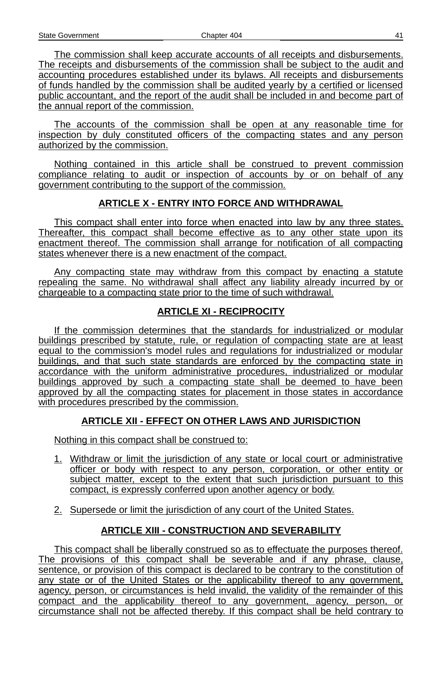The commission shall keep accurate accounts of all receipts and disbursements. The receipts and disbursements of the commission shall be subject to the audit and accounting procedures established under its bylaws. All receipts and disbursements of funds handled by the commission shall be audited yearly by a certified or licensed public accountant, and the report of the audit shall be included in and become part of the annual report of the commission.

The accounts of the commission shall be open at any reasonable time for inspection by duly constituted officers of the compacting states and any person authorized by the commission.

Nothing contained in this article shall be construed to prevent commission compliance relating to audit or inspection of accounts by or on behalf of any government contributing to the support of the commission.

### **ARTICLE X - ENTRY INTO FORCE AND WITHDRAWAL**

This compact shall enter into force when enacted into law by any three states. Thereafter, this compact shall become effective as to any other state upon its enactment thereof. The commission shall arrange for notification of all compacting states whenever there is a new enactment of the compact.

Any compacting state may withdraw from this compact by enacting a statute repealing the same. No withdrawal shall affect any liability already incurred by or chargeable to a compacting state prior to the time of such withdrawal.

### **ARTICLE XI - RECIPROCITY**

If the commission determines that the standards for industrialized or modular buildings prescribed by statute, rule, or regulation of compacting state are at least equal to the commission's model rules and regulations for industrialized or modular buildings, and that such state standards are enforced by the compacting state in accordance with the uniform administrative procedures, industrialized or modular buildings approved by such a compacting state shall be deemed to have been approved by all the compacting states for placement in those states in accordance with procedures prescribed by the commission.

### **ARTICLE XII - EFFECT ON OTHER LAWS AND JURISDICTION**

Nothing in this compact shall be construed to:

- 1. Withdraw or limit the jurisdiction of any state or local court or administrative officer or body with respect to any person, corporation, or other entity or subject matter, except to the extent that such jurisdiction pursuant to this compact, is expressly conferred upon another agency or body.
- 2. Supersede or limit the jurisdiction of any court of the United States.

### **ARTICLE XIII - CONSTRUCTION AND SEVERABILITY**

This compact shall be liberally construed so as to effectuate the purposes thereof. The provisions of this compact shall be severable and if any phrase, clause, sentence, or provision of this compact is declared to be contrary to the constitution of any state or of the United States or the applicability thereof to any government, agency, person, or circumstances is held invalid, the validity of the remainder of this compact and the applicability thereof to any government, agency, person, or circumstance shall not be affected thereby. If this compact shall be held contrary to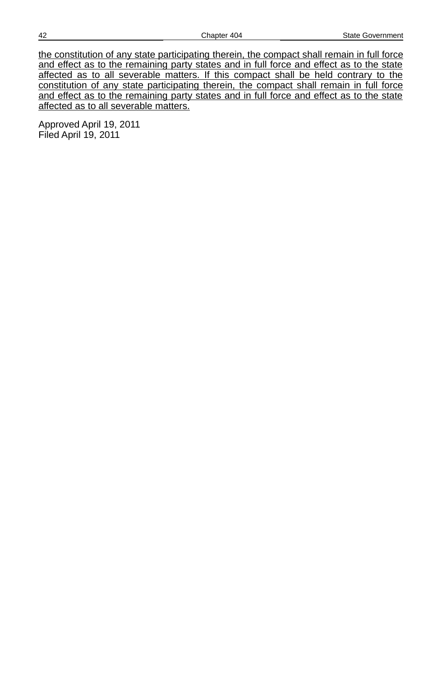the constitution of any state participating therein, the compact shall remain in full force and effect as to the remaining party states and in full force and effect as to the state affected as to all severable matters. If this compact shall be held contrary to the constitution of any state participating therein, the compact shall remain in full force and effect as to the remaining party states and in full force and effect as to the state affected as to all severable matters.

Approved April 19, 2011 Filed April 19, 2011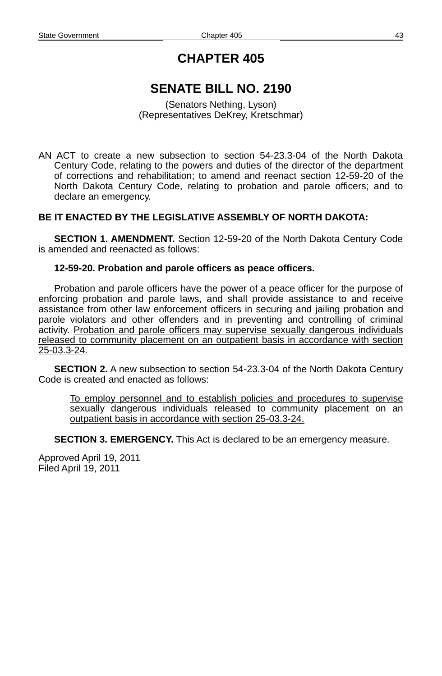# **SENATE BILL NO. 2190**

(Senators Nething, Lyson) (Representatives DeKrey, Kretschmar)

AN ACT to create a new subsection to section 54-23.3-04 of the North Dakota Century Code, relating to the powers and duties of the director of the department of corrections and rehabilitation; to amend and reenact section 12-59-20 of the North Dakota Century Code, relating to probation and parole officers; and to declare an emergency.

### **BE IT ENACTED BY THE LEGISLATIVE ASSEMBLY OF NORTH DAKOTA:**

**SECTION 1. AMENDMENT.** Section 12-59-20 of the North Dakota Century Code is amended and reenacted as follows:

#### **12-59-20. Probation and parole officers as peace officers.**

Probation and parole officers have the power of a peace officer for the purpose of enforcing probation and parole laws, and shall provide assistance to and receive assistance from other law enforcement officers in securing and jailing probation and parole violators and other offenders and in preventing and controlling of criminal activity. Probation and parole officers may supervise sexually dangerous individuals released to community placement on an outpatient basis in accordance with section 25-03.3-24.

**SECTION 2.** A new subsection to section 54-23.3-04 of the North Dakota Century Code is created and enacted as follows:

To employ personnel and to establish policies and procedures to supervise sexually dangerous individuals released to community placement on an outpatient basis in accordance with section 25-03.3-24.

**SECTION 3. EMERGENCY.** This Act is declared to be an emergency measure.

Approved April 19, 2011 Filed April 19, 2011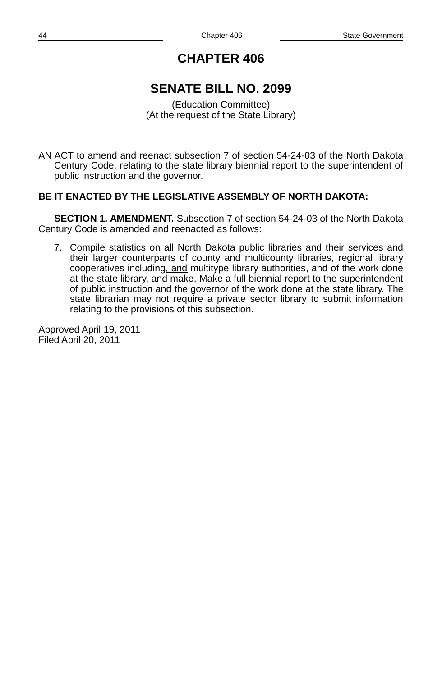## **SENATE BILL NO. 2099**

(Education Committee) (At the request of the State Library)

AN ACT to amend and reenact subsection 7 of section 54-24-03 of the North Dakota Century Code, relating to the state library biennial report to the superintendent of public instruction and the governor.

### **BE IT ENACTED BY THE LEGISLATIVE ASSEMBLY OF NORTH DAKOTA:**

**SECTION 1. AMENDMENT.** Subsection 7 of section 54-24-03 of the North Dakota Century Code is amended and reenacted as follows:

7. Compile statistics on all North Dakota public libraries and their services and their larger counterparts of county and multicounty libraries, regional library cooperatives including, and multitype library authorities, and of the work done at the state library, and make. Make a full biennial report to the superintendent of public instruction and the governor of the work done at the state library. The state librarian may not require a private sector library to submit information relating to the provisions of this subsection.

Approved April 19, 2011 Filed April 20, 2011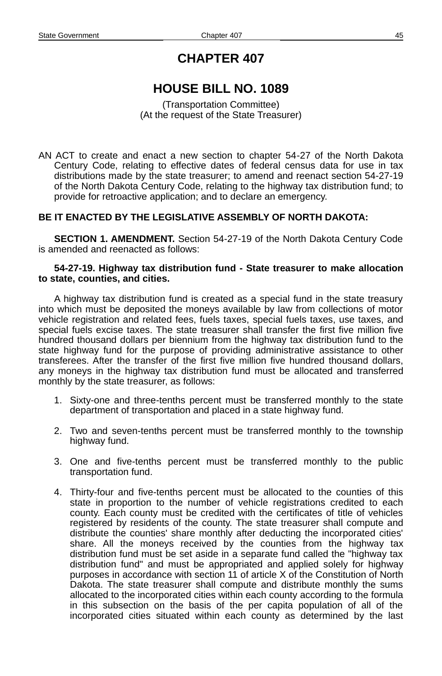# **HOUSE BILL NO. 1089**

(Transportation Committee) (At the request of the State Treasurer)

AN ACT to create and enact a new section to chapter 54-27 of the North Dakota Century Code, relating to effective dates of federal census data for use in tax distributions made by the state treasurer; to amend and reenact section 54-27-19 of the North Dakota Century Code, relating to the highway tax distribution fund; to provide for retroactive application; and to declare an emergency.

### **BE IT ENACTED BY THE LEGISLATIVE ASSEMBLY OF NORTH DAKOTA:**

**SECTION 1. AMENDMENT.** Section 54-27-19 of the North Dakota Century Code is amended and reenacted as follows:

#### **54-27-19. Highway tax distribution fund - State treasurer to make allocation to state, counties, and cities.**

A highway tax distribution fund is created as a special fund in the state treasury into which must be deposited the moneys available by law from collections of motor vehicle registration and related fees, fuels taxes, special fuels taxes, use taxes, and special fuels excise taxes. The state treasurer shall transfer the first five million five hundred thousand dollars per biennium from the highway tax distribution fund to the state highway fund for the purpose of providing administrative assistance to other transferees. After the transfer of the first five million five hundred thousand dollars, any moneys in the highway tax distribution fund must be allocated and transferred monthly by the state treasurer, as follows:

- 1. Sixty-one and three-tenths percent must be transferred monthly to the state department of transportation and placed in a state highway fund.
- 2. Two and seven-tenths percent must be transferred monthly to the township highway fund.
- 3. One and five-tenths percent must be transferred monthly to the public transportation fund.
- 4. Thirty-four and five-tenths percent must be allocated to the counties of this state in proportion to the number of vehicle registrations credited to each county. Each county must be credited with the certificates of title of vehicles registered by residents of the county. The state treasurer shall compute and distribute the counties' share monthly after deducting the incorporated cities' share. All the moneys received by the counties from the highway tax distribution fund must be set aside in a separate fund called the "highway tax distribution fund" and must be appropriated and applied solely for highway purposes in accordance with section 11 of article X of the Constitution of North Dakota. The state treasurer shall compute and distribute monthly the sums allocated to the incorporated cities within each county according to the formula in this subsection on the basis of the per capita population of all of the incorporated cities situated within each county as determined by the last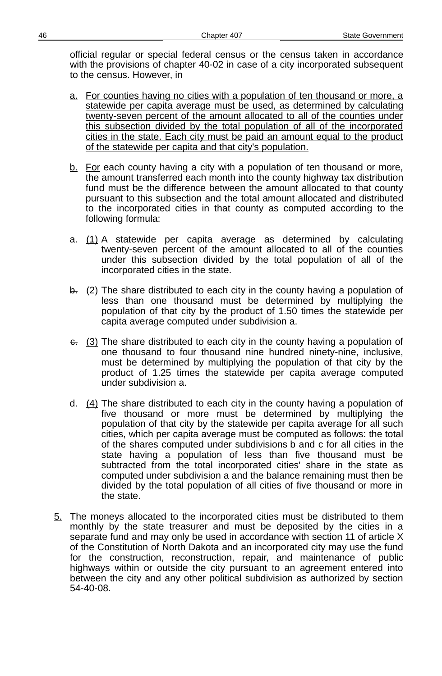official regular or special federal census or the census taken in accordance with the provisions of chapter 40-02 in case of a city incorporated subsequent to the census. However, in

- a. For counties having no cities with a population of ten thousand or more, a statewide per capita average must be used, as determined by calculating twenty-seven percent of the amount allocated to all of the counties under this subsection divided by the total population of all of the incorporated cities in the state. Each city must be paid an amount equal to the product of the statewide per capita and that city's population.
- $b.$  For each county having a city with a population of ten thousand or more, the amount transferred each month into the county highway tax distribution fund must be the difference between the amount allocated to that county pursuant to this subsection and the total amount allocated and distributed to the incorporated cities in that county as computed according to the following formula:
- $\frac{a}{b}$ . (1) A statewide per capita average as determined by calculating twenty-seven percent of the amount allocated to all of the counties under this subsection divided by the total population of all of the incorporated cities in the state.
- $\frac{1}{2}$  The share distributed to each city in the county having a population of less than one thousand must be determined by multiplying the population of that city by the product of 1.50 times the statewide per capita average computed under subdivision a.
- $\epsilon$ . (3) The share distributed to each city in the county having a population of one thousand to four thousand nine hundred ninety-nine, inclusive, must be determined by multiplying the population of that city by the product of 1.25 times the statewide per capita average computed under subdivision a.
- $\frac{d}{dx}$  (4) The share distributed to each city in the county having a population of five thousand or more must be determined by multiplying the population of that city by the statewide per capita average for all such cities, which per capita average must be computed as follows: the total of the shares computed under subdivisions b and c for all cities in the state having a population of less than five thousand must be subtracted from the total incorporated cities' share in the state as computed under subdivision a and the balance remaining must then be divided by the total population of all cities of five thousand or more in the state.
- 5. The moneys allocated to the incorporated cities must be distributed to them monthly by the state treasurer and must be deposited by the cities in a separate fund and may only be used in accordance with section 11 of article X of the Constitution of North Dakota and an incorporated city may use the fund for the construction, reconstruction, repair, and maintenance of public highways within or outside the city pursuant to an agreement entered into between the city and any other political subdivision as authorized by section 54-40-08.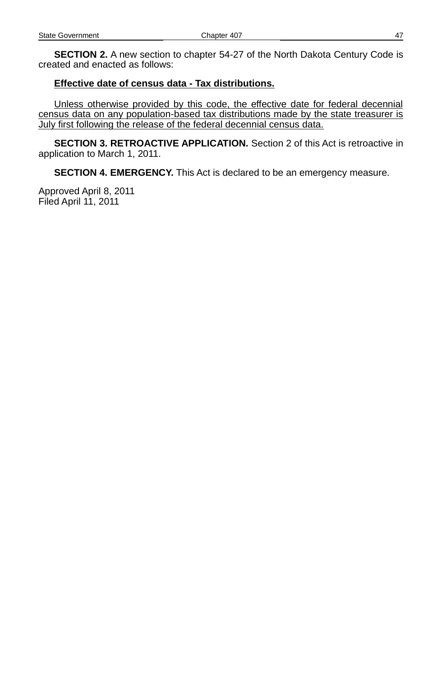**SECTION 2.** A new section to chapter 54-27 of the North Dakota Century Code is created and enacted as follows:

#### **Effective date of census data - Tax distributions.**

Unless otherwise provided by this code, the effective date for federal decennial census data on any population- based tax distributions made by the state treasurer is July first following the release of the federal decennial census data.

**SECTION 3. RETROACTIVE APPLICATION.** Section 2 of this Act is retroactive in application to March 1, 2011.

**SECTION 4. EMERGENCY.** This Act is declared to be an emergency measure.

Approved April 8, 2011 Filed April 11, 2011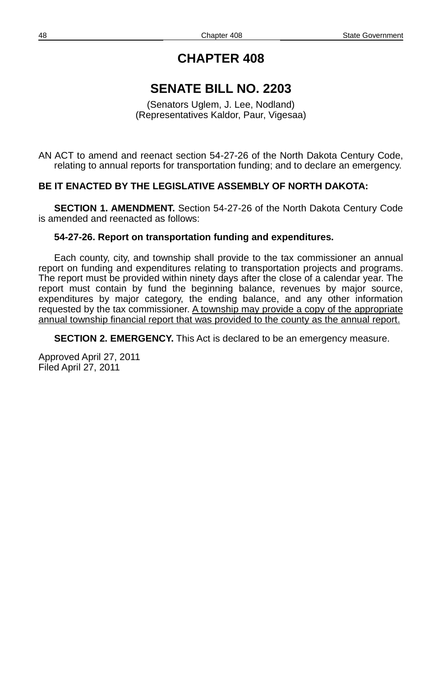## **SENATE BILL NO. 2203**

(Senators Uglem, J. Lee, Nodland) (Representatives Kaldor, Paur, Vigesaa)

AN ACT to amend and reenact section 54-27-26 of the North Dakota Century Code, relating to annual reports for transportation funding; and to declare an emergency.

### **BE IT ENACTED BY THE LEGISLATIVE ASSEMBLY OF NORTH DAKOTA:**

**SECTION 1. AMENDMENT.** Section 54-27-26 of the North Dakota Century Code is amended and reenacted as follows:

#### **54-27-26. Report on transportation funding and expenditures.**

Each county, city, and township shall provide to the tax commissioner an annual report on funding and expenditures relating to transportation projects and programs. The report must be provided within ninety days after the close of a calendar year. The report must contain by fund the beginning balance, revenues by major source, expenditures by major category, the ending balance, and any other information requested by the tax commissioner. A township may provide a copy of the appropriate annual township financial report that was provided to the county as the annual report.

**SECTION 2. EMERGENCY.** This Act is declared to be an emergency measure.

Approved April 27, 2011 Filed April 27, 2011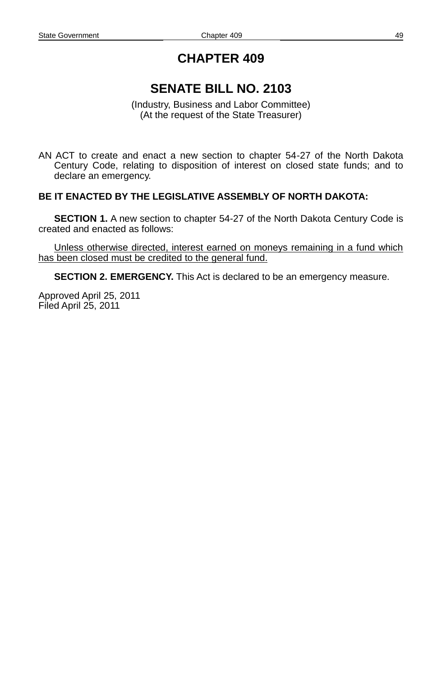# **SENATE BILL NO. 2103**

(Industry, Business and Labor Committee) (At the request of the State Treasurer)

AN ACT to create and enact a new section to chapter 54-27 of the North Dakota Century Code, relating to disposition of interest on closed state funds; and to declare an emergency.

### **BE IT ENACTED BY THE LEGISLATIVE ASSEMBLY OF NORTH DAKOTA:**

**SECTION 1.** A new section to chapter 54-27 of the North Dakota Century Code is created and enacted as follows:

Unless otherwise directed, interest earned on moneys remaining in a fund which has been closed must be credited to the general fund.

**SECTION 2. EMERGENCY.** This Act is declared to be an emergency measure.

Approved April 25, 2011 Filed April 25, 2011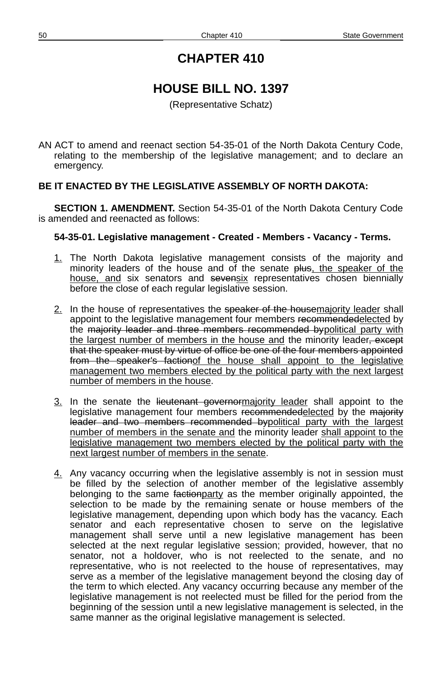# **HOUSE BILL NO. 1397**

(Representative Schatz)

AN ACT to amend and reenact section 54-35-01 of the North Dakota Century Code, relating to the membership of the legislative management; and to declare an emergency.

### **BE IT ENACTED BY THE LEGISLATIVE ASSEMBLY OF NORTH DAKOTA:**

**SECTION 1. AMENDMENT.** Section 54-35-01 of the North Dakota Century Code is amended and reenacted as follows:

### **54-35-01. Legislative management - Created - Members - Vacancy - Terms.**

- 1. The North Dakota legislative management consists of the majority and minority leaders of the house and of the senate plus, the speaker of the house, and six senators and sevensix representatives chosen biennially before the close of each regular legislative session.
- 2. In the house of representatives the speaker of the housemajority leader shall appoint to the legislative management four members recommendedelected by the majority leader and three members recommended bypolitical party with the largest number of members in the house and the minority leader, except that the speaker must by virtue of office be one of the four members appointed from the speaker's factionof the house shall appoint to the legislative management two members elected by the political party with the next largest number of members in the house.
- 3. In the senate the lieutenant governormajority leader shall appoint to the legislative management four members recommendedelected by the majority leader and two members recommended bypolitical party with the largest number of members in the senate and the minority leader shall appoint to the legislative management two members elected by the political party with the next largest number of members in the senate.
- 4. Any vacancy occurring when the legislative assembly is not in session must be filled by the selection of another member of the legislative assembly belonging to the same faction party as the member originally appointed, the selection to be made by the remaining senate or house members of the legislative management, depending upon which body has the vacancy. Each senator and each representative chosen to serve on the legislative management shall serve until a new legislative management has been selected at the next regular legislative session; provided, however, that no senator, not a holdover, who is not reelected to the senate, and no representative, who is not reelected to the house of representatives, may serve as a member of the legislative management beyond the closing day of the term to which elected. Any vacancy occurring because any member of the legislative management is not reelected must be filled for the period from the beginning of the session until a new legislative management is selected, in the same manner as the original legislative management is selected.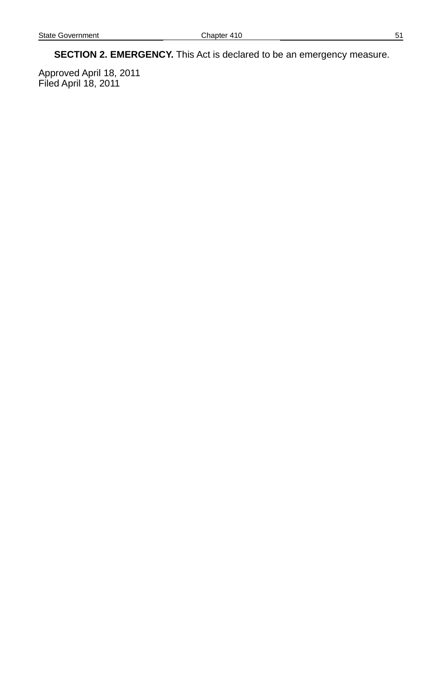**SECTION 2. EMERGENCY.** This Act is declared to be an emergency measure.

Approved April 18, 2011 Filed April 18, 2011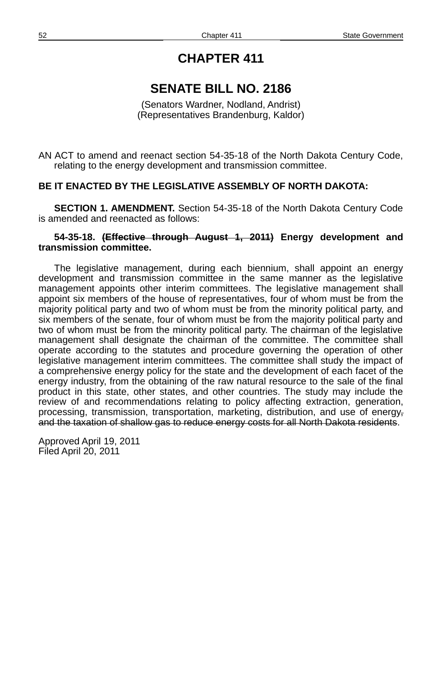## **SENATE BILL NO. 2186**

(Senators Wardner, Nodland, Andrist) (Representatives Brandenburg, Kaldor)

AN ACT to amend and reenact section 54-35-18 of the North Dakota Century Code, relating to the energy development and transmission committee.

#### **BE IT ENACTED BY THE LEGISLATIVE ASSEMBLY OF NORTH DAKOTA:**

**SECTION 1. AMENDMENT.** Section 54-35-18 of the North Dakota Century Code is amended and reenacted as follows:

#### **54-35-18. (Effective through August 1, 2011) Energy development and transmission committee.**

The legislative management, during each biennium, shall appoint an energy development and transmission committee in the same manner as the legislative management appoints other interim committees. The legislative management shall appoint six members of the house of representatives, four of whom must be from the majority political party and two of whom must be from the minority political party, and six members of the senate, four of whom must be from the majority political party and two of whom must be from the minority political party. The chairman of the legislative management shall designate the chairman of the committee. The committee shall operate according to the statutes and procedure governing the operation of other legislative management interim committees. The committee shall study the impact of a comprehensive energy policy for the state and the development of each facet of the energy industry, from the obtaining of the raw natural resource to the sale of the final product in this state, other states, and other countries. The study may include the review of and recommendations relating to policy affecting extraction, generation, processing, transmission, transportation, marketing, distribution, and use of energy, and the taxation of shallow gas to reduce energy costs for all North Dakota residents.

Approved April 19, 2011 Filed April 20, 2011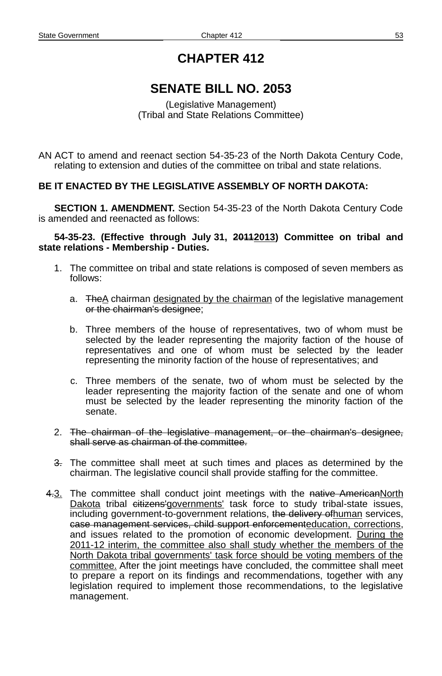# **SENATE BILL NO. 2053**

(Legislative Management) (Tribal and State Relations Committee)

AN ACT to amend and reenact section 54-35-23 of the North Dakota Century Code, relating to extension and duties of the committee on tribal and state relations.

### **BE IT ENACTED BY THE LEGISLATIVE ASSEMBLY OF NORTH DAKOTA:**

**SECTION 1. AMENDMENT.** Section 54-35-23 of the North Dakota Century Code is amended and reenacted as follows:

#### **54-35-23. (Effective through July 31, 20112013) Committee on tribal and state relations - Membership - Duties.**

- 1. The committee on tribal and state relations is composed of seven members as follows:
	- a. The A chairman designated by the chairman of the legislative management or the chairman's designee;
	- b. Three members of the house of representatives, two of whom must be selected by the leader representing the majority faction of the house of representatives and one of whom must be selected by the leader representing the minority faction of the house of representatives; and
	- c. Three members of the senate, two of whom must be selected by the leader representing the majority faction of the senate and one of whom must be selected by the leader representing the minority faction of the senate.
- 2. The chairman of the legislative management, or the chairman's designee, shall serve as chairman of the committee.
- 3. The committee shall meet at such times and places as determined by the chairman. The legislative council shall provide staffing for the committee.
- 4.3. The committee shall conduct joint meetings with the native AmericanNorth Dakota tribal eitizens'governments' task force to study tribal-state issues, including government-to-government relations, the delivery ofhuman services, case management services, child support enforcementeducation, corrections, and issues related to the promotion of economic development. During the 2011-12 interim, the committee also shall study whether the members of the North Dakota tribal governments' task force should be voting members of the committee. After the joint meetings have concluded, the committee shall meet to prepare a report on its findings and recommendations, together with any legislation required to implement those recommendations, to the legislative management.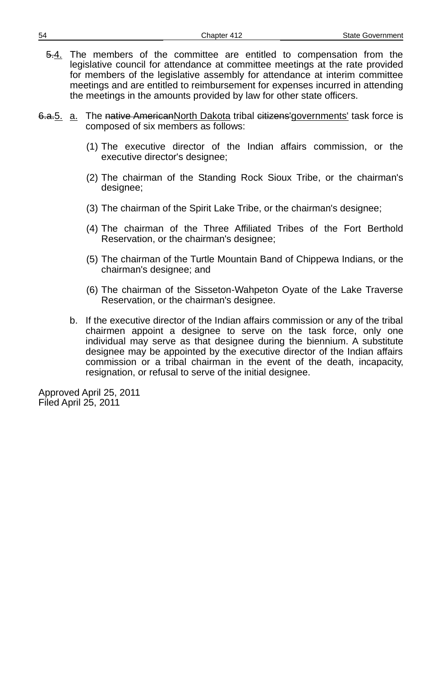- $\frac{5.4}{1}$ . The members of the committee are entitled to compensation from the legislative council for attendance at committee meetings at the rate provided for members of the legislative assembly for attendance at interim committee meetings and are entitled to reimbursement for expenses incurred in attending the meetings in the amounts provided by law for other state officers.
- 6.a.<sub>5</sub>. a. The native AmericanNorth Dakota tribal citizens'governments' task force is composed of six members as follows:
	- (1) The executive director of the Indian affairs commission, or the executive director's designee;
	- (2) The chairman of the Standing Rock Sioux Tribe, or the chairman's designee;
	- (3) The chairman of the Spirit Lake Tribe, or the chairman's designee;
	- (4) The chairman of the Three Affiliated Tribes of the Fort Berthold Reservation, or the chairman's designee;
	- (5) The chairman of the Turtle Mountain Band of Chippewa Indians, or the chairman's designee; and
	- (6) The chairman of the Sisseton-Wahpeton Oyate of the Lake Traverse Reservation, or the chairman's designee.
	- b. If the executive director of the Indian affairs commission or any of the tribal chairmen appoint a designee to serve on the task force, only one individual may serve as that designee during the biennium. A substitute designee may be appointed by the executive director of the Indian affairs commission or a tribal chairman in the event of the death, incapacity, resignation, or refusal to serve of the initial designee.

Approved April 25, 2011 Filed April 25, 2011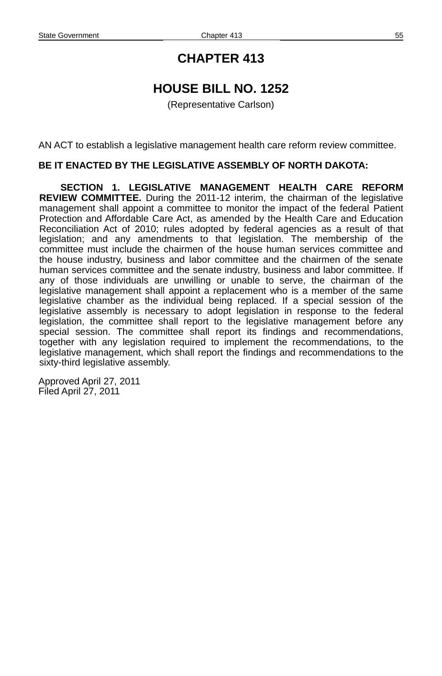# **HOUSE BILL NO. 1252**

(Representative Carlson)

AN ACT to establish a legislative management health care reform review committee.

#### **BE IT ENACTED BY THE LEGISLATIVE ASSEMBLY OF NORTH DAKOTA:**

**SECTION 1. LEGISLATIVE MANAGEMENT HEALTH CARE REFORM REVIEW COMMITTEE.** During the 2011-12 interim, the chairman of the legislative management shall appoint a committee to monitor the impact of the federal Patient Protection and Affordable Care Act, as amended by the Health Care and Education Reconciliation Act of 2010; rules adopted by federal agencies as a result of that legislation; and any amendments to that legislation. The membership of the committee must include the chairmen of the house human services committee and the house industry, business and labor committee and the chairmen of the senate human services committee and the senate industry, business and labor committee. If any of those individuals are unwilling or unable to serve, the chairman of the legislative management shall appoint a replacement who is a member of the same legislative chamber as the individual being replaced. If a special session of the legislative assembly is necessary to adopt legislation in response to the federal legislation, the committee shall report to the legislative management before any special session. The committee shall report its findings and recommendations, together with any legislation required to implement the recommendations, to the legislative management, which shall report the findings and recommendations to the sixty-third legislative assembly.

Approved April 27, 2011 Filed April 27, 2011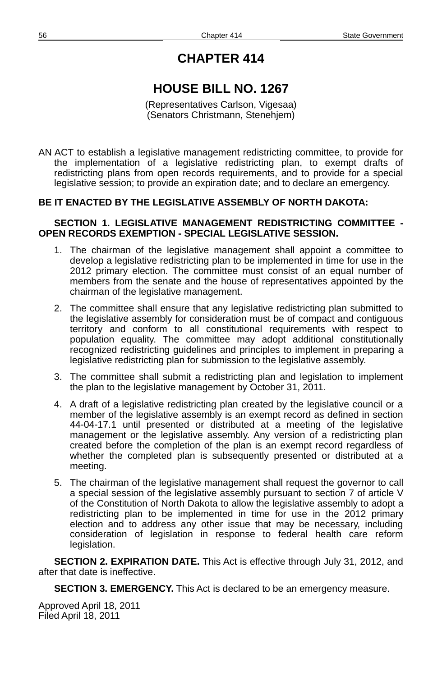# **HOUSE BILL NO. 1267**

(Representatives Carlson, Vigesaa) (Senators Christmann, Stenehjem)

AN ACT to establish a legislative management redistricting committee, to provide for the implementation of a legislative redistricting plan, to exempt drafts of redistricting plans from open records requirements, and to provide for a special legislative session; to provide an expiration date; and to declare an emergency.

### **BE IT ENACTED BY THE LEGISLATIVE ASSEMBLY OF NORTH DAKOTA:**

#### **SECTION 1. LEGISLATIVE MANAGEMENT REDISTRICTING COMMITTEE - OPEN RECORDS EXEMPTION - SPECIAL LEGISLATIVE SESSION.**

- 1. The chairman of the legislative management shall appoint a committee to develop a legislative redistricting plan to be implemented in time for use in the 2012 primary election. The committee must consist of an equal number of members from the senate and the house of representatives appointed by the chairman of the legislative management.
- 2. The committee shall ensure that any legislative redistricting plan submitted to the legislative assembly for consideration must be of compact and contiguous territory and conform to all constitutional requirements with respect to population equality. The committee may adopt additional constitutionally recognized redistricting guidelines and principles to implement in preparing a legislative redistricting plan for submission to the legislative assembly.
- 3. The committee shall submit a redistricting plan and legislation to implement the plan to the legislative management by October 31, 2011.
- 4. A draft of a legislative redistricting plan created by the legislative council or a member of the legislative assembly is an exempt record as defined in section 44-04-17.1 until presented or distributed at a meeting of the legislative management or the legislative assembly. Any version of a redistricting plan created before the completion of the plan is an exempt record regardless of whether the completed plan is subsequently presented or distributed at a meeting.
- 5. The chairman of the legislative management shall request the governor to call a special session of the legislative assembly pursuant to section 7 of article V of the Constitution of North Dakota to allow the legislative assembly to adopt a redistricting plan to be implemented in time for use in the 2012 primary election and to address any other issue that may be necessary, including consideration of legislation in response to federal health care reform legislation.

**SECTION 2. EXPIRATION DATE.** This Act is effective through July 31, 2012, and after that date is ineffective.

**SECTION 3. EMERGENCY.** This Act is declared to be an emergency measure.

Approved April 18, 2011 Filed April 18, 2011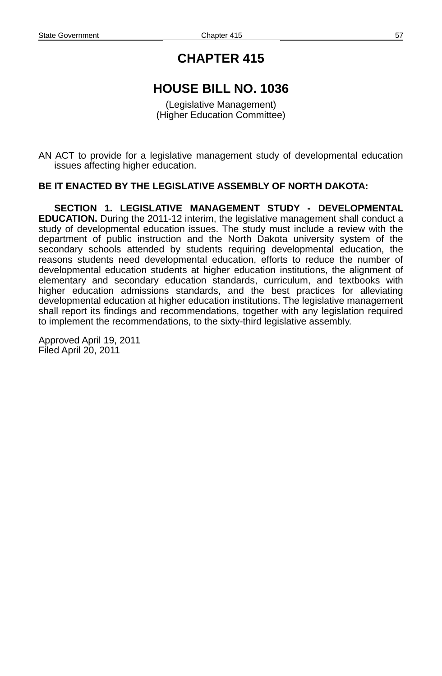## **HOUSE BILL NO. 1036**

(Legislative Management) (Higher Education Committee)

AN ACT to provide for a legislative management study of developmental education issues affecting higher education.

#### **BE IT ENACTED BY THE LEGISLATIVE ASSEMBLY OF NORTH DAKOTA:**

**SECTION 1. LEGISLATIVE MANAGEMENT STUDY - DEVELOPMENTAL EDUCATION.** During the 2011-12 interim, the legislative management shall conduct a study of developmental education issues. The study must include a review with the department of public instruction and the North Dakota university system of the secondary schools attended by students requiring developmental education, the reasons students need developmental education, efforts to reduce the number of developmental education students at higher education institutions, the alignment of elementary and secondary education standards, curriculum, and textbooks with higher education admissions standards, and the best practices for alleviating developmental education at higher education institutions. The legislative management shall report its findings and recommendations, together with any legislation required to implement the recommendations, to the sixty-third legislative assembly.

Approved April 19, 2011 Filed April 20, 2011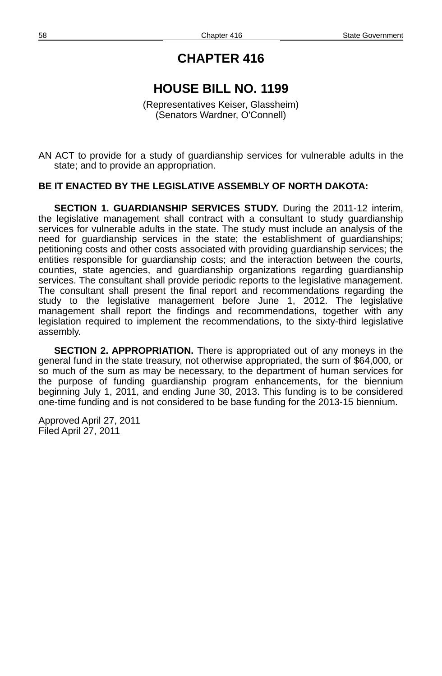# **HOUSE BILL NO. 1199**

(Representatives Keiser, Glassheim) (Senators Wardner, O'Connell)

AN ACT to provide for a study of guardianship services for vulnerable adults in the state; and to provide an appropriation.

#### **BE IT ENACTED BY THE LEGISLATIVE ASSEMBLY OF NORTH DAKOTA:**

**SECTION 1. GUARDIANSHIP SERVICES STUDY.** During the 2011-12 interim, the legislative management shall contract with a consultant to study guardianship services for vulnerable adults in the state. The study must include an analysis of the need for guardianship services in the state; the establishment of guardianships; petitioning costs and other costs associated with providing guardianship services; the entities responsible for guardianship costs; and the interaction between the courts, counties, state agencies, and guardianship organizations regarding guardianship services. The consultant shall provide periodic reports to the legislative management. The consultant shall present the final report and recommendations regarding the study to the legislative management before June 1, 2012. The legislative management shall report the findings and recommendations, together with any legislation required to implement the recommendations, to the sixty-third legislative assembly.

**SECTION 2. APPROPRIATION.** There is appropriated out of any moneys in the general fund in the state treasury, not otherwise appropriated, the sum of \$64,000, or so much of the sum as may be necessary, to the department of human services for the purpose of funding guardianship program enhancements, for the biennium beginning July 1, 2011, and ending June 30, 2013. This funding is to be considered one-time funding and is not considered to be base funding for the 2013-15 biennium.

Approved April 27, 2011 Filed April 27, 2011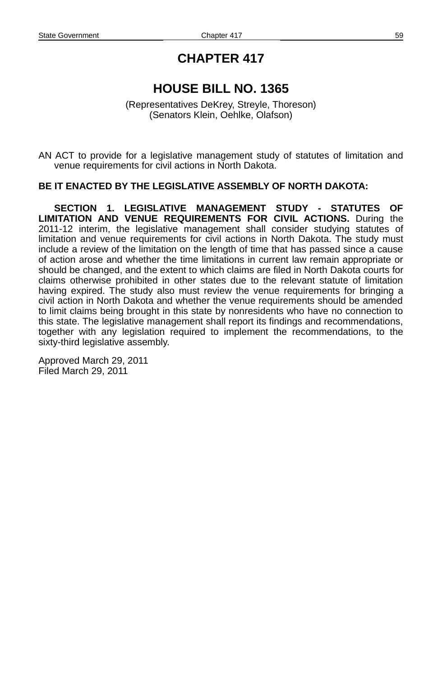# **HOUSE BILL NO. 1365**

(Representatives DeKrey, Streyle, Thoreson) (Senators Klein, Oehlke, Olafson)

AN ACT to provide for a legislative management study of statutes of limitation and venue requirements for civil actions in North Dakota.

#### **BE IT ENACTED BY THE LEGISLATIVE ASSEMBLY OF NORTH DAKOTA:**

**SECTION 1. LEGISLATIVE MANAGEMENT STUDY - STATUTES OF LIMITATION AND VENUE REQUIREMENTS FOR CIVIL ACTIONS.** During the 2011-12 interim, the legislative management shall consider studying statutes of limitation and venue requirements for civil actions in North Dakota. The study must include a review of the limitation on the length of time that has passed since a cause of action arose and whether the time limitations in current law remain appropriate or should be changed, and the extent to which claims are filed in North Dakota courts for claims otherwise prohibited in other states due to the relevant statute of limitation having expired. The study also must review the venue requirements for bringing a civil action in North Dakota and whether the venue requirements should be amended to limit claims being brought in this state by nonresidents who have no connection to this state. The legislative management shall report its findings and recommendations, together with any legislation required to implement the recommendations, to the sixty-third legislative assembly.

Approved March 29, 2011 Filed March 29, 2011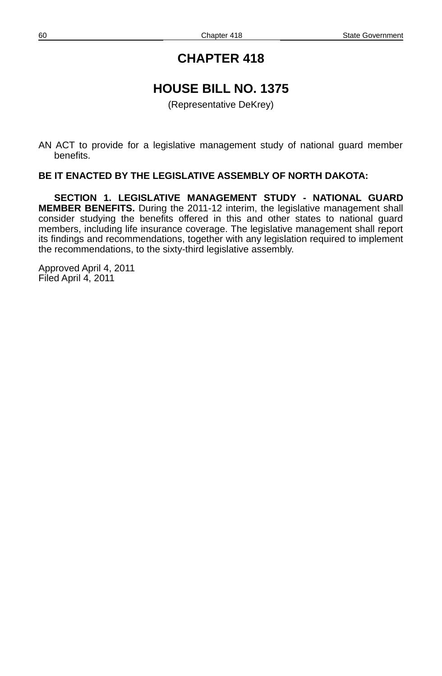## **HOUSE BILL NO. 1375**

(Representative DeKrey)

AN ACT to provide for a legislative management study of national guard member benefits.

#### **BE IT ENACTED BY THE LEGISLATIVE ASSEMBLY OF NORTH DAKOTA:**

**SECTION 1. LEGISLATIVE MANAGEMENT STUDY - NATIONAL GUARD MEMBER BENEFITS.** During the 2011-12 interim, the legislative management shall consider studying the benefits offered in this and other states to national guard members, including life insurance coverage. The legislative management shall report its findings and recommendations, together with any legislation required to implement the recommendations, to the sixty-third legislative assembly.

Approved April 4, 2011 Filed April 4, 2011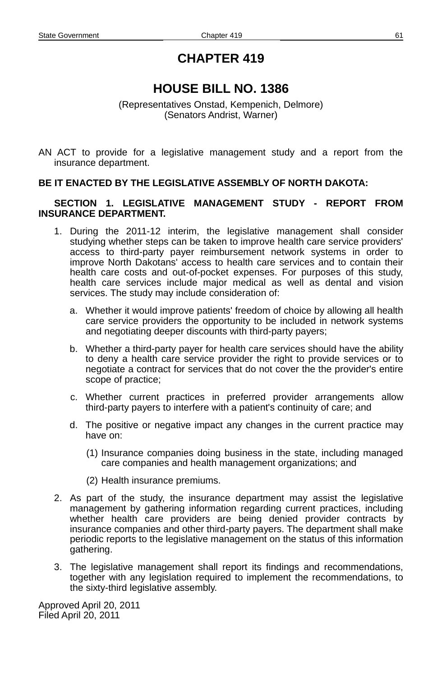# **HOUSE BILL NO. 1386**

(Representatives Onstad, Kempenich, Delmore) (Senators Andrist, Warner)

AN ACT to provide for a legislative management study and a report from the insurance department.

### **BE IT ENACTED BY THE LEGISLATIVE ASSEMBLY OF NORTH DAKOTA:**

#### **SECTION 1. LEGISLATIVE MANAGEMENT STUDY - REPORT FROM INSURANCE DEPARTMENT.**

- 1. During the 2011-12 interim, the legislative management shall consider studying whether steps can be taken to improve health care service providers' access to third-party payer reimbursement network systems in order to improve North Dakotans' access to health care services and to contain their health care costs and out-of-pocket expenses. For purposes of this study, health care services include major medical as well as dental and vision services. The study may include consideration of:
	- a. Whether it would improve patients' freedom of choice by allowing all health care service providers the opportunity to be included in network systems and negotiating deeper discounts with third-party payers;
	- b. Whether a third-party payer for health care services should have the ability to deny a health care service provider the right to provide services or to negotiate a contract for services that do not cover the the provider's entire scope of practice;
	- c. Whether current practices in preferred provider arrangements allow third-party payers to interfere with a patient's continuity of care; and
	- d. The positive or negative impact any changes in the current practice may have on:
		- (1) Insurance companies doing business in the state, including managed care companies and health management organizations; and
		- (2) Health insurance premiums.
- 2. As part of the study, the insurance department may assist the legislative management by gathering information regarding current practices, including whether health care providers are being denied provider contracts by insurance companies and other third-party payers. The department shall make periodic reports to the legislative management on the status of this information gathering.
- 3. The legislative management shall report its findings and recommendations, together with any legislation required to implement the recommendations, to the sixty-third legislative assembly.

Approved April 20, 2011 Filed April 20, 2011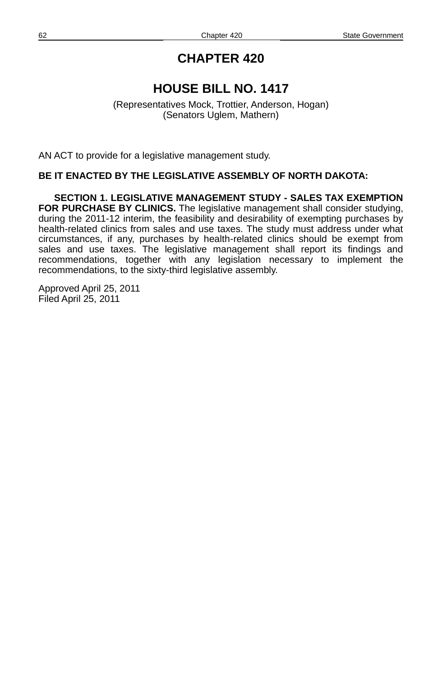# **HOUSE BILL NO. 1417**

(Representatives Mock, Trottier, Anderson, Hogan) (Senators Uglem, Mathern)

AN ACT to provide for a legislative management study.

### **BE IT ENACTED BY THE LEGISLATIVE ASSEMBLY OF NORTH DAKOTA:**

**SECTION 1. LEGISLATIVE MANAGEMENT STUDY - SALES TAX EXEMPTION FOR PURCHASE BY CLINICS.** The legislative management shall consider studying, during the 2011-12 interim, the feasibility and desirability of exempting purchases by health-related clinics from sales and use taxes. The study must address under what circumstances, if any, purchases by health-related clinics should be exempt from sales and use taxes. The legislative management shall report its findings and recommendations, together with any legislation necessary to implement the recommendations, to the sixty-third legislative assembly.

Approved April 25, 2011 Filed April 25, 2011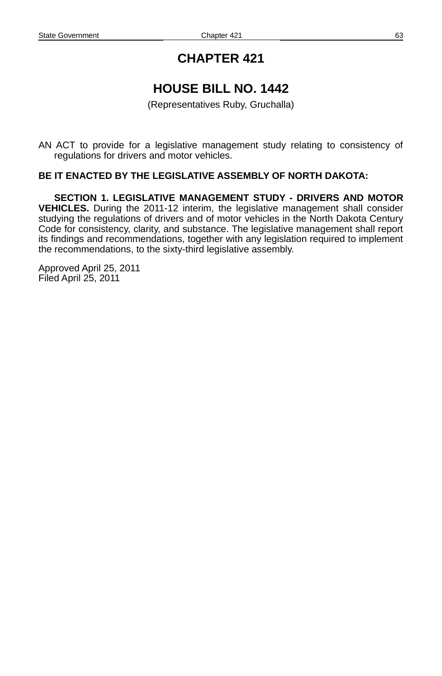# **HOUSE BILL NO. 1442**

(Representatives Ruby, Gruchalla)

AN ACT to provide for a legislative management study relating to consistency of regulations for drivers and motor vehicles.

#### **BE IT ENACTED BY THE LEGISLATIVE ASSEMBLY OF NORTH DAKOTA:**

**SECTION 1. LEGISLATIVE MANAGEMENT STUDY - DRIVERS AND MOTOR VEHICLES.** During the 2011-12 interim, the legislative management shall consider studying the regulations of drivers and of motor vehicles in the North Dakota Century Code for consistency, clarity, and substance. The legislative management shall report its findings and recommendations, together with any legislation required to implement the recommendations, to the sixty-third legislative assembly.

Approved April 25, 2011 Filed April 25, 2011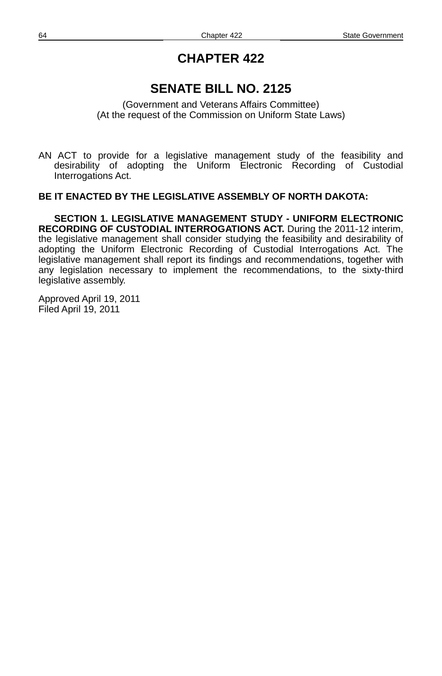# **SENATE BILL NO. 2125**

(Government and Veterans Affairs Committee) (At the request of the Commission on Uniform State Laws)

AN ACT to provide for a legislative management study of the feasibility and desirability of adopting the Uniform Electronic Recording of Custodial Interrogations Act.

### **BE IT ENACTED BY THE LEGISLATIVE ASSEMBLY OF NORTH DAKOTA:**

**SECTION 1. LEGISLATIVE MANAGEMENT STUDY - UNIFORM ELECTRONIC RECORDING OF CUSTODIAL INTERROGATIONS ACT.** During the 2011-12 interim, the legislative management shall consider studying the feasibility and desirability of adopting the Uniform Electronic Recording of Custodial Interrogations Act. The legislative management shall report its findings and recommendations, together with any legislation necessary to implement the recommendations, to the sixty-third legislative assembly.

Approved April 19, 2011 Filed April 19, 2011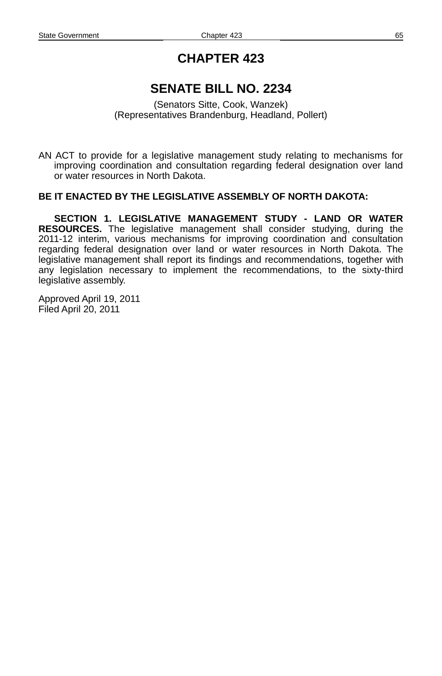# **SENATE BILL NO. 2234**

(Senators Sitte, Cook, Wanzek) (Representatives Brandenburg, Headland, Pollert)

AN ACT to provide for a legislative management study relating to mechanisms for improving coordination and consultation regarding federal designation over land or water resources in North Dakota.

### **BE IT ENACTED BY THE LEGISLATIVE ASSEMBLY OF NORTH DAKOTA:**

**SECTION 1. LEGISLATIVE MANAGEMENT STUDY - LAND OR WATER RESOURCES.** The legislative management shall consider studying, during the 2011-12 interim, various mechanisms for improving coordination and consultation regarding federal designation over land or water resources in North Dakota. The legislative management shall report its findings and recommendations, together with any legislation necessary to implement the recommendations, to the sixty-third legislative assembly.

Approved April 19, 2011 Filed April 20, 2011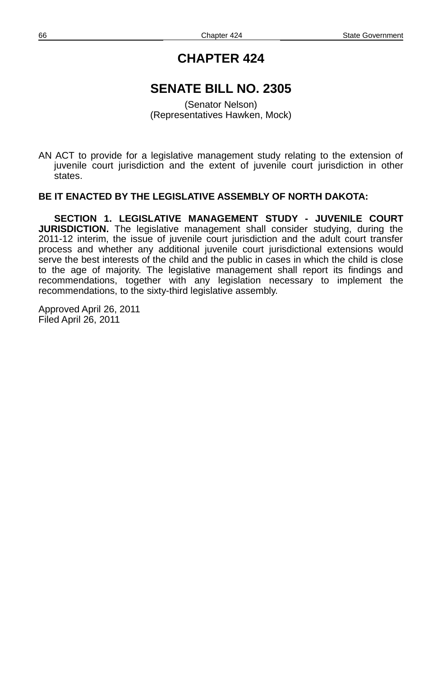## **SENATE BILL NO. 2305**

(Senator Nelson) (Representatives Hawken, Mock)

AN ACT to provide for a legislative management study relating to the extension of juvenile court jurisdiction and the extent of juvenile court jurisdiction in other states.

### **BE IT ENACTED BY THE LEGISLATIVE ASSEMBLY OF NORTH DAKOTA:**

**SECTION 1. LEGISLATIVE MANAGEMENT STUDY - JUVENILE COURT JURISDICTION.** The legislative management shall consider studying, during the 2011-12 interim, the issue of juvenile court jurisdiction and the adult court transfer process and whether any additional juvenile court jurisdictional extensions would serve the best interests of the child and the public in cases in which the child is close to the age of majority. The legislative management shall report its findings and recommendations, together with any legislation necessary to implement the recommendations, to the sixty-third legislative assembly.

Approved April 26, 2011 Filed April 26, 2011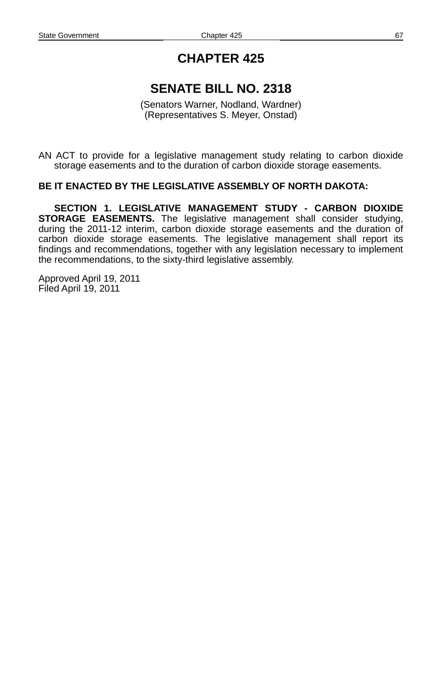# **SENATE BILL NO. 2318**

(Senators Warner, Nodland, Wardner) (Representatives S. Meyer, Onstad)

AN ACT to provide for a legislative management study relating to carbon dioxide storage easements and to the duration of carbon dioxide storage easements.

### **BE IT ENACTED BY THE LEGISLATIVE ASSEMBLY OF NORTH DAKOTA:**

**SECTION 1. LEGISLATIVE MANAGEMENT STUDY - CARBON DIOXIDE STORAGE EASEMENTS.** The legislative management shall consider studying, during the 2011-12 interim, carbon dioxide storage easements and the duration of carbon dioxide storage easements. The legislative management shall report its findings and recommendations, together with any legislation necessary to implement the recommendations, to the sixty-third legislative assembly.

Approved April 19, 2011 Filed April 19, 2011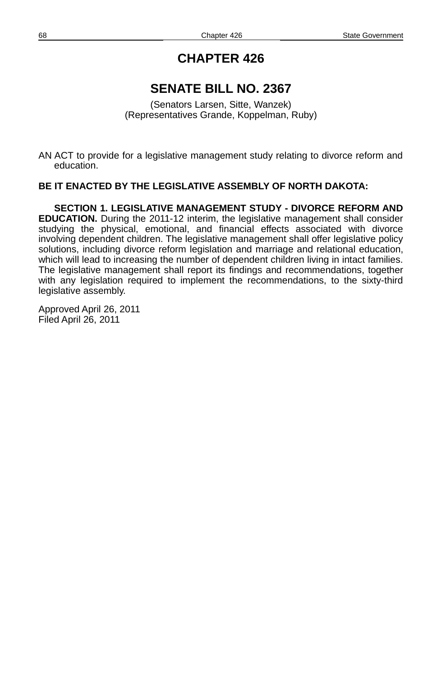## **SENATE BILL NO. 2367**

(Senators Larsen, Sitte, Wanzek) (Representatives Grande, Koppelman, Ruby)

AN ACT to provide for a legislative management study relating to divorce reform and education.

#### **BE IT ENACTED BY THE LEGISLATIVE ASSEMBLY OF NORTH DAKOTA:**

**SECTION 1. LEGISLATIVE MANAGEMENT STUDY - DIVORCE REFORM AND EDUCATION.** During the 2011-12 interim, the legislative management shall consider studying the physical, emotional, and financial effects associated with divorce involving dependent children. The legislative management shall offer legislative policy solutions, including divorce reform legislation and marriage and relational education, which will lead to increasing the number of dependent children living in intact families. The legislative management shall report its findings and recommendations, together with any legislation required to implement the recommendations, to the sixty-third legislative assembly.

Approved April 26, 2011 Filed April 26, 2011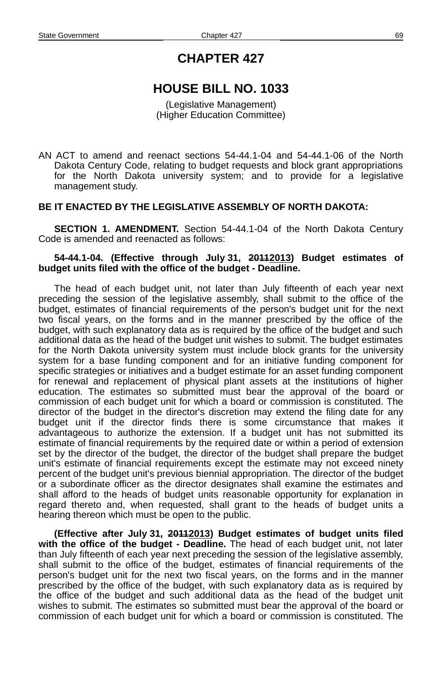## **HOUSE BILL NO. 1033**

(Legislative Management) (Higher Education Committee)

AN ACT to amend and reenact sections 54-44.1-04 and 54-44.1-06 of the North Dakota Century Code, relating to budget requests and block grant appropriations for the North Dakota university system; and to provide for a legislative management study.

#### **BE IT ENACTED BY THE LEGISLATIVE ASSEMBLY OF NORTH DAKOTA:**

**SECTION 1. AMENDMENT.** Section 54-44.1-04 of the North Dakota Century Code is amended and reenacted as follows:

#### **54-44.1-04. (Effective through July 31, 20112013) Budget estimates of budget units filed with the office of the budget - Deadline.**

The head of each budget unit, not later than July fifteenth of each year next preceding the session of the legislative assembly, shall submit to the office of the budget, estimates of financial requirements of the person's budget unit for the next two fiscal years, on the forms and in the manner prescribed by the office of the budget, with such explanatory data as is required by the office of the budget and such additional data as the head of the budget unit wishes to submit. The budget estimates for the North Dakota university system must include block grants for the university system for a base funding component and for an initiative funding component for specific strategies or initiatives and a budget estimate for an asset funding component for renewal and replacement of physical plant assets at the institutions of higher education. The estimates so submitted must bear the approval of the board or commission of each budget unit for which a board or commission is constituted. The director of the budget in the director's discretion may extend the filing date for any budget unit if the director finds there is some circumstance that makes it advantageous to authorize the extension. If a budget unit has not submitted its estimate of financial requirements by the required date or within a period of extension set by the director of the budget, the director of the budget shall prepare the budget unit's estimate of financial requirements except the estimate may not exceed ninety percent of the budget unit's previous biennial appropriation. The director of the budget or a subordinate officer as the director designates shall examine the estimates and shall afford to the heads of budget units reasonable opportunity for explanation in regard thereto and, when requested, shall grant to the heads of budget units a hearing thereon which must be open to the public.

**(Effective after July 31, 20112013) Budget estimates of budget units filed with the office of the budget - Deadline.** The head of each budget unit, not later than July fifteenth of each year next preceding the session of the legislative assembly, shall submit to the office of the budget, estimates of financial requirements of the person's budget unit for the next two fiscal years, on the forms and in the manner prescribed by the office of the budget, with such explanatory data as is required by the office of the budget and such additional data as the head of the budget unit wishes to submit. The estimates so submitted must bear the approval of the board or commission of each budget unit for which a board or commission is constituted. The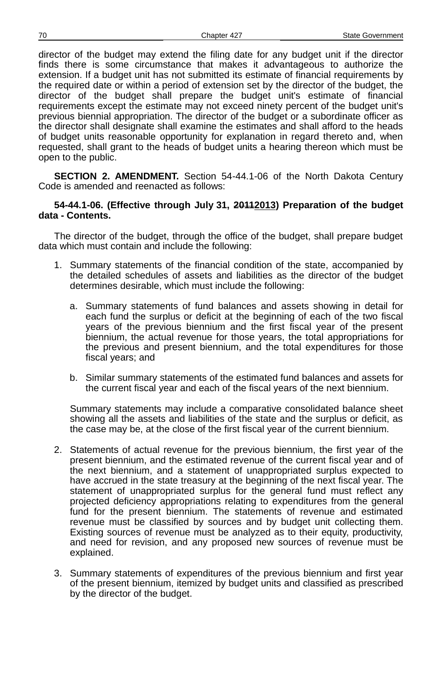director of the budget may extend the filing date for any budget unit if the director finds there is some circumstance that makes it advantageous to authorize the extension. If a budget unit has not submitted its estimate of financial requirements by the required date or within a period of extension set by the director of the budget, the director of the budget shall prepare the budget unit's estimate of financial requirements except the estimate may not exceed ninety percent of the budget unit's previous biennial appropriation. The director of the budget or a subordinate officer as the director shall designate shall examine the estimates and shall afford to the heads of budget units reasonable opportunity for explanation in regard thereto and, when requested, shall grant to the heads of budget units a hearing thereon which must be open to the public.

**SECTION 2. AMENDMENT.** Section 54-44.1-06 of the North Dakota Century Code is amended and reenacted as follows:

### **54-44.1-06. (Effective through July 31, 20112013) Preparation of the budget data - Contents.**

The director of the budget, through the office of the budget, shall prepare budget data which must contain and include the following:

- 1. Summary statements of the financial condition of the state, accompanied by the detailed schedules of assets and liabilities as the director of the budget determines desirable, which must include the following:
	- a. Summary statements of fund balances and assets showing in detail for each fund the surplus or deficit at the beginning of each of the two fiscal years of the previous biennium and the first fiscal year of the present biennium, the actual revenue for those years, the total appropriations for the previous and present biennium, and the total expenditures for those fiscal years; and
	- b. Similar summary statements of the estimated fund balances and assets for the current fiscal year and each of the fiscal years of the next biennium.

Summary statements may include a comparative consolidated balance sheet showing all the assets and liabilities of the state and the surplus or deficit, as the case may be, at the close of the first fiscal year of the current biennium.

- 2. Statements of actual revenue for the previous biennium, the first year of the present biennium, and the estimated revenue of the current fiscal year and of the next biennium, and a statement of unappropriated surplus expected to have accrued in the state treasury at the beginning of the next fiscal year. The statement of unappropriated surplus for the general fund must reflect any projected deficiency appropriations relating to expenditures from the general fund for the present biennium. The statements of revenue and estimated revenue must be classified by sources and by budget unit collecting them. Existing sources of revenue must be analyzed as to their equity, productivity, and need for revision, and any proposed new sources of revenue must be explained.
- 3. Summary statements of expenditures of the previous biennium and first year of the present biennium, itemized by budget units and classified as prescribed by the director of the budget.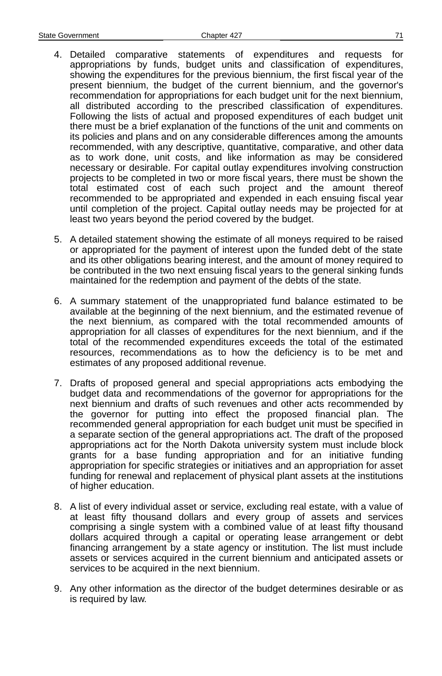- 4. Detailed comparative statements of expenditures and requests for appropriations by funds, budget units and classification of expenditures, showing the expenditures for the previous biennium, the first fiscal year of the present biennium, the budget of the current biennium, and the governor's recommendation for appropriations for each budget unit for the next biennium, all distributed according to the prescribed classification of expenditures. Following the lists of actual and proposed expenditures of each budget unit there must be a brief explanation of the functions of the unit and comments on its policies and plans and on any considerable differences among the amounts recommended, with any descriptive, quantitative, comparative, and other data as to work done, unit costs, and like information as may be considered necessary or desirable. For capital outlay expenditures involving construction projects to be completed in two or more fiscal years, there must be shown the total estimated cost of each such project and the amount thereof recommended to be appropriated and expended in each ensuing fiscal year until completion of the project. Capital outlay needs may be projected for at least two years beyond the period covered by the budget.
- 5. A detailed statement showing the estimate of all moneys required to be raised or appropriated for the payment of interest upon the funded debt of the state and its other obligations bearing interest, and the amount of money required to be contributed in the two next ensuing fiscal years to the general sinking funds maintained for the redemption and payment of the debts of the state.
- 6. A summary statement of the unappropriated fund balance estimated to be available at the beginning of the next biennium, and the estimated revenue of the next biennium, as compared with the total recommended amounts of appropriation for all classes of expenditures for the next biennium, and if the total of the recommended expenditures exceeds the total of the estimated resources, recommendations as to how the deficiency is to be met and estimates of any proposed additional revenue.
- 7. Drafts of proposed general and special appropriations acts embodying the budget data and recommendations of the governor for appropriations for the next biennium and drafts of such revenues and other acts recommended by the governor for putting into effect the proposed financial plan. The recommended general appropriation for each budget unit must be specified in a separate section of the general appropriations act. The draft of the proposed appropriations act for the North Dakota university system must include block grants for a base funding appropriation and for an initiative funding appropriation for specific strategies or initiatives and an appropriation for asset funding for renewal and replacement of physical plant assets at the institutions of higher education.
- 8. A list of every individual asset or service, excluding real estate, with a value of at least fifty thousand dollars and every group of assets and services comprising a single system with a combined value of at least fifty thousand dollars acquired through a capital or operating lease arrangement or debt financing arrangement by a state agency or institution. The list must include assets or services acquired in the current biennium and anticipated assets or services to be acquired in the next biennium.
- 9. Any other information as the director of the budget determines desirable or as is required by law.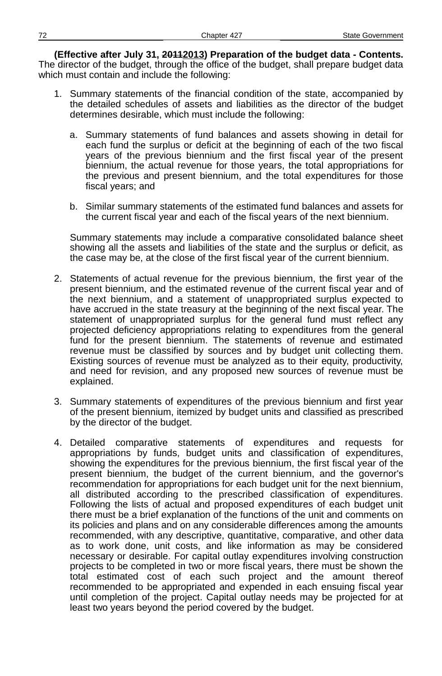(Effective after July 31, 2011-2013) Preparation of the budget data - Contents. The director of the budget, through the office of the budget, shall prepare budget data which must contain and include the following:

- 1. Summary statements of the financial condition of the state, accompanied by the detailed schedules of assets and liabilities as the director of the budget determines desirable, which must include the following:
	- a. Summary statements of fund balances and assets showing in detail for each fund the surplus or deficit at the beginning of each of the two fiscal years of the previous biennium and the first fiscal year of the present biennium, the actual revenue for those years, the total appropriations for the previous and present biennium, and the total expenditures for those fiscal years; and
	- b. Similar summary statements of the estimated fund balances and assets for the current fiscal year and each of the fiscal years of the next biennium.

Summary statements may include a comparative consolidated balance sheet showing all the assets and liabilities of the state and the surplus or deficit, as the case may be, at the close of the first fiscal year of the current biennium.

- 2. Statements of actual revenue for the previous biennium, the first year of the present biennium, and the estimated revenue of the current fiscal year and of the next biennium, and a statement of unappropriated surplus expected to have accrued in the state treasury at the beginning of the next fiscal year. The statement of unappropriated surplus for the general fund must reflect any projected deficiency appropriations relating to expenditures from the general fund for the present biennium. The statements of revenue and estimated revenue must be classified by sources and by budget unit collecting them. Existing sources of revenue must be analyzed as to their equity, productivity, and need for revision, and any proposed new sources of revenue must be explained.
- 3. Summary statements of expenditures of the previous biennium and first year of the present biennium, itemized by budget units and classified as prescribed by the director of the budget.
- 4. Detailed comparative statements of expenditures and requests for appropriations by funds, budget units and classification of expenditures, showing the expenditures for the previous biennium, the first fiscal year of the present biennium, the budget of the current biennium, and the governor's recommendation for appropriations for each budget unit for the next biennium, all distributed according to the prescribed classification of expenditures. Following the lists of actual and proposed expenditures of each budget unit there must be a brief explanation of the functions of the unit and comments on its policies and plans and on any considerable differences among the amounts recommended, with any descriptive, quantitative, comparative, and other data as to work done, unit costs, and like information as may be considered necessary or desirable. For capital outlay expenditures involving construction projects to be completed in two or more fiscal years, there must be shown the total estimated cost of each such project and the amount thereof recommended to be appropriated and expended in each ensuing fiscal year until completion of the project. Capital outlay needs may be projected for at least two years beyond the period covered by the budget.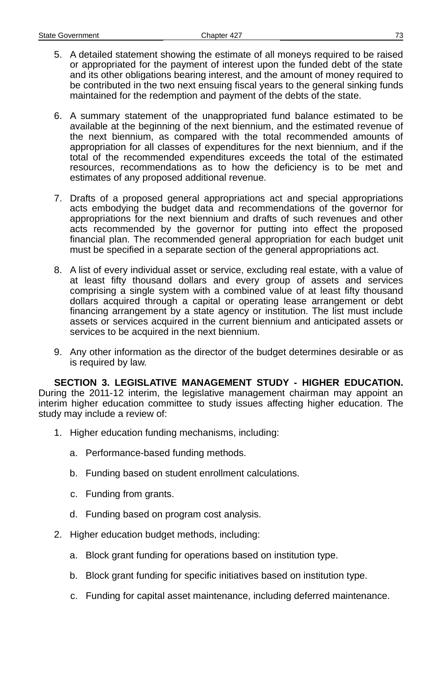- 5. A detailed statement showing the estimate of all moneys required to be raised or appropriated for the payment of interest upon the funded debt of the state and its other obligations bearing interest, and the amount of money required to be contributed in the two next ensuing fiscal years to the general sinking funds maintained for the redemption and payment of the debts of the state.
- 6. A summary statement of the unappropriated fund balance estimated to be available at the beginning of the next biennium, and the estimated revenue of the next biennium, as compared with the total recommended amounts of appropriation for all classes of expenditures for the next biennium, and if the total of the recommended expenditures exceeds the total of the estimated resources, recommendations as to how the deficiency is to be met and estimates of any proposed additional revenue.
- 7. Drafts of a proposed general appropriations act and special appropriations acts embodying the budget data and recommendations of the governor for appropriations for the next biennium and drafts of such revenues and other acts recommended by the governor for putting into effect the proposed financial plan. The recommended general appropriation for each budget unit must be specified in a separate section of the general appropriations act.
- 8. A list of every individual asset or service, excluding real estate, with a value of at least fifty thousand dollars and every group of assets and services comprising a single system with a combined value of at least fifty thousand dollars acquired through a capital or operating lease arrangement or debt financing arrangement by a state agency or institution. The list must include assets or services acquired in the current biennium and anticipated assets or services to be acquired in the next biennium.
- 9. Any other information as the director of the budget determines desirable or as is required by law.

**SECTION 3. LEGISLATIVE MANAGEMENT STUDY - HIGHER EDUCATION.** During the 2011-12 interim, the legislative management chairman may appoint an interim higher education committee to study issues affecting higher education. The study may include a review of:

- 1. Higher education funding mechanisms, including:
	- a. Performance-based funding methods.
	- b. Funding based on student enrollment calculations.
	- c. Funding from grants.
	- d. Funding based on program cost analysis.
- 2. Higher education budget methods, including:
	- a. Block grant funding for operations based on institution type.
	- b. Block grant funding for specific initiatives based on institution type.
	- c. Funding for capital asset maintenance, including deferred maintenance.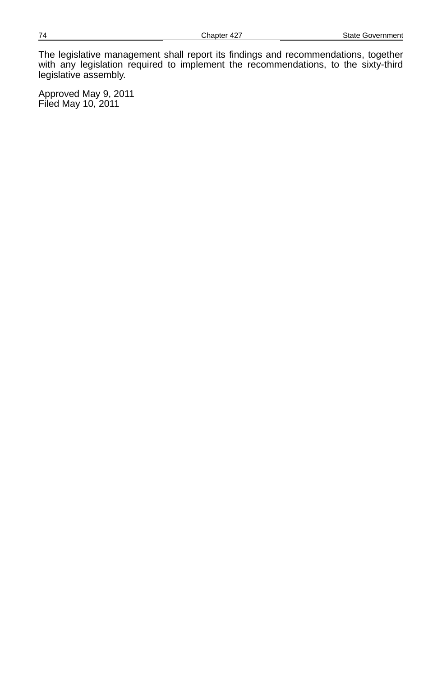The legislative management shall report its findings and recommendations, together with any legislation required to implement the recommendations, to the sixty-third legislative assembly.

Approved May 9, 2011 Filed May 10, 2011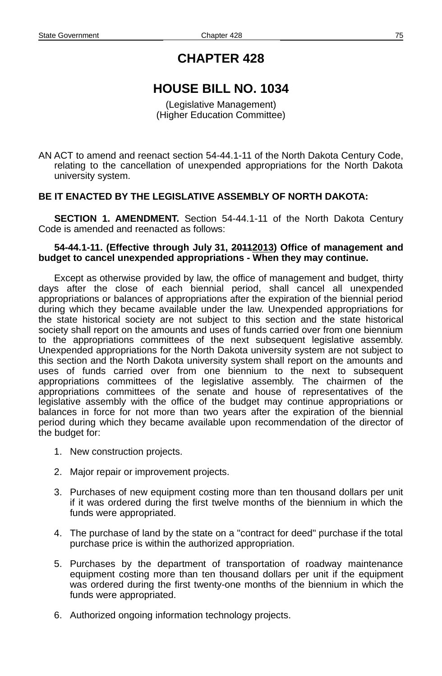# **HOUSE BILL NO. 1034**

(Legislative Management) (Higher Education Committee)

AN ACT to amend and reenact section 54-44.1-11 of the North Dakota Century Code, relating to the cancellation of unexpended appropriations for the North Dakota university system.

## **BE IT ENACTED BY THE LEGISLATIVE ASSEMBLY OF NORTH DAKOTA:**

**SECTION 1. AMENDMENT.** Section 54-44.1-11 of the North Dakota Century Code is amended and reenacted as follows:

#### 54-44.1-11. (Effective through July 31, 20112013) Office of management and **budget to cancel unexpended appropriations - When they may continue.**

Except as otherwise provided by law, the office of management and budget, thirty days after the close of each biennial period, shall cancel all unexpended appropriations or balances of appropriations after the expiration of the biennial period during which they became available under the law. Unexpended appropriations for the state historical society are not subject to this section and the state historical society shall report on the amounts and uses of funds carried over from one biennium to the appropriations committees of the next subsequent legislative assembly. Unexpended appropriations for the North Dakota university system are not subject to this section and the North Dakota university system shall report on the amounts and uses of funds carried over from one biennium to the next to subsequent appropriations committees of the legislative assembly. The chairmen of the appropriations committees of the senate and house of representatives of the legislative assembly with the office of the budget may continue appropriations or balances in force for not more than two years after the expiration of the biennial period during which they became available upon recommendation of the director of the budget for:

- 1. New construction projects.
- 2. Major repair or improvement projects.
- 3. Purchases of new equipment costing more than ten thousand dollars per unit if it was ordered during the first twelve months of the biennium in which the funds were appropriated.
- 4. The purchase of land by the state on a "contract for deed" purchase if the total purchase price is within the authorized appropriation.
- 5. Purchases by the department of transportation of roadway maintenance equipment costing more than ten thousand dollars per unit if the equipment was ordered during the first twenty-one months of the biennium in which the funds were appropriated.
- 6. Authorized ongoing information technology projects.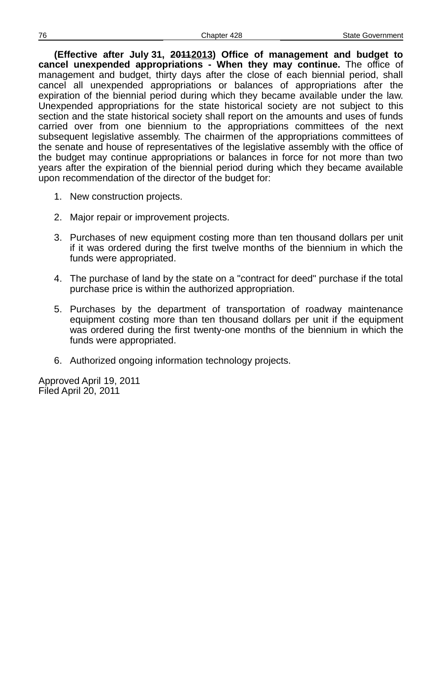**(Effective after July 31, 20112013) Office of management and budget to cancel unexpended appropriations - When they may continue.** The office of management and budget, thirty days after the close of each biennial period, shall cancel all unexpended appropriations or balances of appropriations after the expiration of the biennial period during which they became available under the law. Unexpended appropriations for the state historical society are not subject to this section and the state historical society shall report on the amounts and uses of funds carried over from one biennium to the appropriations committees of the next subsequent legislative assembly. The chairmen of the appropriations committees of the senate and house of representatives of the legislative assembly with the office of the budget may continue appropriations or balances in force for not more than two years after the expiration of the biennial period during which they became available upon recommendation of the director of the budget for:

- 1. New construction projects.
- 2. Major repair or improvement projects.
- 3. Purchases of new equipment costing more than ten thousand dollars per unit if it was ordered during the first twelve months of the biennium in which the funds were appropriated.
- 4. The purchase of land by the state on a "contract for deed" purchase if the total purchase price is within the authorized appropriation.
- 5. Purchases by the department of transportation of roadway maintenance equipment costing more than ten thousand dollars per unit if the equipment was ordered during the first twenty-one months of the biennium in which the funds were appropriated.
- 6. Authorized ongoing information technology projects.

Approved April 19, 2011 Filed April 20, 2011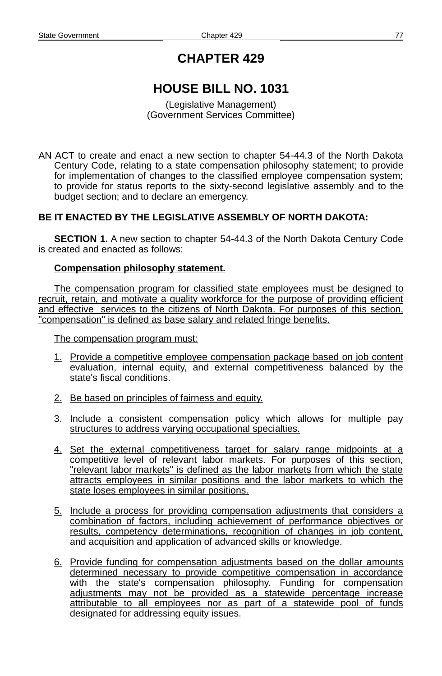# **HOUSE BILL NO. 1031**

(Legislative Management) (Government Services Committee)

AN ACT to create and enact a new section to chapter 54-44.3 of the North Dakota Century Code, relating to a state compensation philosophy statement; to provide for implementation of changes to the classified employee compensation system; to provide for status reports to the sixty-second legislative assembly and to the budget section; and to declare an emergency.

## **BE IT ENACTED BY THE LEGISLATIVE ASSEMBLY OF NORTH DAKOTA:**

**SECTION 1.** A new section to chapter 54-44.3 of the North Dakota Century Code is created and enacted as follows:

#### **Compensation philosophy statement.**

The compensation program for classified state employees must be designed to recruit, retain, and motivate a quality workforce for the purpose of providing efficient and effective services to the citizens of North Dakota. For purposes of this section, "compensation" is defined as base salary and related fringe benefits.

The compensation program must:

- 1. Provide a competitive employee compensation package based on job content evaluation, internal equity, and external competitiveness balanced by the state's fiscal conditions.
- 2. Be based on principles of fairness and equity.
- 3. Include a consistent compensation policy which allows for multiple pay structures to address varying occupational specialties.
- 4. Set the external competitiveness target for salary range midpoints at a competitive level of relevant labor markets. For purposes of this section, "relevant labor markets" is defined as the labor markets from which the state attracts employees in similar positions and the labor markets to which the state loses employees in similar positions.
- 5. Include a process for providing compensation adjustments that considers a combination of factors, including achievement of performance objectives or results, competency determinations, recognition of changes in job content, and acquisition and application of advanced skills or knowledge.
- 6. Provide funding for compensation adjustments based on the dollar amounts determined necessary to provide competitive compensation in accordance with the state's compensation philosophy. Funding for compensation adjustments may not be provided as a statewide percentage increase attributable to all employees nor as part of a statewide pool of funds designated for addressing equity issues.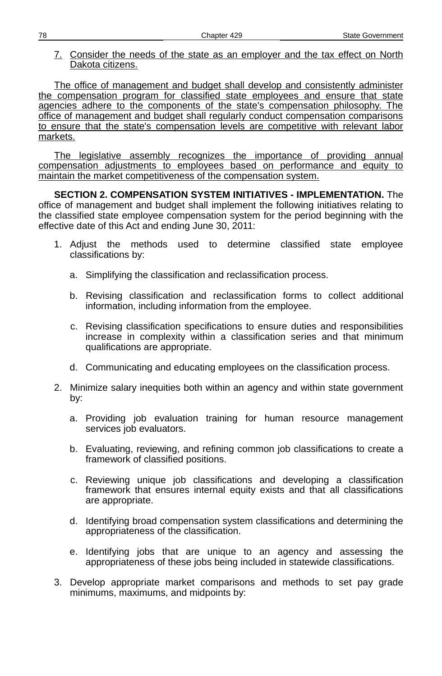7. Consider the needs of the state as an employer and the tax effect on North Dakota citizens.

The office of management and budget shall develop and consistently administer the compensation program for classified state employees and ensure that state agencies adhere to the components of the state's compensation philosophy. The office of management and budget shall regularly conduct compensation comparisons to ensure that the state's compensation levels are competitive with relevant labor markets.

The legislative assembly recognizes the importance of providing annual compensation adjustments to employees based on performance and equity to maintain the market competitiveness of the compensation system.

**SECTION 2. COMPENSATION SYSTEM INITIATIVES - IMPLEMENTATION.** The office of management and budget shall implement the following initiatives relating to the classified state employee compensation system for the period beginning with the effective date of this Act and ending June 30, 2011:

- 1. Adjust the methods used to determine classified state employee classifications by:
	- a. Simplifying the classification and reclassification process.
	- b. Revising classification and reclassification forms to collect additional information, including information from the employee.
	- c. Revising classification specifications to ensure duties and responsibilities increase in complexity within a classification series and that minimum qualifications are appropriate.
	- d. Communicating and educating employees on the classification process.
- 2. Minimize salary inequities both within an agency and within state government by:
	- a. Providing job evaluation training for human resource management services job evaluators.
	- b. Evaluating, reviewing, and refining common job classifications to create a framework of classified positions.
	- c. Reviewing unique job classifications and developing a classification framework that ensures internal equity exists and that all classifications are appropriate.
	- d. Identifying broad compensation system classifications and determining the appropriateness of the classification.
	- e. Identifying jobs that are unique to an agency and assessing the appropriateness of these jobs being included in statewide classifications.
- 3. Develop appropriate market comparisons and methods to set pay grade minimums, maximums, and midpoints by: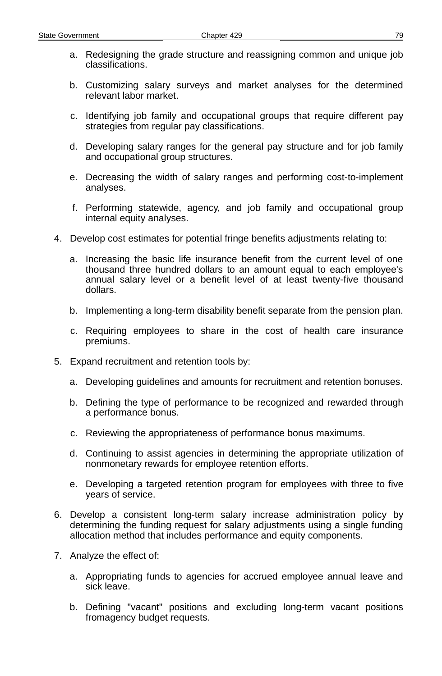- a. Redesigning the grade structure and reassigning common and unique job classifications.
- b. Customizing salary surveys and market analyses for the determined relevant labor market.
- c. Identifying job family and occupational groups that require different pay strategies from regular pay classifications.
- d. Developing salary ranges for the general pay structure and for job family and occupational group structures.
- e. Decreasing the width of salary ranges and performing cost-to-implement analyses.
- f. Performing statewide, agency, and job family and occupational group internal equity analyses.
- 4. Develop cost estimates for potential fringe benefits adjustments relating to:
	- a. Increasing the basic life insurance benefit from the current level of one thousand three hundred dollars to an amount equal to each employee's annual salary level or a benefit level of at least twenty-five thousand dollars.
	- b. Implementing a long-term disability benefit separate from the pension plan.
	- c. Requiring employees to share in the cost of health care insurance premiums.
- 5. Expand recruitment and retention tools by:
	- a. Developing guidelines and amounts for recruitment and retention bonuses.
	- b. Defining the type of performance to be recognized and rewarded through a performance bonus.
	- c. Reviewing the appropriateness of performance bonus maximums.
	- d. Continuing to assist agencies in determining the appropriate utilization of nonmonetary rewards for employee retention efforts.
	- e. Developing a targeted retention program for employees with three to five years of service.
- 6. Develop a consistent long-term salary increase administration policy by determining the funding request for salary adjustments using a single funding allocation method that includes performance and equity components.
- 7. Analyze the effect of:
	- a. Appropriating funds to agencies for accrued employee annual leave and sick leave.
	- b. Defining "vacant" positions and excluding long-term vacant positions fromagency budget requests.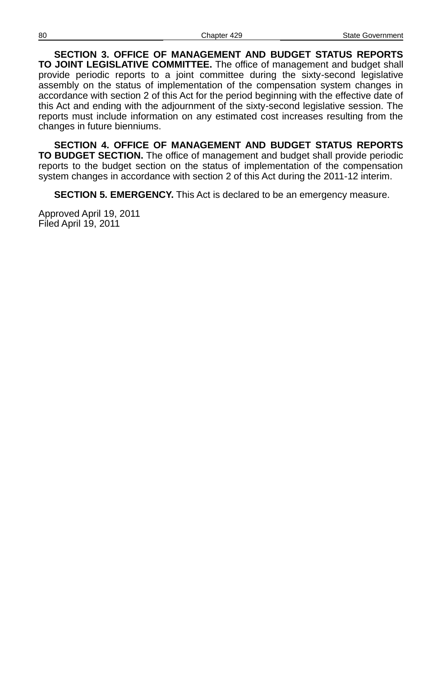**SECTION 3. OFFICE OF MANAGEMENT AND BUDGET STATUS REPORTS TO JOINT LEGISLATIVE COMMITTEE.** The office of management and budget shall provide periodic reports to a joint committee during the sixty-second legislative assembly on the status of implementation of the compensation system changes in accordance with section 2 of this Act for the period beginning with the effective date of this Act and ending with the adjournment of the sixty-second legislative session. The reports must include information on any estimated cost increases resulting from the changes in future bienniums.

**SECTION 4. OFFICE OF MANAGEMENT AND BUDGET STATUS REPORTS TO BUDGET SECTION.** The office of management and budget shall provide periodic reports to the budget section on the status of implementation of the compensation system changes in accordance with section 2 of this Act during the 2011-12 interim.

**SECTION 5. EMERGENCY.** This Act is declared to be an emergency measure.

Approved April 19, 2011 Filed April 19, 2011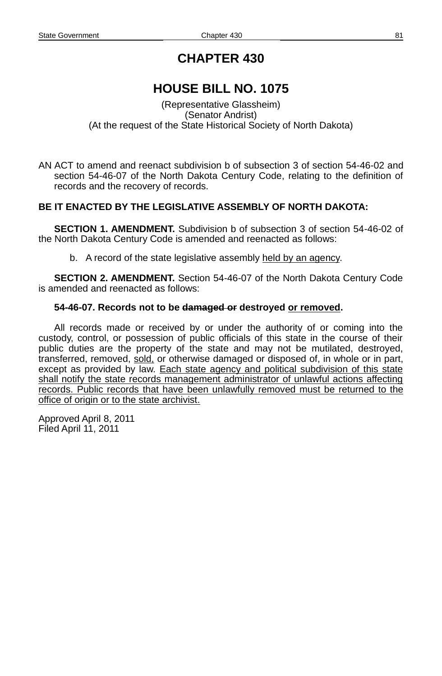# **HOUSE BILL NO. 1075**

(Representative Glassheim) (Senator Andrist) (At the request of the State Historical Society of North Dakota)

AN ACT to amend and reenact subdivision b of subsection 3 of section 54-46-02 and section 54-46-07 of the North Dakota Century Code, relating to the definition of records and the recovery of records.

## **BE IT ENACTED BY THE LEGISLATIVE ASSEMBLY OF NORTH DAKOTA:**

**SECTION 1. AMENDMENT.** Subdivision b of subsection 3 of section 54-46-02 of the North Dakota Century Code is amended and reenacted as follows:

b. A record of the state legislative assembly held by an agency.

**SECTION 2. AMENDMENT.** Section 54-46-07 of the North Dakota Century Code is amended and reenacted as follows:

#### **54-46-07. Records not to be damaged or destroyed or removed.**

All records made or received by or under the authority of or coming into the custody, control, or possession of public officials of this state in the course of their public duties are the property of the state and may not be mutilated, destroyed, transferred, removed, sold, or otherwise damaged or disposed of, in whole or in part, except as provided by law. Each state agency and political subdivision of this state shall notify the state records management administrator of unlawful actions affecting records. Public records that have been unlawfully removed must be returned to the office of origin or to the state archivist.

Approved April 8, 2011 Filed April 11, 2011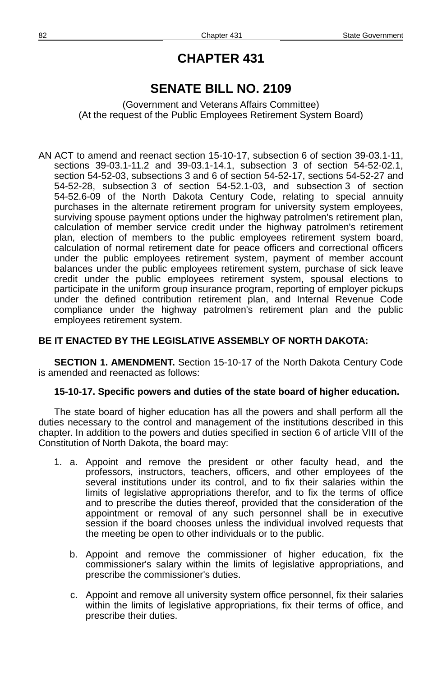## **SENATE BILL NO. 2109**

(Government and Veterans Affairs Committee) (At the request of the Public Employees Retirement System Board)

AN ACT to amend and reenact section 15-10-17, subsection 6 of section 39-03.1-11, sections 39-03.1-11.2 and 39-03.1-14.1, subsection 3 of section 54-52-02.1, section 54-52-03, subsections 3 and 6 of section 54-52-17, sections 54-52-27 and 54-52-28, subsection 3 of section 54-52.1-03, and subsection 3 of section 54-52.6-09 of the North Dakota Century Code, relating to special annuity purchases in the alternate retirement program for university system employees, surviving spouse payment options under the highway patrolmen's retirement plan, calculation of member service credit under the highway patrolmen's retirement plan, election of members to the public employees retirement system board, calculation of normal retirement date for peace officers and correctional officers under the public employees retirement system, payment of member account balances under the public employees retirement system, purchase of sick leave credit under the public employees retirement system, spousal elections to participate in the uniform group insurance program, reporting of employer pickups under the defined contribution retirement plan, and Internal Revenue Code compliance under the highway patrolmen's retirement plan and the public employees retirement system.

## **BE IT ENACTED BY THE LEGISLATIVE ASSEMBLY OF NORTH DAKOTA:**

**SECTION 1. AMENDMENT.** Section 15-10-17 of the North Dakota Century Code is amended and reenacted as follows:

#### **15-10-17. Specific powers and duties of the state board of higher education.**

The state board of higher education has all the powers and shall perform all the duties necessary to the control and management of the institutions described in this chapter. In addition to the powers and duties specified in section 6 of article VIII of the Constitution of North Dakota, the board may:

- 1. a. Appoint and remove the president or other faculty head, and the professors, instructors, teachers, officers, and other employees of the several institutions under its control, and to fix their salaries within the limits of legislative appropriations therefor, and to fix the terms of office and to prescribe the duties thereof, provided that the consideration of the appointment or removal of any such personnel shall be in executive session if the board chooses unless the individual involved requests that the meeting be open to other individuals or to the public.
	- b. Appoint and remove the commissioner of higher education, fix the commissioner's salary within the limits of legislative appropriations, and prescribe the commissioner's duties.
	- c. Appoint and remove all university system office personnel, fix their salaries within the limits of legislative appropriations, fix their terms of office, and prescribe their duties.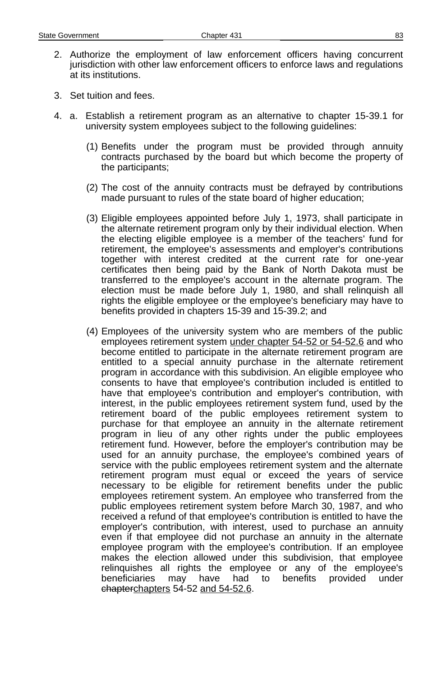- 2. Authorize the employment of law enforcement officers having concurrent jurisdiction with other law enforcement officers to enforce laws and regulations at its institutions.
- 3. Set tuition and fees.
- 4. a. Establish a retirement program as an alternative to chapter 15-39.1 for university system employees subject to the following guidelines:
	- (1) Benefits under the program must be provided through annuity contracts purchased by the board but which become the property of the participants;
	- (2) The cost of the annuity contracts must be defrayed by contributions made pursuant to rules of the state board of higher education;
	- (3) Eligible employees appointed before July 1, 1973, shall participate in the alternate retirement program only by their individual election. When the electing eligible employee is a member of the teachers' fund for retirement, the employee's assessments and employer's contributions together with interest credited at the current rate for one-year certificates then being paid by the Bank of North Dakota must be transferred to the employee's account in the alternate program. The election must be made before July 1, 1980, and shall relinquish all rights the eligible employee or the employee's beneficiary may have to benefits provided in chapters 15-39 and 15-39.2; and
	- (4) Employees of the university system who are members of the public employees retirement system under chapter 54 - 52 or 54 - 52.6 and who become entitled to participate in the alternate retirement program are entitled to a special annuity purchase in the alternate retirement program in accordance with this subdivision. An eligible employee who consents to have that employee's contribution included is entitled to have that employee's contribution and employer's contribution, with interest, in the public employees retirement system fund, used by the retirement board of the public employees retirement system to purchase for that employee an annuity in the alternate retirement program in lieu of any other rights under the public employees retirement fund. However, before the employer's contribution may be used for an annuity purchase, the employee's combined years of service with the public employees retirement system and the alternate retirement program must equal or exceed the years of service necessary to be eligible for retirement benefits under the public employees retirement system. An employee who transferred from the public employees retirement system before March 30, 1987, and who received a refund of that employee's contribution is entitled to have the employer's contribution, with interest, used to purchase an annuity even if that employee did not purchase an annuity in the alternate employee program with the employee's contribution. If an employee makes the election allowed under this subdivision, that employee relinquishes all rights the employee or any of the employee's beneficiaries may have had to benefits provided under chapterchapters 54-52 and 54-52.6.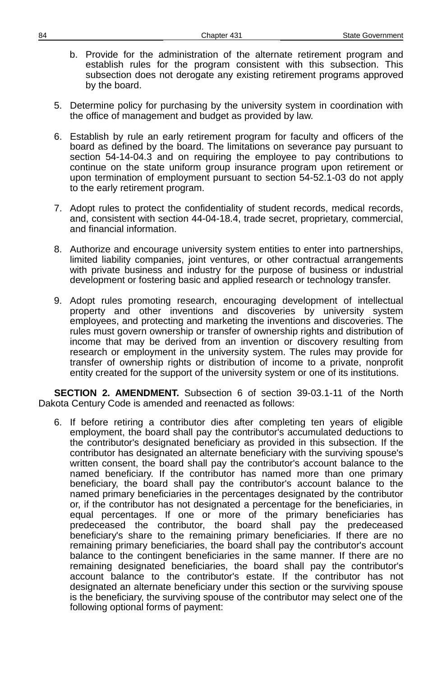- b. Provide for the administration of the alternate retirement program and establish rules for the program consistent with this subsection. This subsection does not derogate any existing retirement programs approved by the board.
- 5. Determine policy for purchasing by the university system in coordination with the office of management and budget as provided by law.
- 6. Establish by rule an early retirement program for faculty and officers of the board as defined by the board. The limitations on severance pay pursuant to section 54-14-04.3 and on requiring the employee to pay contributions to continue on the state uniform group insurance program upon retirement or upon termination of employment pursuant to section 54-52.1-03 do not apply to the early retirement program.
- 7. Adopt rules to protect the confidentiality of student records, medical records, and, consistent with section 44-04-18.4, trade secret, proprietary, commercial, and financial information.
- 8. Authorize and encourage university system entities to enter into partnerships, limited liability companies, joint ventures, or other contractual arrangements with private business and industry for the purpose of business or industrial development or fostering basic and applied research or technology transfer.
- 9. Adopt rules promoting research, encouraging development of intellectual property and other inventions and discoveries by university system employees, and protecting and marketing the inventions and discoveries. The rules must govern ownership or transfer of ownership rights and distribution of income that may be derived from an invention or discovery resulting from research or employment in the university system. The rules may provide for transfer of ownership rights or distribution of income to a private, nonprofit entity created for the support of the university system or one of its institutions.

**SECTION 2. AMENDMENT.** Subsection 6 of section 39-03.1-11 of the North Dakota Century Code is amended and reenacted as follows:

6. If before retiring a contributor dies after completing ten years of eligible employment, the board shall pay the contributor's accumulated deductions to the contributor's designated beneficiary as provided in this subsection. If the contributor has designated an alternate beneficiary with the surviving spouse's written consent, the board shall pay the contributor's account balance to the named beneficiary. If the contributor has named more than one primary beneficiary, the board shall pay the contributor's account balance to the named primary beneficiaries in the percentages designated by the contributor or, if the contributor has not designated a percentage for the beneficiaries, in equal percentages. If one or more of the primary beneficiaries has predeceased the contributor, the board shall pay the predeceased beneficiary's share to the remaining primary beneficiaries. If there are no remaining primary beneficiaries, the board shall pay the contributor's account balance to the contingent beneficiaries in the same manner. If there are no remaining designated beneficiaries, the board shall pay the contributor's account balance to the contributor's estate. If the contributor has not designated an alternate beneficiary under this section or the surviving spouse is the beneficiary, the surviving spouse of the contributor may select one of the following optional forms of payment: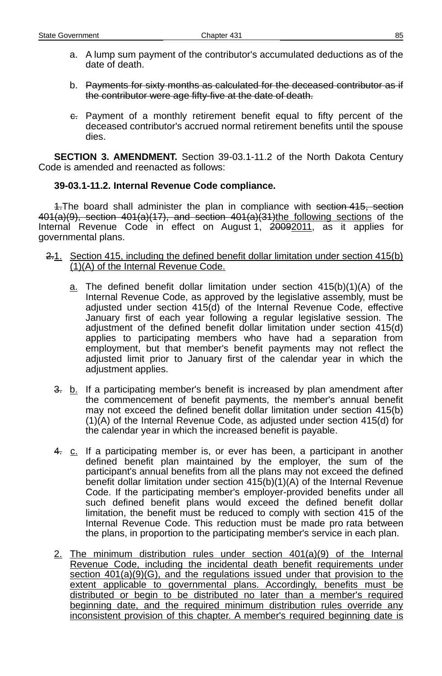- a. A lump sum payment of the contributor's accumulated deductions as of the date of death.
- b. Payments for sixty months as calculated for the deceased contributor as if the contributor were age fifty-five at the date of death.
- $\epsilon$ . Payment of a monthly retirement benefit equal to fifty percent of the deceased contributor's accrued normal retirement benefits until the spouse dies.

**SECTION 3. AMENDMENT.** Section 39-03.1-11.2 of the North Dakota Century Code is amended and reenacted as follows:

## **39-03.1-11.2. Internal Revenue Code compliance.**

1. The board shall administer the plan in compliance with section 415, section 401(a)(9), section 401(a)(17), and section 401(a)(31)the following sections of the Internal Revenue Code in effect on August 1, 20092011, as it applies for governmental plans.

- 2.1. Section 415, including the defined benefit dollar limitation under section 415(b) (1)(A) of the Internal Revenue Code.
	- $a$ . The defined benefit dollar limitation under section  $415(b)(1)(A)$  of the Internal Revenue Code, as approved by the legislative assembly, must be adjusted under section 415(d) of the Internal Revenue Code, effective January first of each year following a regular legislative session. The adjustment of the defined benefit dollar limitation under section 415(d) applies to participating members who have had a separation from employment, but that member's benefit payments may not reflect the adjusted limit prior to January first of the calendar year in which the adjustment applies.
	- $\frac{3}{2}$ . b. If a participating member's benefit is increased by plan amendment after the commencement of benefit payments, the member's annual benefit may not exceed the defined benefit dollar limitation under section 415(b) (1)(A) of the Internal Revenue Code, as adjusted under section 415(d) for the calendar year in which the increased benefit is payable.
	- 4. c. If a participating member is, or ever has been, a participant in another defined benefit plan maintained by the employer, the sum of the participant's annual benefits from all the plans may not exceed the defined benefit dollar limitation under section 415(b)(1)(A) of the Internal Revenue Code. If the participating member's employer-provided benefits under all such defined benefit plans would exceed the defined benefit dollar limitation, the benefit must be reduced to comply with section 415 of the Internal Revenue Code. This reduction must be made pro rata between the plans, in proportion to the participating member's service in each plan.
	- 2. The minimum distribution rules under section 401(a)(9) of the Internal Revenue Code, including the incidental death benefit requirements under section 401(a)(9)(G), and the regulations issued under that provision to the extent applicable to governmental plans. Accordingly, benefits must be distributed or begin to be distributed no later than a member's required beginning date, and the required minimum distribution rules override any inconsistent provision of this chapter. A member's required beginning date is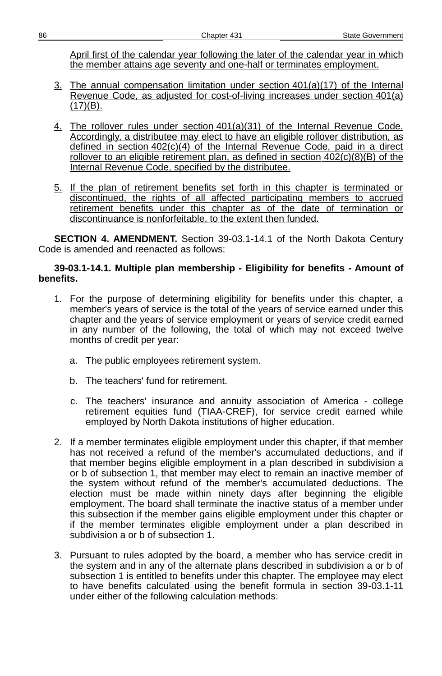April first of the calendar year following the later of the calendar year in which the member attains age seventy and one-half or terminates employment.

- 3. The annual compensation limitation under section 401(a)(17) of the Internal Revenue Code, as adjusted for cost-of-living increases under section 401(a)  $(17)(B)$ .
- 4. The rollover rules under section 401(a)(31) of the Internal Revenue Code. Accordingly, a distributee may elect to have an eligible rollover distribution, as defined in section 402(c)(4) of the Internal Revenue Code, paid in a direct rollover to an eligible retirement plan, as defined in section 402(c)(8)(B) of the Internal Revenue Code, specified by the distributee.
- 5. If the plan of retirement benefits set forth in this chapter is terminated or discontinued, the rights of all affected participating members to accrued retirement benefits under this chapter as of the date of termination or discontinuance is nonforfeitable, to the extent then funded.

**SECTION 4. AMENDMENT.** Section 39-03.1-14.1 of the North Dakota Century Code is amended and reenacted as follows:

#### **39-03.1-14.1. Multiple plan membership - Eligibility for benefits - Amount of benefits.**

- 1. For the purpose of determining eligibility for benefits under this chapter, a member's years of service is the total of the years of service earned under this chapter and the years of service employment or years of service credit earned in any number of the following, the total of which may not exceed twelve months of credit per year:
	- a. The public employees retirement system.
	- b. The teachers' fund for retirement.
	- c. The teachers' insurance and annuity association of America college retirement equities fund (TIAA-CREF), for service credit earned while employed by North Dakota institutions of higher education.
- 2. If a member terminates eligible employment under this chapter, if that member has not received a refund of the member's accumulated deductions, and if that member begins eligible employment in a plan described in subdivision a or b of subsection 1, that member may elect to remain an inactive member of the system without refund of the member's accumulated deductions. The election must be made within ninety days after beginning the eligible employment. The board shall terminate the inactive status of a member under this subsection if the member gains eligible employment under this chapter or if the member terminates eligible employment under a plan described in subdivision a or b of subsection 1.
- 3. Pursuant to rules adopted by the board, a member who has service credit in the system and in any of the alternate plans described in subdivision a or b of subsection 1 is entitled to benefits under this chapter. The employee may elect to have benefits calculated using the benefit formula in section 39-03.1-11 under either of the following calculation methods: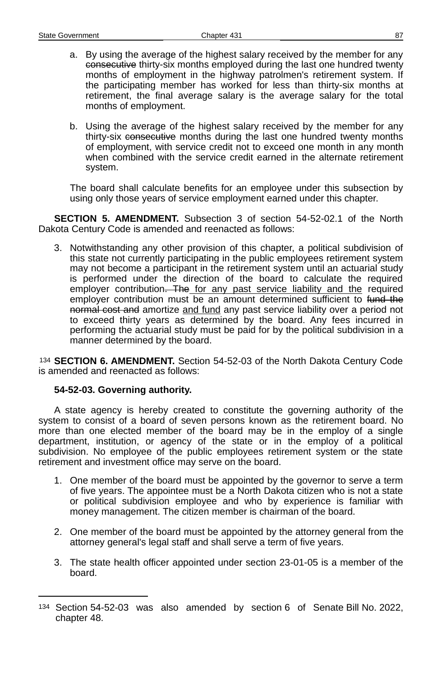- a. By using the average of the highest salary received by the member for any consecutive thirty-six months employed during the last one hundred twenty months of employment in the highway patrolmen's retirement system. If the participating member has worked for less than thirty-six months at retirement, the final average salary is the average salary for the total months of employment.
- b. Using the average of the highest salary received by the member for any thirty-six consecutive months during the last one hundred twenty months of employment, with service credit not to exceed one month in any month when combined with the service credit earned in the alternate retirement system.

The board shall calculate benefits for an employee under this subsection by using only those years of service employment earned under this chapter.

**SECTION 5. AMENDMENT.** Subsection 3 of section 54-52-02.1 of the North Dakota Century Code is amended and reenacted as follows:

3. Notwithstanding any other provision of this chapter, a political subdivision of this state not currently participating in the public employees retirement system may not become a participant in the retirement system until an actuarial study is performed under the direction of the board to calculate the required employer contribution. The for any past service liability and the required employer contribution must be an amount determined sufficient to fund the normal cost and amortize and fund any past service liability over a period not to exceed thirty years as determined by the board. Any fees incurred in performing the actuarial study must be paid for by the political subdivision in a manner determined by the board.

[134](#page-86-0) **SECTION 6. AMENDMENT.** Section 54-52-03 of the North Dakota Century Code is amended and reenacted as follows:

## **54-52-03. Governing authority.**

A state agency is hereby created to constitute the governing authority of the system to consist of a board of seven persons known as the retirement board. No more than one elected member of the board may be in the employ of a single department, institution, or agency of the state or in the employ of a political subdivision. No employee of the public employees retirement system or the state retirement and investment office may serve on the board.

- 1. One member of the board must be appointed by the governor to serve a term of five years. The appointee must be a North Dakota citizen who is not a state or political subdivision employee and who by experience is familiar with money management. The citizen member is chairman of the board.
- 2. One member of the board must be appointed by the attorney general from the attorney general's legal staff and shall serve a term of five years.
- 3. The state health officer appointed under section 23-01-05 is a member of the board.

<span id="page-86-0"></span><sup>134</sup> Section 54-52-03 was also amended by section 6 of Senate Bill No. 2022, chapter 48.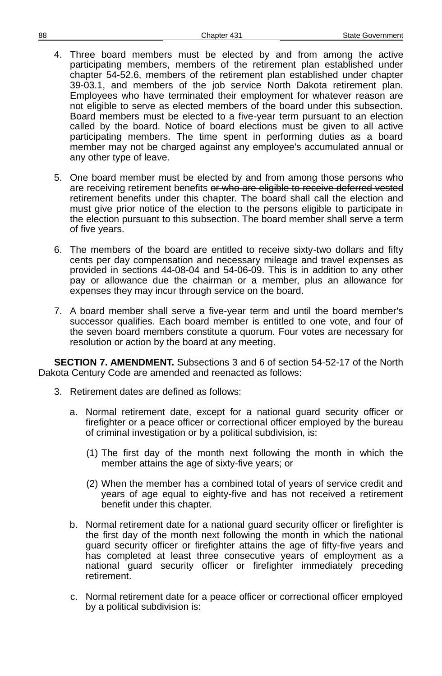- 4. Three board members must be elected by and from among the active participating members, members of the retirement plan established under chapter 54-52.6, members of the retirement plan established under chapter 39-03.1, and members of the job service North Dakota retirement plan. Employees who have terminated their employment for whatever reason are not eligible to serve as elected members of the board under this subsection. Board members must be elected to a five-year term pursuant to an election called by the board. Notice of board elections must be given to all active participating members. The time spent in performing duties as a board member may not be charged against any employee's accumulated annual or any other type of leave.
- 5. One board member must be elected by and from among those persons who are receiving retirement benefits or who are eligible to receive deferred vested retirement benefits under this chapter. The board shall call the election and must give prior notice of the election to the persons eligible to participate in the election pursuant to this subsection. The board member shall serve a term of five years.
- 6. The members of the board are entitled to receive sixty-two dollars and fifty cents per day compensation and necessary mileage and travel expenses as provided in sections 44-08-04 and 54-06-09. This is in addition to any other pay or allowance due the chairman or a member, plus an allowance for expenses they may incur through service on the board.
- 7. A board member shall serve a five-year term and until the board member's successor qualifies. Each board member is entitled to one vote, and four of the seven board members constitute a quorum. Four votes are necessary for resolution or action by the board at any meeting.

**SECTION 7. AMENDMENT.** Subsections 3 and 6 of section 54-52-17 of the North Dakota Century Code are amended and reenacted as follows:

- 3. Retirement dates are defined as follows:
	- a. Normal retirement date, except for a national guard security officer or firefighter or a peace officer or correctional officer employed by the bureau of criminal investigation or by a political subdivision, is:
		- (1) The first day of the month next following the month in which the member attains the age of sixty-five years; or
		- (2) When the member has a combined total of years of service credit and years of age equal to eighty-five and has not received a retirement benefit under this chapter.
	- b. Normal retirement date for a national guard security officer or firefighter is the first day of the month next following the month in which the national guard security officer or firefighter attains the age of fifty-five years and has completed at least three consecutive years of employment as a national guard security officer or firefighter immediately preceding retirement.
	- c. Normal retirement date for a peace officer or correctional officer employed by a political subdivision is: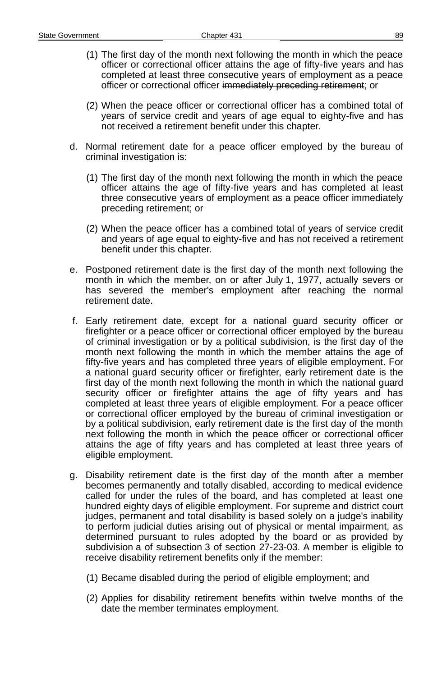- (1) The first day of the month next following the month in which the peace officer or correctional officer attains the age of fifty-five years and has completed at least three consecutive years of employment as a peace officer or correctional officer immediately preceding retirement; or
- (2) When the peace officer or correctional officer has a combined total of years of service credit and years of age equal to eighty-five and has not received a retirement benefit under this chapter.
- d. Normal retirement date for a peace officer employed by the bureau of criminal investigation is:
	- (1) The first day of the month next following the month in which the peace officer attains the age of fifty-five years and has completed at least three consecutive years of employment as a peace officer immediately preceding retirement; or
	- (2) When the peace officer has a combined total of years of service credit and years of age equal to eighty-five and has not received a retirement benefit under this chapter.
- e. Postponed retirement date is the first day of the month next following the month in which the member, on or after July 1, 1977, actually severs or has severed the member's employment after reaching the normal retirement date.
- f. Early retirement date, except for a national guard security officer or firefighter or a peace officer or correctional officer employed by the bureau of criminal investigation or by a political subdivision, is the first day of the month next following the month in which the member attains the age of fifty-five years and has completed three years of eligible employment. For a national guard security officer or firefighter, early retirement date is the first day of the month next following the month in which the national guard security officer or firefighter attains the age of fifty years and has completed at least three years of eligible employment. For a peace officer or correctional officer employed by the bureau of criminal investigation or by a political subdivision, early retirement date is the first day of the month next following the month in which the peace officer or correctional officer attains the age of fifty years and has completed at least three years of eligible employment.
- g. Disability retirement date is the first day of the month after a member becomes permanently and totally disabled, according to medical evidence called for under the rules of the board, and has completed at least one hundred eighty days of eligible employment. For supreme and district court judges, permanent and total disability is based solely on a judge's inability to perform judicial duties arising out of physical or mental impairment, as determined pursuant to rules adopted by the board or as provided by subdivision a of subsection 3 of section 27-23-03. A member is eligible to receive disability retirement benefits only if the member:
	- (1) Became disabled during the period of eligible employment; and
	- (2) Applies for disability retirement benefits within twelve months of the date the member terminates employment.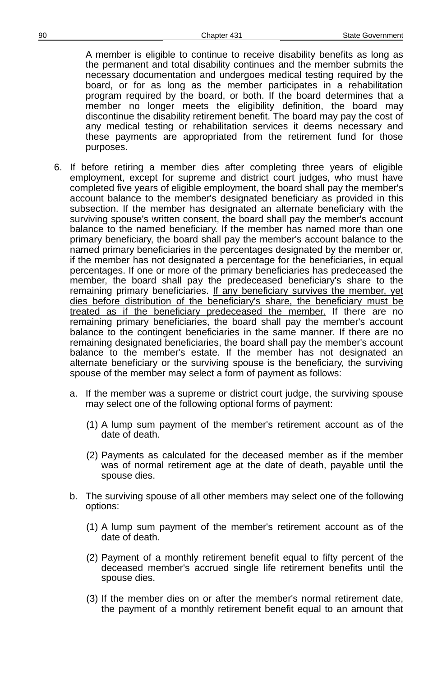A member is eligible to continue to receive disability benefits as long as the permanent and total disability continues and the member submits the necessary documentation and undergoes medical testing required by the board, or for as long as the member participates in a rehabilitation program required by the board, or both. If the board determines that a member no longer meets the eligibility definition, the board may discontinue the disability retirement benefit. The board may pay the cost of any medical testing or rehabilitation services it deems necessary and these payments are appropriated from the retirement fund for those purposes.

- 6. If before retiring a member dies after completing three years of eligible employment, except for supreme and district court judges, who must have completed five years of eligible employment, the board shall pay the member's account balance to the member's designated beneficiary as provided in this subsection. If the member has designated an alternate beneficiary with the surviving spouse's written consent, the board shall pay the member's account balance to the named beneficiary. If the member has named more than one primary beneficiary, the board shall pay the member's account balance to the named primary beneficiaries in the percentages designated by the member or, if the member has not designated a percentage for the beneficiaries, in equal percentages. If one or more of the primary beneficiaries has predeceased the member, the board shall pay the predeceased beneficiary's share to the remaining primary beneficiaries. If any beneficiary survives the member, yet dies before distribution of the beneficiary's share, the beneficiary must be treated as if the beneficiary predeceased the member. If there are no remaining primary beneficiaries, the board shall pay the member's account balance to the contingent beneficiaries in the same manner. If there are no remaining designated beneficiaries, the board shall pay the member's account balance to the member's estate. If the member has not designated an alternate beneficiary or the surviving spouse is the beneficiary, the surviving spouse of the member may select a form of payment as follows:
	- a. If the member was a supreme or district court judge, the surviving spouse may select one of the following optional forms of payment:
		- (1) A lump sum payment of the member's retirement account as of the date of death.
		- (2) Payments as calculated for the deceased member as if the member was of normal retirement age at the date of death, payable until the spouse dies.
	- b. The surviving spouse of all other members may select one of the following options:
		- (1) A lump sum payment of the member's retirement account as of the date of death.
		- (2) Payment of a monthly retirement benefit equal to fifty percent of the deceased member's accrued single life retirement benefits until the spouse dies.
		- (3) If the member dies on or after the member's normal retirement date, the payment of a monthly retirement benefit equal to an amount that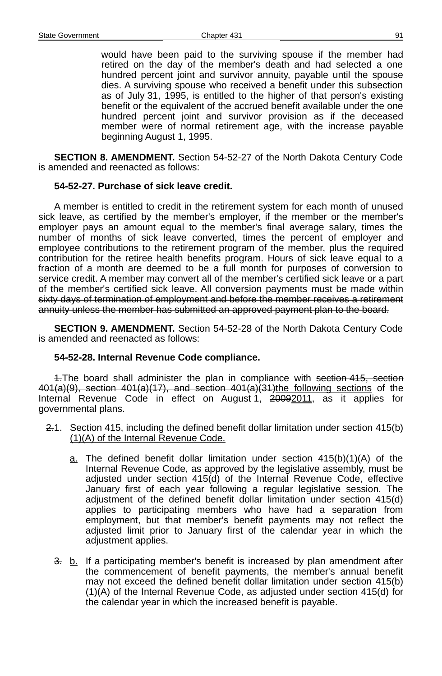would have been paid to the surviving spouse if the member had retired on the day of the member's death and had selected a one hundred percent joint and survivor annuity, payable until the spouse dies. A surviving spouse who received a benefit under this subsection as of July 31, 1995, is entitled to the higher of that person's existing benefit or the equivalent of the accrued benefit available under the one hundred percent joint and survivor provision as if the deceased member were of normal retirement age, with the increase payable beginning August 1, 1995.

**SECTION 8. AMENDMENT.** Section 54-52-27 of the North Dakota Century Code is amended and reenacted as follows:

#### **54-52-27. Purchase of sick leave credit.**

A member is entitled to credit in the retirement system for each month of unused sick leave, as certified by the member's employer, if the member or the member's employer pays an amount equal to the member's final average salary, times the number of months of sick leave converted, times the percent of employer and employee contributions to the retirement program of the member, plus the required contribution for the retiree health benefits program. Hours of sick leave equal to a fraction of a month are deemed to be a full month for purposes of conversion to service credit. A member may convert all of the member's certified sick leave or a part of the member's certified sick leave. All conversion payments must be made within sixty days of termination of employment and before the member receives a retirement annuity unless the member has submitted an approved payment plan to the board.

**SECTION 9. AMENDMENT.** Section 54-52-28 of the North Dakota Century Code is amended and reenacted as follows:

## **54-52-28. Internal Revenue Code compliance.**

4. The board shall administer the plan in compliance with section 415, section 401(a)(9), section 401(a)(17), and section 401(a)(31)the following sections of the Internal Revenue Code in effect on August 1, 20092011, as it applies for governmental plans.

- 2.1. Section 415, including the defined benefit dollar limitation under section 415(b)  $(1)(A)$  of the Internal Revenue Code.
	- $a$ . The defined benefit dollar limitation under section  $415(b)(1)(A)$  of the Internal Revenue Code, as approved by the legislative assembly, must be adjusted under section 415(d) of the Internal Revenue Code, effective January first of each year following a regular legislative session. The adjustment of the defined benefit dollar limitation under section 415(d) applies to participating members who have had a separation from employment, but that member's benefit payments may not reflect the adjusted limit prior to January first of the calendar year in which the adjustment applies.
	- 3. b. If a participating member's benefit is increased by plan amendment after the commencement of benefit payments, the member's annual benefit may not exceed the defined benefit dollar limitation under section 415(b) (1)(A) of the Internal Revenue Code, as adjusted under section 415(d) for the calendar year in which the increased benefit is payable.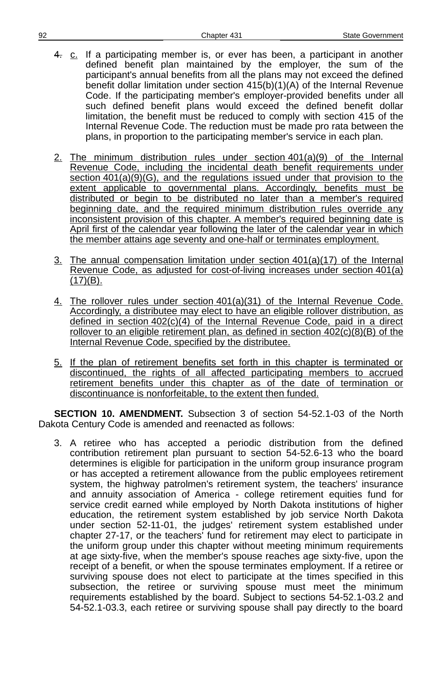- 4. c. If a participating member is, or ever has been, a participant in another defined benefit plan maintained by the employer, the sum of the participant's annual benefits from all the plans may not exceed the defined benefit dollar limitation under section 415(b)(1)(A) of the Internal Revenue Code. If the participating member's employer-provided benefits under all such defined benefit plans would exceed the defined benefit dollar limitation, the benefit must be reduced to comply with section 415 of the Internal Revenue Code. The reduction must be made pro rata between the plans, in proportion to the participating member's service in each plan.
- 2. The minimum distribution rules under section 401(a)(9) of the Internal Revenue Code, including the incidental death benefit requirements under section  $401(a)(9)(G)$ , and the regulations issued under that provision to the extent applicable to governmental plans. Accordingly, benefits must be distributed or begin to be distributed no later than a member's required beginning date, and the required minimum distribution rules override any inconsistent provision of this chapter. A member's required beginning date is April first of the calendar year following the later of the calendar year in which the member attains age seventy and one-half or terminates employment.
- $3.$  The annual compensation limitation under section  $401(a)(17)$  of the Internal Revenue Code, as adjusted for cost-of-living increases under section  $401(a)$  $(17)(B)$ .
- 4. The rollover rules under section 401(a)(31) of the Internal Revenue Code. Accordingly, a distributee may elect to have an eligible rollover distribution, as defined in section 402(c)(4) of the Internal Revenue Code, paid in a direct rollover to an eligible retirement plan, as defined in section  $402(c)(8)(B)$  of the Internal Revenue Code, specified by the distributee.
- 5. If the plan of retirement benefits set forth in this chapter is terminated or discontinued, the rights of all affected participating members to accrued retirement benefits under this chapter as of the date of termination or discontinuance is nonforfeitable, to the extent then funded.

**SECTION 10. AMENDMENT.** Subsection 3 of section 54-52.1-03 of the North Dakota Century Code is amended and reenacted as follows:

3. A retiree who has accepted a periodic distribution from the defined contribution retirement plan pursuant to section 54-52.6-13 who the board determines is eligible for participation in the uniform group insurance program or has accepted a retirement allowance from the public employees retirement system, the highway patrolmen's retirement system, the teachers' insurance and annuity association of America - college retirement equities fund for service credit earned while employed by North Dakota institutions of higher education, the retirement system established by job service North Dakota under section 52-11-01, the judges' retirement system established under chapter 27-17, or the teachers' fund for retirement may elect to participate in the uniform group under this chapter without meeting minimum requirements at age sixty-five, when the member's spouse reaches age sixty-five, upon the receipt of a benefit, or when the spouse terminates employment. If a retiree or surviving spouse does not elect to participate at the times specified in this subsection, the retiree or surviving spouse must meet the minimum requirements established by the board. Subject to sections 54-52.1-03.2 and 54-52.1-03.3, each retiree or surviving spouse shall pay directly to the board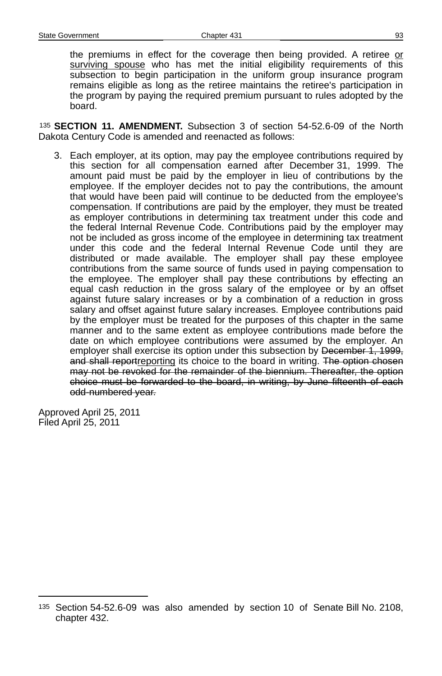the premiums in effect for the coverage then being provided. A retiree or surviving spouse who has met the initial eligibility requirements of this subsection to begin participation in the uniform group insurance program remains eligible as long as the retiree maintains the retiree's participation in the program by paying the required premium pursuant to rules adopted by the board.

[135](#page-92-0) **SECTION 11. AMENDMENT.** Subsection 3 of section 54-52.6-09 of the North Dakota Century Code is amended and reenacted as follows:

3. Each employer, at its option, may pay the employee contributions required by this section for all compensation earned after December 31, 1999. The amount paid must be paid by the employer in lieu of contributions by the employee. If the employer decides not to pay the contributions, the amount that would have been paid will continue to be deducted from the employee's compensation. If contributions are paid by the employer, they must be treated as employer contributions in determining tax treatment under this code and the federal Internal Revenue Code. Contributions paid by the employer may not be included as gross income of the employee in determining tax treatment under this code and the federal Internal Revenue Code until they are distributed or made available. The employer shall pay these employee contributions from the same source of funds used in paying compensation to the employee. The employer shall pay these contributions by effecting an equal cash reduction in the gross salary of the employee or by an offset against future salary increases or by a combination of a reduction in gross salary and offset against future salary increases. Employee contributions paid by the employer must be treated for the purposes of this chapter in the same manner and to the same extent as employee contributions made before the date on which employee contributions were assumed by the employer. An employer shall exercise its option under this subsection by December 1, 1999, and shall reportreporting its choice to the board in writing. The option chosen may not be revoked for the remainder of the biennium. Thereafter, the option choice must be forwarded to the board, in writing, by June fifteenth of each odd-numbered year.

Approved April 25, 2011 Filed April 25, 2011

<span id="page-92-0"></span><sup>135</sup> Section 54-52.6-09 was also amended by section 10 of Senate Bill No. 2108, chapter 432.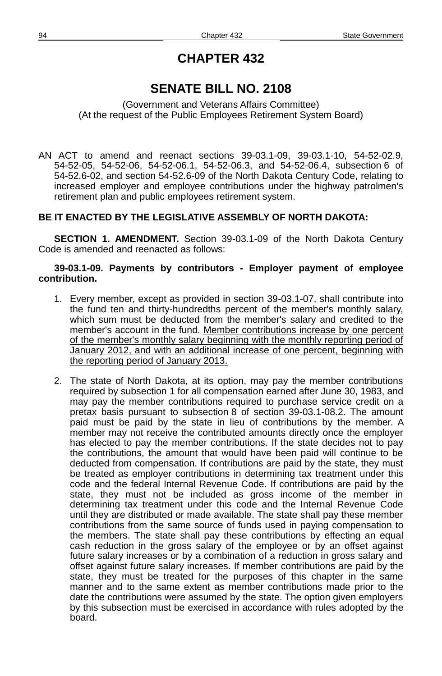# **SENATE BILL NO. 2108**

(Government and Veterans Affairs Committee) (At the request of the Public Employees Retirement System Board)

AN ACT to amend and reenact sections 39-03.1-09, 39-03.1-10, 54-52-02.9, 54-52-05, 54-52-06, 54-52-06.1, 54-52-06.3, and 54-52-06.4, subsection 6 of 54-52.6-02, and section 54-52.6-09 of the North Dakota Century Code, relating to increased employer and employee contributions under the highway patrolmen's retirement plan and public employees retirement system.

## **BE IT ENACTED BY THE LEGISLATIVE ASSEMBLY OF NORTH DAKOTA:**

**SECTION 1. AMENDMENT.** Section 39-03.1-09 of the North Dakota Century Code is amended and reenacted as follows:

#### **39-03.1-09. Payments by contributors - Employer payment of employee contribution.**

- 1. Every member, except as provided in section 39-03.1-07, shall contribute into the fund ten and thirty-hundredths percent of the member's monthly salary, which sum must be deducted from the member's salary and credited to the member's account in the fund. Member contributions increase by one percent of the member's monthly salary beginning with the monthly reporting period of January 2012, and with an additional increase of one percent, beginning with the reporting period of January 2013.
- 2. The state of North Dakota, at its option, may pay the member contributions required by subsection 1 for all compensation earned after June 30, 1983, and may pay the member contributions required to purchase service credit on a pretax basis pursuant to subsection 8 of section 39-03.1-08.2. The amount paid must be paid by the state in lieu of contributions by the member. A member may not receive the contributed amounts directly once the employer has elected to pay the member contributions. If the state decides not to pay the contributions, the amount that would have been paid will continue to be deducted from compensation. If contributions are paid by the state, they must be treated as employer contributions in determining tax treatment under this code and the federal Internal Revenue Code. If contributions are paid by the state, they must not be included as gross income of the member in determining tax treatment under this code and the Internal Revenue Code until they are distributed or made available. The state shall pay these member contributions from the same source of funds used in paying compensation to the members. The state shall pay these contributions by effecting an equal cash reduction in the gross salary of the employee or by an offset against future salary increases or by a combination of a reduction in gross salary and offset against future salary increases. If member contributions are paid by the state, they must be treated for the purposes of this chapter in the same manner and to the same extent as member contributions made prior to the date the contributions were assumed by the state. The option given employers by this subsection must be exercised in accordance with rules adopted by the board.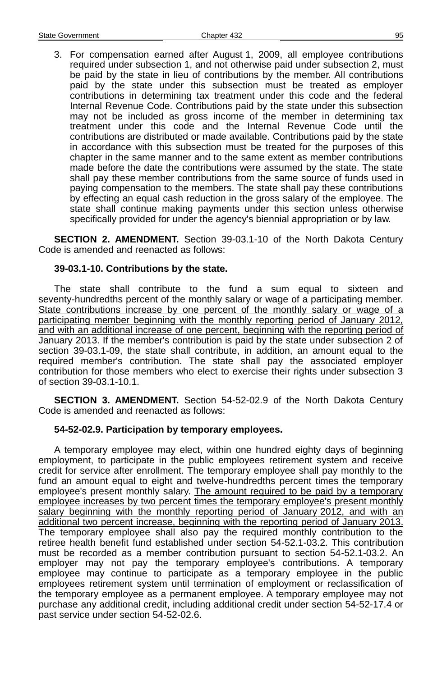3. For compensation earned after August 1, 2009, all employee contributions required under subsection 1, and not otherwise paid under subsection 2, must be paid by the state in lieu of contributions by the member. All contributions paid by the state under this subsection must be treated as employer contributions in determining tax treatment under this code and the federal Internal Revenue Code. Contributions paid by the state under this subsection may not be included as gross income of the member in determining tax treatment under this code and the Internal Revenue Code until the contributions are distributed or made available. Contributions paid by the state in accordance with this subsection must be treated for the purposes of this chapter in the same manner and to the same extent as member contributions made before the date the contributions were assumed by the state. The state shall pay these member contributions from the same source of funds used in paying compensation to the members. The state shall pay these contributions by effecting an equal cash reduction in the gross salary of the employee. The state shall continue making payments under this section unless otherwise specifically provided for under the agency's biennial appropriation or by law.

**SECTION 2. AMENDMENT.** Section 39-03.1-10 of the North Dakota Century Code is amended and reenacted as follows:

#### **39-03.1-10. Contributions by the state.**

The state shall contribute to the fund a sum equal to sixteen and seventy-hundredths percent of the monthly salary or wage of a participating member. State contributions increase by one percent of the monthly salary or wage of a participating member beginning with the monthly reporting period of January 2012, and with an additional increase of one percent, beginning with the reporting period of January 2013. If the member's contribution is paid by the state under subsection 2 of section 39-03.1-09, the state shall contribute, in addition, an amount equal to the required member's contribution. The state shall pay the associated employer contribution for those members who elect to exercise their rights under subsection 3 of section 39-03.1-10.1.

**SECTION 3. AMENDMENT.** Section 54-52-02.9 of the North Dakota Century Code is amended and reenacted as follows:

## **54-52-02.9. Participation by temporary employees.**

A temporary employee may elect, within one hundred eighty days of beginning employment, to participate in the public employees retirement system and receive credit for service after enrollment. The temporary employee shall pay monthly to the fund an amount equal to eight and twelve-hundredths percent times the temporary employee's present monthly salary. The amount required to be paid by a temporary employee increases by two percent times the temporary employee's present monthly salary beginning with the monthly reporting period of January 2012, and with an additional two percent increase, beginning with the reporting period of January 2013. The temporary employee shall also pay the required monthly contribution to the retiree health benefit fund established under section 54-52.1-03.2. This contribution must be recorded as a member contribution pursuant to section 54-52.1-03.2. An employer may not pay the temporary employee's contributions. A temporary employee may continue to participate as a temporary employee in the public employees retirement system until termination of employment or reclassification of the temporary employee as a permanent employee. A temporary employee may not purchase any additional credit, including additional credit under section 54-52-17.4 or past service under section 54-52-02.6.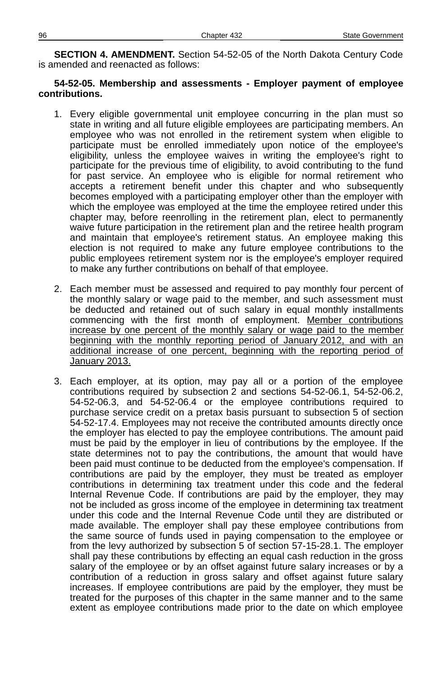**SECTION 4. AMENDMENT.** Section 54-52-05 of the North Dakota Century Code is amended and reenacted as follows:

#### **54-52-05. Membership and assessments - Employer payment of employee contributions.**

- 1. Every eligible governmental unit employee concurring in the plan must so state in writing and all future eligible employees are participating members. An employee who was not enrolled in the retirement system when eligible to participate must be enrolled immediately upon notice of the employee's eligibility, unless the employee waives in writing the employee's right to participate for the previous time of eligibility, to avoid contributing to the fund for past service. An employee who is eligible for normal retirement who accepts a retirement benefit under this chapter and who subsequently becomes employed with a participating employer other than the employer with which the employee was employed at the time the employee retired under this chapter may, before reenrolling in the retirement plan, elect to permanently waive future participation in the retirement plan and the retiree health program and maintain that employee's retirement status. An employee making this election is not required to make any future employee contributions to the public employees retirement system nor is the employee's employer required to make any further contributions on behalf of that employee.
- 2. Each member must be assessed and required to pay monthly four percent of the monthly salary or wage paid to the member, and such assessment must be deducted and retained out of such salary in equal monthly installments commencing with the first month of employment. Member contributions increase by one percent of the monthly salary or wage paid to the member beginning with the monthly reporting period of January 2012, and with an additional increase of one percent, beginning with the reporting period of January 2013.
- 3. Each employer, at its option, may pay all or a portion of the employee contributions required by subsection 2 and sections 54-52-06.1, 54-52-06.2, 54-52-06.3, and 54-52-06.4 or the employee contributions required to purchase service credit on a pretax basis pursuant to subsection 5 of section 54-52-17.4. Employees may not receive the contributed amounts directly once the employer has elected to pay the employee contributions. The amount paid must be paid by the employer in lieu of contributions by the employee. If the state determines not to pay the contributions, the amount that would have been paid must continue to be deducted from the employee's compensation. If contributions are paid by the employer, they must be treated as employer contributions in determining tax treatment under this code and the federal Internal Revenue Code. If contributions are paid by the employer, they may not be included as gross income of the employee in determining tax treatment under this code and the Internal Revenue Code until they are distributed or made available. The employer shall pay these employee contributions from the same source of funds used in paying compensation to the employee or from the levy authorized by subsection 5 of section 57-15-28.1. The employer shall pay these contributions by effecting an equal cash reduction in the gross salary of the employee or by an offset against future salary increases or by a contribution of a reduction in gross salary and offset against future salary increases. If employee contributions are paid by the employer, they must be treated for the purposes of this chapter in the same manner and to the same extent as employee contributions made prior to the date on which employee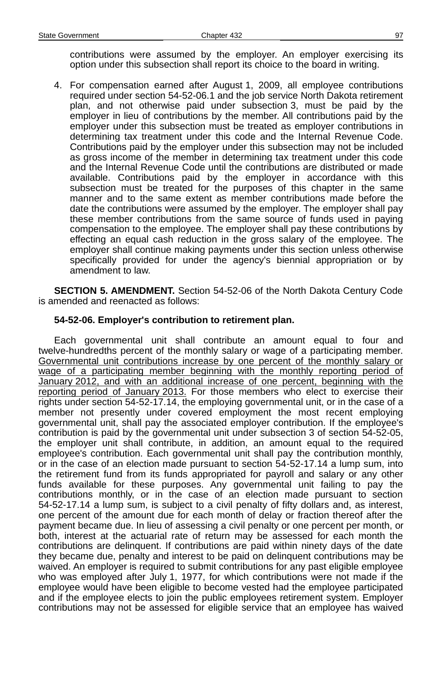contributions were assumed by the employer. An employer exercising its option under this subsection shall report its choice to the board in writing.

4. For compensation earned after August 1, 2009, all employee contributions required under section 54-52-06.1 and the job service North Dakota retirement plan, and not otherwise paid under subsection 3, must be paid by the employer in lieu of contributions by the member. All contributions paid by the employer under this subsection must be treated as employer contributions in determining tax treatment under this code and the Internal Revenue Code. Contributions paid by the employer under this subsection may not be included as gross income of the member in determining tax treatment under this code and the Internal Revenue Code until the contributions are distributed or made available. Contributions paid by the employer in accordance with this subsection must be treated for the purposes of this chapter in the same manner and to the same extent as member contributions made before the date the contributions were assumed by the employer. The employer shall pay these member contributions from the same source of funds used in paying compensation to the employee. The employer shall pay these contributions by effecting an equal cash reduction in the gross salary of the employee. The employer shall continue making payments under this section unless otherwise specifically provided for under the agency's biennial appropriation or by amendment to law.

**SECTION 5. AMENDMENT.** Section 54-52-06 of the North Dakota Century Code is amended and reenacted as follows:

## **54-52-06. Employer's contribution to retirement plan.**

Each governmental unit shall contribute an amount equal to four and twelve-hundredths percent of the monthly salary or wage of a participating member. Governmental unit contributions increase by one percent of the monthly salary or wage of a participating member beginning with the monthly reporting period of January 2012, and with an additional increase of one percent, beginning with the reporting period of January 2013. For those members who elect to exercise their rights under section 54-52-17.14, the employing governmental unit, or in the case of a member not presently under covered employment the most recent employing governmental unit, shall pay the associated employer contribution. If the employee's contribution is paid by the governmental unit under subsection 3 of section 54-52-05, the employer unit shall contribute, in addition, an amount equal to the required employee's contribution. Each governmental unit shall pay the contribution monthly, or in the case of an election made pursuant to section 54-52-17.14 a lump sum, into the retirement fund from its funds appropriated for payroll and salary or any other funds available for these purposes. Any governmental unit failing to pay the contributions monthly, or in the case of an election made pursuant to section 54-52-17.14 a lump sum, is subject to a civil penalty of fifty dollars and, as interest, one percent of the amount due for each month of delay or fraction thereof after the payment became due. In lieu of assessing a civil penalty or one percent per month, or both, interest at the actuarial rate of return may be assessed for each month the contributions are delinquent. If contributions are paid within ninety days of the date they became due, penalty and interest to be paid on delinquent contributions may be waived. An employer is required to submit contributions for any past eligible employee who was employed after July 1, 1977, for which contributions were not made if the employee would have been eligible to become vested had the employee participated and if the employee elects to join the public employees retirement system. Employer contributions may not be assessed for eligible service that an employee has waived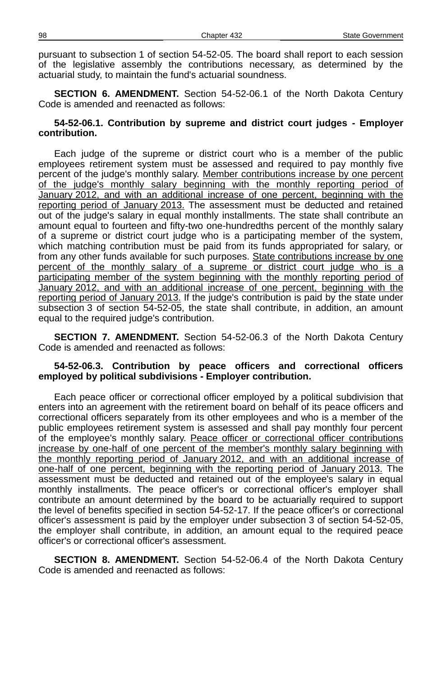pursuant to subsection 1 of section 54-52-05. The board shall report to each session of the legislative assembly the contributions necessary, as determined by the actuarial study, to maintain the fund's actuarial soundness.

**SECTION 6. AMENDMENT.** Section 54-52-06.1 of the North Dakota Century Code is amended and reenacted as follows:

#### **54-52-06.1. Contribution by supreme and district court judges - Employer contribution.**

Each judge of the supreme or district court who is a member of the public employees retirement system must be assessed and required to pay monthly five percent of the judge's monthly salary. Member contributions increase by one percent of the judge's monthly salary beginning with the monthly reporting period of January 2012, and with an additional increase of one percent, beginning with the reporting period of January 2013. The assessment must be deducted and retained out of the judge's salary in equal monthly installments. The state shall contribute an amount equal to fourteen and fifty-two one-hundredths percent of the monthly salary of a supreme or district court judge who is a participating member of the system, which matching contribution must be paid from its funds appropriated for salary, or from any other funds available for such purposes. State contributions increase by one percent of the monthly salary of a supreme or district court judge who is a participating member of the system beginning with the monthly reporting period of January 2012, and with an additional increase of one percent, beginning with the reporting period of January 2013. If the judge's contribution is paid by the state under subsection 3 of section 54-52-05, the state shall contribute, in addition, an amount equal to the required judge's contribution.

**SECTION 7. AMENDMENT.** Section 54-52-06.3 of the North Dakota Century Code is amended and reenacted as follows:

#### **54-52-06.3. Contribution by peace officers and correctional officers employed by political subdivisions - Employer contribution.**

Each peace officer or correctional officer employed by a political subdivision that enters into an agreement with the retirement board on behalf of its peace officers and correctional officers separately from its other employees and who is a member of the public employees retirement system is assessed and shall pay monthly four percent of the employee's monthly salary. Peace officer or correctional officer contributions increase by one-half of one percent of the member's monthly salary beginning with the monthly reporting period of January 2012, and with an additional increase of one-half of one percent, beginning with the reporting period of January 2013. The assessment must be deducted and retained out of the employee's salary in equal monthly installments. The peace officer's or correctional officer's employer shall contribute an amount determined by the board to be actuarially required to support the level of benefits specified in section 54-52-17. If the peace officer's or correctional officer's assessment is paid by the employer under subsection 3 of section 54-52-05, the employer shall contribute, in addition, an amount equal to the required peace officer's or correctional officer's assessment.

**SECTION 8. AMENDMENT.** Section 54-52-06.4 of the North Dakota Century Code is amended and reenacted as follows: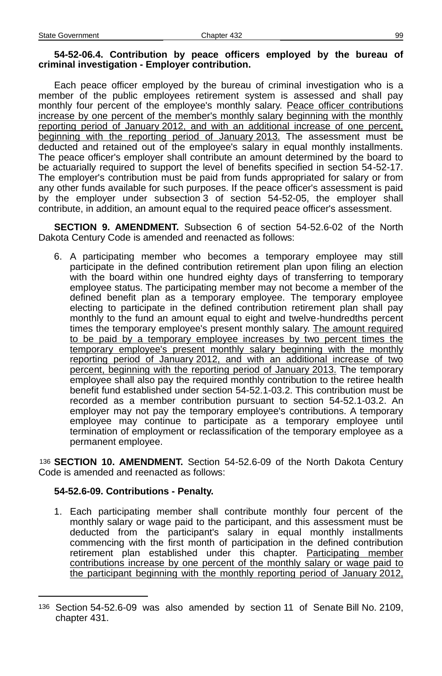#### **54-52-06.4. Contribution by peace officers employed by the bureau of criminal investigation - Employer contribution.**

Each peace officer employed by the bureau of criminal investigation who is a member of the public employees retirement system is assessed and shall pay monthly four percent of the employee's monthly salary. Peace officer contributions increase by one percent of the member's monthly salary beginning with the monthly reporting period of January 2012, and with an additional increase of one percent, beginning with the reporting period of January 2013. The assessment must be deducted and retained out of the employee's salary in equal monthly installments. The peace officer's employer shall contribute an amount determined by the board to be actuarially required to support the level of benefits specified in section 54-52-17. The employer's contribution must be paid from funds appropriated for salary or from any other funds available for such purposes. If the peace officer's assessment is paid by the employer under subsection 3 of section 54-52-05, the employer shall contribute, in addition, an amount equal to the required peace officer's assessment.

**SECTION 9. AMENDMENT.** Subsection 6 of section 54-52.6-02 of the North Dakota Century Code is amended and reenacted as follows:

6. A participating member who becomes a temporary employee may still participate in the defined contribution retirement plan upon filing an election with the board within one hundred eighty days of transferring to temporary employee status. The participating member may not become a member of the defined benefit plan as a temporary employee. The temporary employee electing to participate in the defined contribution retirement plan shall pay monthly to the fund an amount equal to eight and twelve-hundredths percent times the temporary employee's present monthly salary. The amount required to be paid by a temporary employee increases by two percent times the temporary employee's present monthly salary beginning with the monthly reporting period of January 2012, and with an additional increase of two percent, beginning with the reporting period of January 2013. The temporary employee shall also pay the required monthly contribution to the retiree health benefit fund established under section 54-52.1-03.2. This contribution must be recorded as a member contribution pursuant to section 54-52.1-03.2. An employer may not pay the temporary employee's contributions. A temporary employee may continue to participate as a temporary employee until termination of employment or reclassification of the temporary employee as a permanent employee.

[136](#page-98-0) **SECTION 10. AMENDMENT.** Section 54-52.6-09 of the North Dakota Century Code is amended and reenacted as follows:

## **54-52.6-09. Contributions - Penalty.**

1. Each participating member shall contribute monthly four percent of the monthly salary or wage paid to the participant, and this assessment must be deducted from the participant's salary in equal monthly installments commencing with the first month of participation in the defined contribution retirement plan established under this chapter. Participating member contributions increase by one percent of the monthly salary or wage paid to the participant beginning with the monthly reporting period of January 2012,

<span id="page-98-0"></span><sup>136</sup> Section 54-52.6-09 was also amended by section 11 of Senate Bill No. 2109, chapter 431.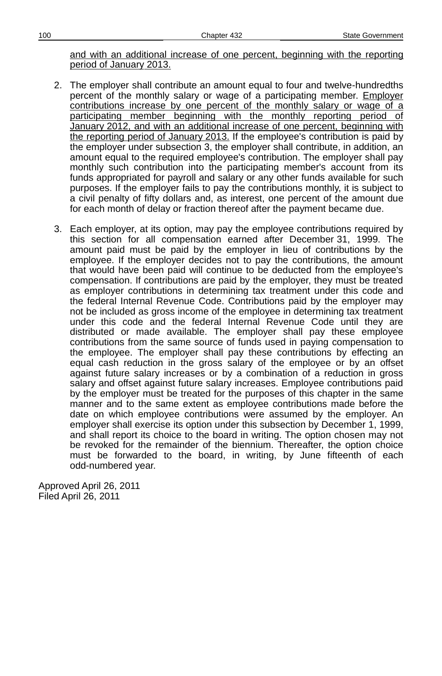and with an additional increase of one percent, beginning with the reporting period of January 2013.

- 2. The employer shall contribute an amount equal to four and twelve-hundredths percent of the monthly salary or wage of a participating member. Employer contributions increase by one percent of the monthly salary or wage of a participating member beginning with the monthly reporting period of January 2012, and with an additional increase of one percent, beginning with the reporting period of January 2013 . If the employee's contribution is paid by the employer under subsection 3, the employer shall contribute, in addition, an amount equal to the required employee's contribution. The employer shall pay monthly such contribution into the participating member's account from its funds appropriated for payroll and salary or any other funds available for such purposes. If the employer fails to pay the contributions monthly, it is subject to a civil penalty of fifty dollars and, as interest, one percent of the amount due for each month of delay or fraction thereof after the payment became due.
- 3. Each employer, at its option, may pay the employee contributions required by this section for all compensation earned after December 31, 1999. The amount paid must be paid by the employer in lieu of contributions by the employee. If the employer decides not to pay the contributions, the amount that would have been paid will continue to be deducted from the employee's compensation. If contributions are paid by the employer, they must be treated as employer contributions in determining tax treatment under this code and the federal Internal Revenue Code. Contributions paid by the employer may not be included as gross income of the employee in determining tax treatment under this code and the federal Internal Revenue Code until they are distributed or made available. The employer shall pay these employee contributions from the same source of funds used in paying compensation to the employee. The employer shall pay these contributions by effecting an equal cash reduction in the gross salary of the employee or by an offset against future salary increases or by a combination of a reduction in gross salary and offset against future salary increases. Employee contributions paid by the employer must be treated for the purposes of this chapter in the same manner and to the same extent as employee contributions made before the date on which employee contributions were assumed by the employer. An employer shall exercise its option under this subsection by December 1, 1999, and shall report its choice to the board in writing. The option chosen may not be revoked for the remainder of the biennium. Thereafter, the option choice must be forwarded to the board, in writing, by June fifteenth of each odd-numbered year.

Approved April 26, 2011 Filed April 26, 2011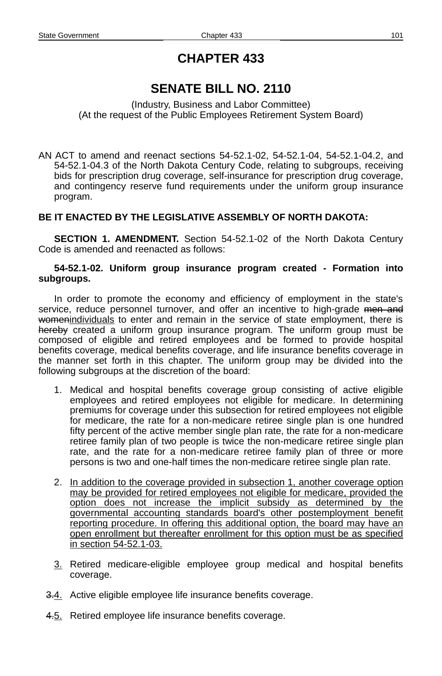# **SENATE BILL NO. 2110**

(Industry, Business and Labor Committee) (At the request of the Public Employees Retirement System Board)

AN ACT to amend and reenact sections 54-52.1-02, 54-52.1-04, 54-52.1-04.2, and 54-52.1-04.3 of the North Dakota Century Code, relating to subgroups, receiving bids for prescription drug coverage, self-insurance for prescription drug coverage, and contingency reserve fund requirements under the uniform group insurance program.

## **BE IT ENACTED BY THE LEGISLATIVE ASSEMBLY OF NORTH DAKOTA:**

**SECTION 1. AMENDMENT.** Section 54-52.1-02 of the North Dakota Century Code is amended and reenacted as follows:

#### **54-52.1-02. Uniform group insurance program created - Formation into subgroups.**

In order to promote the economy and efficiency of employment in the state's service, reduce personnel turnover, and offer an incentive to high-grade men and womenindividuals to enter and remain in the service of state employment, there is hereby created a uniform group insurance program. The uniform group must be composed of eligible and retired employees and be formed to provide hospital benefits coverage, medical benefits coverage, and life insurance benefits coverage in the manner set forth in this chapter. The uniform group may be divided into the following subgroups at the discretion of the board:

- 1. Medical and hospital benefits coverage group consisting of active eligible employees and retired employees not eligible for medicare. In determining premiums for coverage under this subsection for retired employees not eligible for medicare, the rate for a non-medicare retiree single plan is one hundred fifty percent of the active member single plan rate, the rate for a non-medicare retiree family plan of two people is twice the non-medicare retiree single plan rate, and the rate for a non-medicare retiree family plan of three or more persons is two and one-half times the non-medicare retiree single plan rate.
- 2. In addition to the coverage provided in subsection 1, another coverage option may be provided for retired employees not eligible for medicare, provided the option does not increase the implicit subsidy as determined by the governmental accounting standards board's other postemployment benefit reporting procedure. In offering this additional option, the board may have an open enrollment but thereafter enrollment for this option must be as specified in section 54-52.1-03.
- 3. Retired medicare-eligible employee group medical and hospital benefits coverage.
- 3.4. Active eligible employee life insurance benefits coverage.
- 4.5. Retired employee life insurance benefits coverage.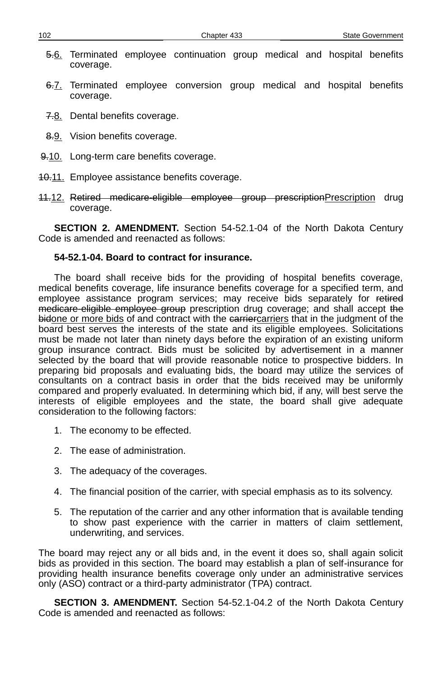- 5.6. Terminated employee continuation group medical and hospital benefits coverage.
- 6.7. Terminated employee conversion group medical and hospital benefits coverage.
- 7.8. Dental benefits coverage.
- 8.9. Vision benefits coverage.
- 9.10. Long-term care benefits coverage.
- 40.11. Employee assistance benefits coverage.
- 11.12. Retired medicare-eligible employee group prescriptionPrescription drug coverage.

**SECTION 2. AMENDMENT.** Section 54-52.1-04 of the North Dakota Century Code is amended and reenacted as follows:

#### **54-52.1-04. Board to contract for insurance.**

The board shall receive bids for the providing of hospital benefits coverage, medical benefits coverage, life insurance benefits coverage for a specified term, and employee assistance program services; may receive bids separately for retired medicare-eligible employee group prescription drug coverage; and shall accept the bidone or more bids of and contract with the earriercarriers that in the judgment of the board best serves the interests of the state and its eligible employees. Solicitations must be made not later than ninety days before the expiration of an existing uniform group insurance contract. Bids must be solicited by advertisement in a manner selected by the board that will provide reasonable notice to prospective bidders. In preparing bid proposals and evaluating bids, the board may utilize the services of consultants on a contract basis in order that the bids received may be uniformly compared and properly evaluated. In determining which bid, if any, will best serve the interests of eligible employees and the state, the board shall give adequate consideration to the following factors:

- 1. The economy to be effected.
- 2. The ease of administration.
- 3. The adequacy of the coverages.
- 4. The financial position of the carrier, with special emphasis as to its solvency.
- 5. The reputation of the carrier and any other information that is available tending to show past experience with the carrier in matters of claim settlement, underwriting, and services.

The board may reject any or all bids and, in the event it does so, shall again solicit bids as provided in this section. The board may establish a plan of self-insurance for providing health insurance benefits coverage only under an administrative services only (ASO) contract or a third-party administrator (TPA) contract.

**SECTION 3. AMENDMENT.** Section 54-52.1-04.2 of the North Dakota Century Code is amended and reenacted as follows: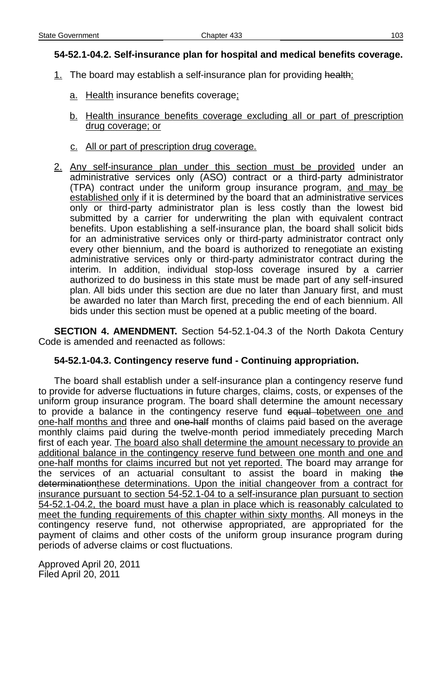## **54-52.1-04.2. Self-insurance plan for hospital and medical benefits coverage.**

- 1. The board may establish a self-insurance plan for providing health:
	- a. Health insurance benefits coverage;
	- b. Health insurance benefits coverage excluding all or part of prescription drug coverage; or
	- c. All or part of prescription drug coverage.
- 2. Any self-insurance plan under this section must be provided under an administrative services only (ASO) contract or a third-party administrator (TPA) contract under the uniform group insurance program, and may be established only if it is determined by the board that an administrative services only or third-party administrator plan is less costly than the lowest bid submitted by a carrier for underwriting the plan with equivalent contract benefits. Upon establishing a self-insurance plan, the board shall solicit bids for an administrative services only or third-party administrator contract only every other biennium, and the board is authorized to renegotiate an existing administrative services only or third-party administrator contract during the interim. In addition, individual stop-loss coverage insured by a carrier authorized to do business in this state must be made part of any self-insured plan. All bids under this section are due no later than January first, and must be awarded no later than March first, preceding the end of each biennium. All bids under this section must be opened at a public meeting of the board.

**SECTION 4. AMENDMENT.** Section 54-52.1-04.3 of the North Dakota Century Code is amended and reenacted as follows:

#### **54-52.1-04.3. Contingency reserve fund - Continuing appropriation.**

The board shall establish under a self-insurance plan a contingency reserve fund to provide for adverse fluctuations in future charges, claims, costs, or expenses of the uniform group insurance program. The board shall determine the amount necessary to provide a balance in the contingency reserve fund equal to between one and one-half months and three and one-half months of claims paid based on the average monthly claims paid during the twelve-month period immediately preceding March first of each year. The board also shall determine the amount necessary to provide an additional balance in the contingency reserve fund between one month and one and one-half months for claims incurred but not yet reported. The board may arrange for the services of an actuarial consultant to assist the board in making the determinationthese determinations. Upon the initial changeover from a contract for insurance pursuant to section 54-52.1-04 to a self-insurance plan pursuant to section 54-52.1-04.2, the board must have a plan in place which is reasonably calculated to meet the funding requirements of this chapter within sixty months. All moneys in the contingency reserve fund, not otherwise appropriated, are appropriated for the payment of claims and other costs of the uniform group insurance program during periods of adverse claims or cost fluctuations.

Approved April 20, 2011 Filed April 20, 2011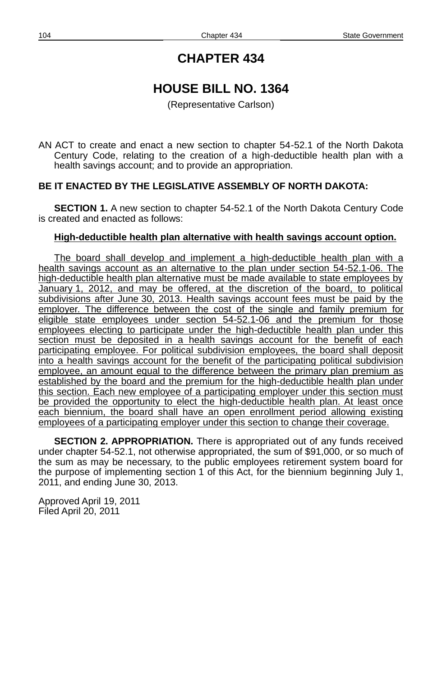# **HOUSE BILL NO. 1364**

(Representative Carlson)

AN ACT to create and enact a new section to chapter 54-52.1 of the North Dakota Century Code, relating to the creation of a high-deductible health plan with a health savings account; and to provide an appropriation.

## **BE IT ENACTED BY THE LEGISLATIVE ASSEMBLY OF NORTH DAKOTA:**

**SECTION 1.** A new section to chapter 54-52.1 of the North Dakota Century Code is created and enacted as follows:

## **High-deductible health plan alternative with health savings account option.**

The board shall develop and implement a high-deductible health plan with a health savings account as an alternative to the plan under section 54-52.1-06. The high - deductible health plan alternative must be made available to state employees by January 1, 2012, and may be offered, at the discretion of the board, to political subdivisions after June 30, 2013. Health savings account fees must be paid by the employer. The difference between the cost of the single and family premium for eligible state employees under section 54-52.1-06 and the premium for those employees electing to participate under the high - deductible health plan under this section must be deposited in a health savings account for the benefit of each participating employee. For political subdivision employees, the board shall deposit into a health savings account for the benefit of the participating political subdivision employee, an amount equal to the difference between the primary plan premium as established by the board and the premium for the high-deductible health plan under this section. Each new employee of a participating employer under this section must be provided the opportunity to elect the high-deductible health plan. At least once each biennium, the board shall have an open enrollment period allowing existing employees of a participating employer under this section to change their coverage.

**SECTION 2. APPROPRIATION.** There is appropriated out of any funds received under chapter 54-52.1, not otherwise appropriated, the sum of \$91,000, or so much of the sum as may be necessary, to the public employees retirement system board for the purpose of implementing section 1 of this Act, for the biennium beginning July 1, 2011, and ending June 30, 2013.

Approved April 19, 2011 Filed April 20, 2011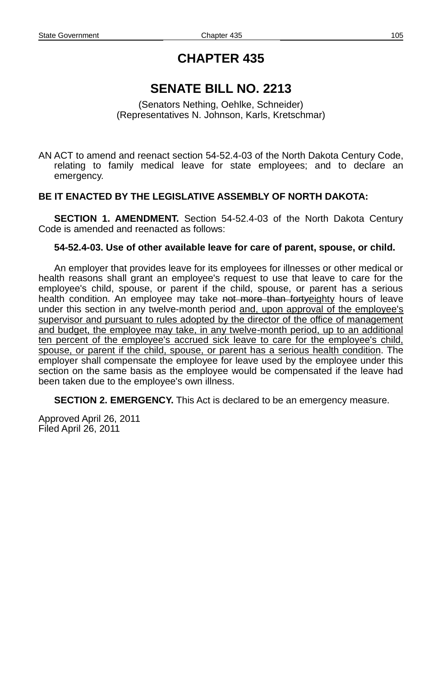## **SENATE BILL NO. 2213**

(Senators Nething, Oehlke, Schneider) (Representatives N. Johnson, Karls, Kretschmar)

AN ACT to amend and reenact section 54-52.4-03 of the North Dakota Century Code, relating to family medical leave for state employees; and to declare an emergency.

## **BE IT ENACTED BY THE LEGISLATIVE ASSEMBLY OF NORTH DAKOTA:**

**SECTION 1. AMENDMENT.** Section 54-52.4-03 of the North Dakota Century Code is amended and reenacted as follows:

#### **54-52.4-03. Use of other available leave for care of parent, spouse, or child.**

An employer that provides leave for its employees for illnesses or other medical or health reasons shall grant an employee's request to use that leave to care for the employee's child, spouse, or parent if the child, spouse, or parent has a serious health condition. An employee may take not more than fortyeighty hours of leave under this section in any twelve-month period and, upon approval of the employee's supervisor and pursuant to rules adopted by the director of the office of management and budget, the employee may take, in any twelve - month period, up to an additional ten percent of the employee's accrued sick leave to care for the employee's child, spouse, or parent if the child, spouse, or parent has a serious health condition. The employer shall compensate the employee for leave used by the employee under this section on the same basis as the employee would be compensated if the leave had been taken due to the employee's own illness.

**SECTION 2. EMERGENCY.** This Act is declared to be an emergency measure.

Approved April 26, 2011 Filed April 26, 2011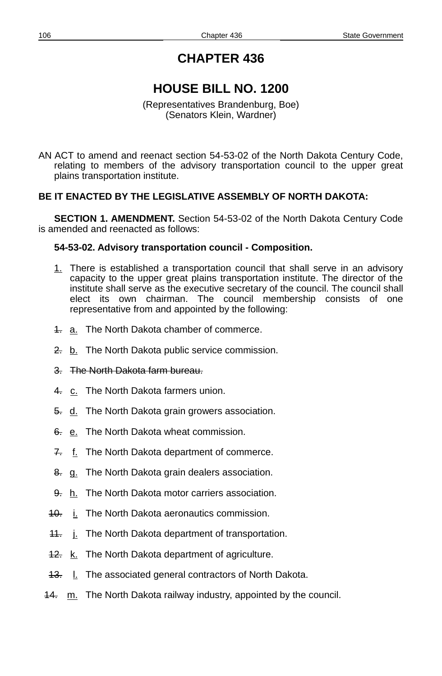# **HOUSE BILL NO. 1200**

(Representatives Brandenburg, Boe) (Senators Klein, Wardner)

AN ACT to amend and reenact section 54-53-02 of the North Dakota Century Code, relating to members of the advisory transportation council to the upper great plains transportation institute.

## **BE IT ENACTED BY THE LEGISLATIVE ASSEMBLY OF NORTH DAKOTA:**

**SECTION 1. AMENDMENT.** Section 54-53-02 of the North Dakota Century Code is amended and reenacted as follows:

## **54-53-02. Advisory transportation council - Composition.**

- 1. There is established a transportation council that shall serve in an advisory capacity to the upper great plains transportation institute. The director of the institute shall serve as the executive secretary of the council. The council shall elect its own chairman. The council membership consists of one representative from and appointed by the following:
- 4. a. The North Dakota chamber of commerce.
- 2. b. The North Dakota public service commission.
- 3. The North Dakota farm bureau.
- 4. c. The North Dakota farmers union.
- 5. d. The North Dakota grain growers association.
- 6. e. The North Dakota wheat commission.
- 7. f. The North Dakota department of commerce.
- 8. g. The North Dakota grain dealers association.
- 9. h. The North Dakota motor carriers association.
- 40. i. The North Dakota aeronautics commission.
- **11.** j. The North Dakota department of transportation.
- 42. k. The North Dakota department of agriculture.
- 43. I. The associated general contractors of North Dakota.
- 14. m. The North Dakota railway industry, appointed by the council.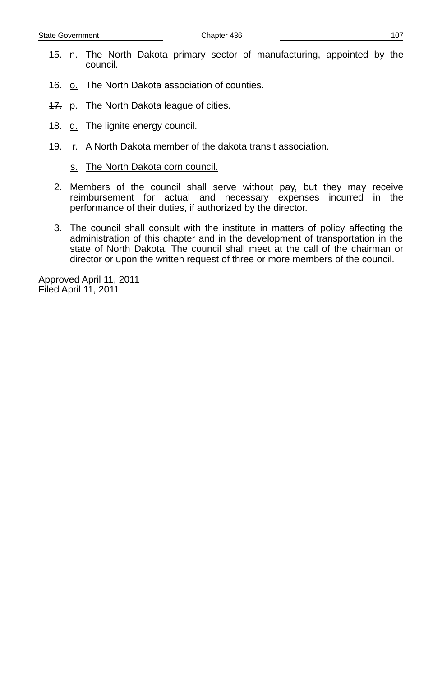- 45. n. The North Dakota primary sector of manufacturing, appointed by the council.
- 46. o. The North Dakota association of counties.
- **17.** p. The North Dakota league of cities.
- 48. q. The lignite energy council.
- 49. r. A North Dakota member of the dakota transit association.
	- s. The North Dakota corn council.
	- 2. Members of the council shall serve without pay, but they may receive reimbursement for actual and necessary expenses incurred in the performance of their duties, if authorized by the director.
	- 3. The council shall consult with the institute in matters of policy affecting the administration of this chapter and in the development of transportation in the state of North Dakota. The council shall meet at the call of the chairman or director or upon the written request of three or more members of the council.

Approved April 11, 2011 Filed April 11, 2011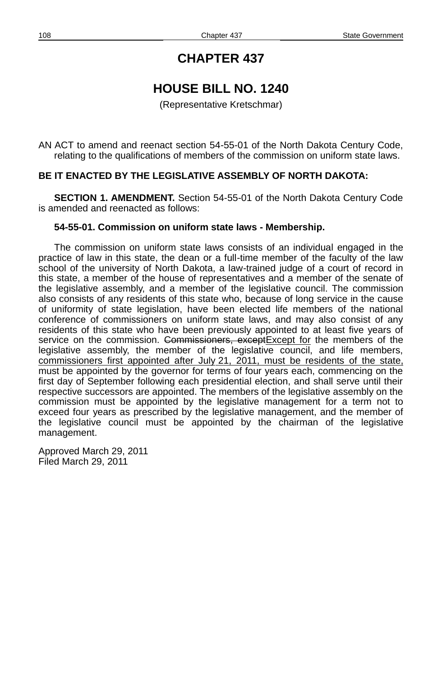# **HOUSE BILL NO. 1240**

(Representative Kretschmar)

AN ACT to amend and reenact section 54-55-01 of the North Dakota Century Code, relating to the qualifications of members of the commission on uniform state laws.

#### **BE IT ENACTED BY THE LEGISLATIVE ASSEMBLY OF NORTH DAKOTA:**

**SECTION 1. AMENDMENT.** Section 54-55-01 of the North Dakota Century Code is amended and reenacted as follows:

#### **54-55-01. Commission on uniform state laws - Membership.**

The commission on uniform state laws consists of an individual engaged in the practice of law in this state, the dean or a full-time member of the faculty of the law school of the university of North Dakota, a law-trained judge of a court of record in this state, a member of the house of representatives and a member of the senate of the legislative assembly, and a member of the legislative council. The commission also consists of any residents of this state who, because of long service in the cause of uniformity of state legislation, have been elected life members of the national conference of commissioners on uniform state laws, and may also consist of any residents of this state who have been previously appointed to at least five years of service on the commission. Commissioners, except Except for the members of the legislative assembly, the member of the legislative council, and life members, commissioners first appointed after July 21, 2011, must be residents of the state, must be appointed by the governor for terms of four years each, commencing on the first day of September following each presidential election, and shall serve until their respective successors are appointed. The members of the legislative assembly on the commission must be appointed by the legislative management for a term not to exceed four years as prescribed by the legislative management, and the member of the legislative council must be appointed by the chairman of the legislative management.

Approved March 29, 2011 Filed March 29, 2011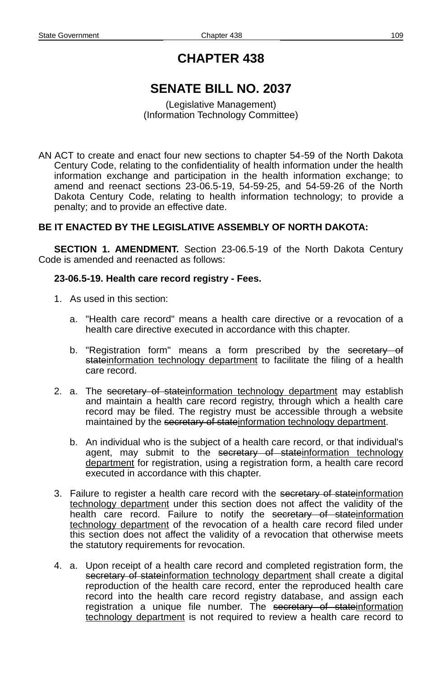## **CHAPTER 438**

## **SENATE BILL NO. 2037**

(Legislative Management) (Information Technology Committee)

AN ACT to create and enact four new sections to chapter 54-59 of the North Dakota Century Code, relating to the confidentiality of health information under the health information exchange and participation in the health information exchange; to amend and reenact sections 23-06.5-19, 54-59-25, and 54-59-26 of the North Dakota Century Code, relating to health information technology; to provide a penalty; and to provide an effective date.

## **BE IT ENACTED BY THE LEGISLATIVE ASSEMBLY OF NORTH DAKOTA:**

**SECTION 1. AMENDMENT.** Section 23-06.5-19 of the North Dakota Century Code is amended and reenacted as follows:

### **23-06.5-19. Health care record registry - Fees.**

- 1. As used in this section:
	- a. "Health care record" means a health care directive or a revocation of a health care directive executed in accordance with this chapter.
	- b. "Registration form" means a form prescribed by the secretary of stateinformation technology department to facilitate the filing of a health care record.
- 2. a. The secretary of stateinformation technology department may establish and maintain a health care record registry, through which a health care record may be filed. The registry must be accessible through a website maintained by the secretary of stateinformation technology department.
	- b. An individual who is the subject of a health care record, or that individual's agent, may submit to the secretary of stateinformation technology department for registration, using a registration form, a health care record executed in accordance with this chapter.
- 3. Failure to register a health care record with the secretary of stateinformation technology department under this section does not affect the validity of the health care record. Failure to notify the secretary of stateinformation technology department of the revocation of a health care record filed under this section does not affect the validity of a revocation that otherwise meets the statutory requirements for revocation.
- 4. a. Upon receipt of a health care record and completed registration form, the secretary of stateinformation technology department shall create a digital reproduction of the health care record, enter the reproduced health care record into the health care record registry database, and assign each registration a unique file number. The secretary of state information technology department is not required to review a health care record to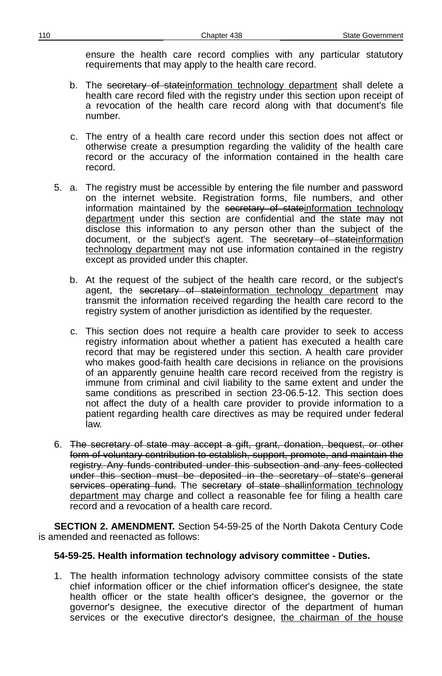ensure the health care record complies with any particular statutory requirements that may apply to the health care record.

- b. The secretary of stateinformation technology department shall delete a health care record filed with the registry under this section upon receipt of a revocation of the health care record along with that document's file number.
- c. The entry of a health care record under this section does not affect or otherwise create a presumption regarding the validity of the health care record or the accuracy of the information contained in the health care record.
- 5. a. The registry must be accessible by entering the file number and password on the internet website. Registration forms, file numbers, and other information maintained by the secretary of stateinformation technology department under this section are confidential and the state may not disclose this information to any person other than the subject of the document, or the subject's agent. The <del>secretary of state</del>information technology department may not use information contained in the registry except as provided under this chapter.
	- b. At the request of the subject of the health care record, or the subject's agent, the secretary of stateinformation technology department may transmit the information received regarding the health care record to the registry system of another jurisdiction as identified by the requester.
	- c. This section does not require a health care provider to seek to access registry information about whether a patient has executed a health care record that may be registered under this section. A health care provider who makes good-faith health care decisions in reliance on the provisions of an apparently genuine health care record received from the registry is immune from criminal and civil liability to the same extent and under the same conditions as prescribed in section 23-06.5-12. This section does not affect the duty of a health care provider to provide information to a patient regarding health care directives as may be required under federal law.
- 6. The secretary of state may accept a gift, grant, donation, bequest, or other form of voluntary contribution to establish, support, promote, and maintain the registry. Any funds contributed under this subsection and any fees collected under this section must be deposited in the secretary of state's general services operating fund. The secretary of state shallinformation technology department may charge and collect a reasonable fee for filing a health care record and a revocation of a health care record.

**SECTION 2. AMENDMENT.** Section 54-59-25 of the North Dakota Century Code is amended and reenacted as follows:

## **54-59-25. Health information technology advisory committee - Duties.**

1. The health information technology advisory committee consists of the state chief information officer or the chief information officer's designee, the state health officer or the state health officer's designee, the governor or the governor's designee, the executive director of the department of human services or the executive director's designee, the chairman of the house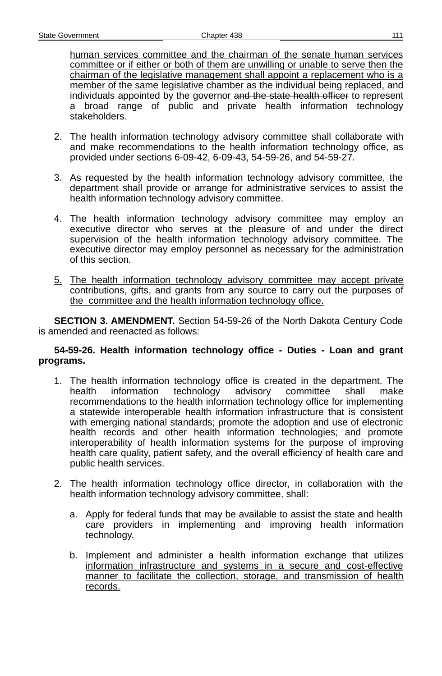human services committee and the chairman of the senate human services committee or if either or both of them are unwilling or unable to serve then the chairman of the legislative management shall appoint a replacement who is a member of the same legislative chamber as the individual being replaced, and individuals appointed by the governor and the state health officer to represent a broad range of public and private health information technology stakeholders.

- 2. The health information technology advisory committee shall collaborate with and make recommendations to the health information technology office, as provided under sections 6-09-42, 6-09-43, 54-59-26, and 54-59-27.
- 3. As requested by the health information technology advisory committee, the department shall provide or arrange for administrative services to assist the health information technology advisory committee.
- 4. The health information technology advisory committee may employ an executive director who serves at the pleasure of and under the direct supervision of the health information technology advisory committee. The executive director may employ personnel as necessary for the administration of this section.
- 5. The health information technology advisory committee may accept private contributions, gifts, and grants from any source to carry out the purposes of the committee and the health information technology office.

**SECTION 3. AMENDMENT.** Section 54-59-26 of the North Dakota Century Code is amended and reenacted as follows:

### **54-59-26. Health information technology office - Duties - Loan and grant programs.**

- 1. The health information technology office is created in the department. The health information technology advisory committee shall make recommendations to the health information technology office for implementing a statewide interoperable health information infrastructure that is consistent with emerging national standards; promote the adoption and use of electronic health records and other health information technologies; and promote interoperability of health information systems for the purpose of improving health care quality, patient safety, and the overall efficiency of health care and public health services.
- 2. The health information technology office director, in collaboration with the health information technology advisory committee, shall:
	- a. Apply for federal funds that may be available to assist the state and health care providers in implementing and improving health information technology.
	- b. Implement and administer a health information exchange that utilizes information infrastructure and systems in a secure and cost-effective manner to facilitate the collection, storage, and transmission of health records.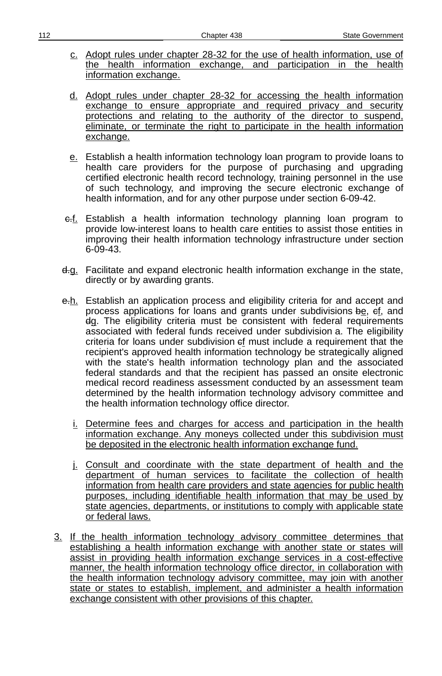- c. Adopt rules under chapter 28-32 for the use of health information. use of the health information exchange, and participation in the health information exchange.
- d. Adopt rules under chapter 28-32 for accessing the health information exchange to ensure appropriate and required privacy and security protections and relating to the authority of the director to suspend, eliminate, or terminate the right to participate in the health information exchange.
- e. Establish a health information technology loan program to provide loans to health care providers for the purpose of purchasing and upgrading certified electronic health record technology, training personnel in the use of such technology, and improving the secure electronic exchange of health information, and for any other purpose under section 6-09-42.
- e.f. Establish a health information technology planning loan program to provide low-interest loans to health care entities to assist those entities in improving their health information technology infrastructure under section 6-09-43.
- d.g. Facilitate and expand electronic health information exchange in the state, directly or by awarding grants.
- e.h. Establish an application process and eligibility criteria for and accept and process applications for loans and grants under subdivisions be, cf, and dg. The eligibility criteria must be consistent with federal requirements associated with federal funds received under subdivision a. The eligibility criteria for loans under subdivision ef must include a requirement that the recipient's approved health information technology be strategically aligned with the state's health information technology plan and the associated federal standards and that the recipient has passed an onsite electronic medical record readiness assessment conducted by an assessment team determined by the health information technology advisory committee and the health information technology office director.
	- i. Determine fees and charges for access and participation in the health information exchange. Any moneys collected under this subdivision must be deposited in the electronic health information exchange fund.
	- j. Consult and coordinate with the state department of health and the department of human services to facilitate the collection of health information from health care providers and state agencies for public health purposes, including identifiable health information that may be used by state agencies, departments, or institutions to comply with applicable state or federal laws.
- 3. If the health information technology advisory committee determines that establishing a health information exchange with another state or states will assist in providing health information exchange services in a cost-effective manner, the health information technology office director, in collaboration with the health information technology advisory committee, may join with another state or states to establish, implement, and administer a health information exchange consistent with other provisions of this chapter.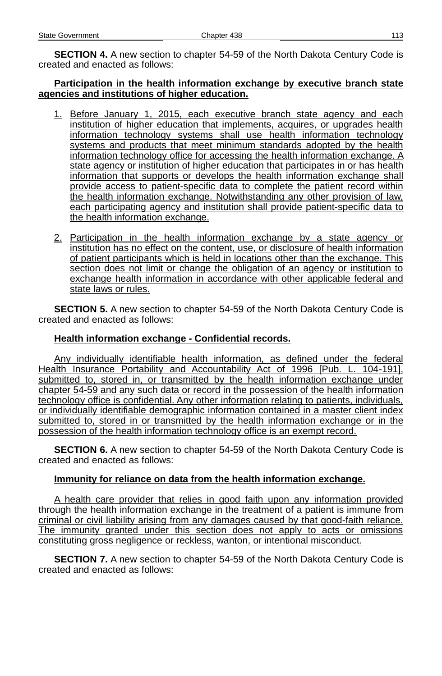**SECTION 4.** A new section to chapter 54-59 of the North Dakota Century Code is created and enacted as follows:

### **Participation in the health information exchange by executive branch state agencies and institutions of higher education.**

- 1. Before January 1, 2015, each executive branch state agency and each institution of higher education that implements, acquires, or upgrades health information technology systems shall use health information technology systems and products that meet minimum standards adopted by the health information technology office for accessing the health information exchange. A state agency or institution of higher education that participates in or has health information that supports or develops the health information exchange shall provide access to patient-specific data to complete the patient record within the health information exchange. Notwithstanding any other provision of law, each participating agency and institution shall provide patient-specific data to the health information exchange.
- 2. Participation in the health information exchange by a state agency or institution has no effect on the content, use, or disclosure of health information of patient participants which is held in locations other than the exchange. This section does not limit or change the obligation of an agency or institution to exchange health information in accordance with other applicable federal and state laws or rules.

**SECTION 5.** A new section to chapter 54-59 of the North Dakota Century Code is created and enacted as follows:

## **Health information exchange - Confidential records.**

Any individually identifiable health information, as defined under the federal Health Insurance Portability and Accountability Act of 1996 [Pub. L. 104-191], submitted to, stored in, or transmitted by the health information exchange under chapter 54 -59 and any such data or record in the possession of the health information technology office is confidential. Any other information relating to patients, individuals, or individually identifiable demographic information contained in a master client index submitted to, stored in or transmitted by the health information exchange or in the possession of the health information technology office is an exempt record.

**SECTION 6.** A new section to chapter 54-59 of the North Dakota Century Code is created and enacted as follows:

## **Immunity for reliance on data from the health information exchange.**

A health care provider that relies in good faith upon any information provided through the health information exchange in the treatment of a patient is immune from criminal or civil liability arising from any damages caused by that good-faith reliance. The immunity granted under this section does not apply to acts or omissions constituting gross negligence or reckless, wanton, or intentional misconduct.

**SECTION 7.** A new section to chapter 54-59 of the North Dakota Century Code is created and enacted as follows: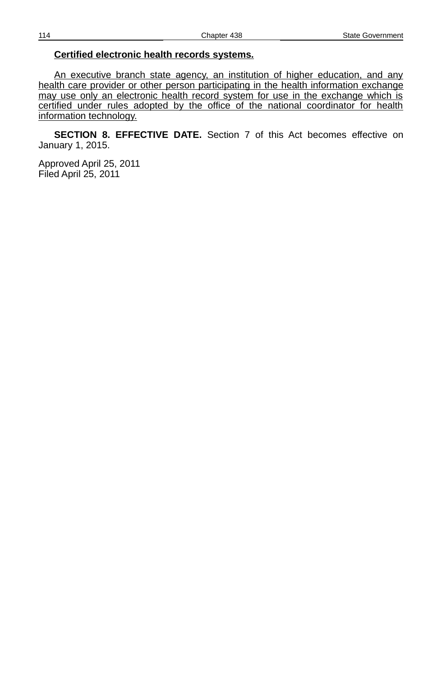### **Certified electronic health records systems.**

An executive branch state agency, an institution of higher education, and any health care provider or other person participating in the health information exchange may use only an electronic health record system for use in the exchange which is certified under rules adopted by the office of the national coordinator for health information technology.

**SECTION 8. EFFECTIVE DATE.** Section 7 of this Act becomes effective on January 1, 2015.

Approved April 25, 2011 Filed April 25, 2011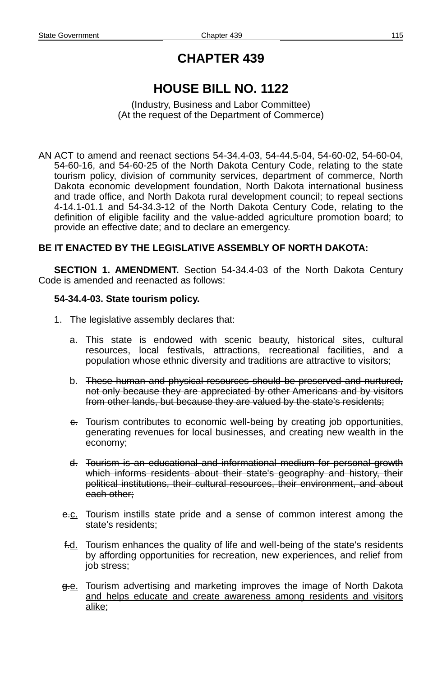## **CHAPTER 439**

# **HOUSE BILL NO. 1122**

(Industry, Business and Labor Committee) (At the request of the Department of Commerce)

AN ACT to amend and reenact sections 54-34.4-03, 54-44.5-04, 54-60-02, 54-60-04, 54-60-16, and 54-60-25 of the North Dakota Century Code, relating to the state tourism policy, division of community services, department of commerce, North Dakota economic development foundation, North Dakota international business and trade office, and North Dakota rural development council; to repeal sections 4-14.1-01.1 and 54-34.3-12 of the North Dakota Century Code, relating to the definition of eligible facility and the value-added agriculture promotion board; to provide an effective date; and to declare an emergency.

## **BE IT ENACTED BY THE LEGISLATIVE ASSEMBLY OF NORTH DAKOTA:**

**SECTION 1. AMENDMENT.** Section 54-34.4-03 of the North Dakota Century Code is amended and reenacted as follows:

## **54-34.4-03. State tourism policy.**

- 1. The legislative assembly declares that:
	- a. This state is endowed with scenic beauty, historical sites, cultural resources, local festivals, attractions, recreational facilities, and a population whose ethnic diversity and traditions are attractive to visitors;
	- b. These human and physical resources should be preserved and nurtured, not only because they are appreciated by other Americans and by visitors from other lands, but because they are valued by the state's residents;
	- $e$ . Tourism contributes to economic well-being by creating job opportunities, generating revenues for local businesses, and creating new wealth in the economy;
	- d. Tourism is an educational and informational medium for personal growth which informs residents about their state's geography and history, their political institutions, their cultural resources, their environment, and about each other;
	- e.c. Tourism instills state pride and a sense of common interest among the state's residents;
	- f.d. Tourism enhances the quality of life and well-being of the state's residents by affording opportunities for recreation, new experiences, and relief from job stress;
	- g.e. Tourism advertising and marketing improves the image of North Dakota and helps educate and create awareness among residents and visitors alike;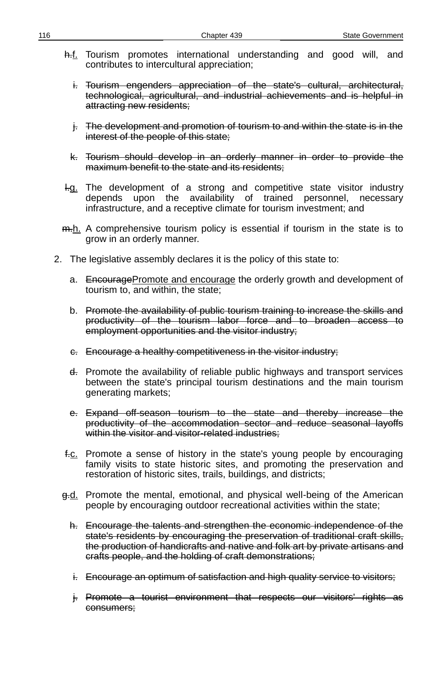- h.f. Tourism promotes international understanding and good will, and contributes to intercultural appreciation;
	- i. Tourism engenders appreciation of the state's cultural, architectural, technological, agricultural, and industrial achievements and is helpful in attracting new residents;
	- j. The development and promotion of tourism to and within the state is in the interest of the people of this state;
	- k. Tourism should develop in an orderly manner in order to provide the maximum benefit to the state and its residents;
- **H.g.** The development of a strong and competitive state visitor industry depends upon the availability of trained personnel, necessary infrastructure, and a receptive climate for tourism investment; and
- m.h. A comprehensive tourism policy is essential if tourism in the state is to grow in an orderly manner.
- 2. The legislative assembly declares it is the policy of this state to:
	- a. EncouragePromote and encourage the orderly growth and development of tourism to, and within, the state;
	- b. Promote the availability of public tourism training to increase the skills and productivity of the tourism labor force and to broaden access to employment opportunities and the visitor industry;
	- c. Encourage a healthy competitiveness in the visitor industry;
	- d. Promote the availability of reliable public highways and transport services between the state's principal tourism destinations and the main tourism generating markets;
	- e. Expand off-season tourism to the state and thereby increase the productivity of the accommodation sector and reduce seasonal layoffs within the visitor and visitor-related industries;
	- f.c. Promote a sense of history in the state's young people by encouraging family visits to state historic sites, and promoting the preservation and restoration of historic sites, trails, buildings, and districts;
	- g.d. Promote the mental, emotional, and physical well-being of the American people by encouraging outdoor recreational activities within the state;
		- h. Encourage the talents and strengthen the economic independence of the state's residents by encouraging the preservation of traditional craft skills, the production of handicrafts and native and folk art by private artisans and crafts people, and the holding of craft demonstrations;
		- i. Encourage an optimum of satisfaction and high quality service to visitors;
		- j. Promote a tourist environment that respects our visitors' rights as consumers;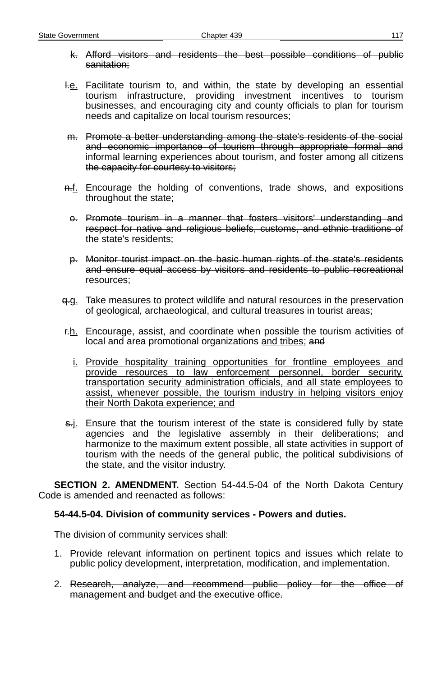- k. Afford visitors and residents the best possible conditions of public sanitation;
- H.e. Facilitate tourism to, and within, the state by developing an essential tourism infrastructure, providing investment incentives to tourism businesses, and encouraging city and county officials to plan for tourism needs and capitalize on local tourism resources;
- m. Promote a better understanding among the state's residents of the social and economic importance of tourism through appropriate formal and informal learning experiences about tourism, and foster among all citizens the capacity for courtesy to visitors;
- n.f. Encourage the holding of conventions, trade shows, and expositions throughout the state;
- o. Promote tourism in a manner that fosters visitors' understanding and respect for native and religious beliefs, customs, and ethnic traditions of the state's residents;
- p. Monitor tourist impact on the basic human rights of the state's residents and ensure equal access by visitors and residents to public recreational resources;
- $q_{\overline{12}}$ . Take measures to protect wildlife and natural resources in the preservation of geological, archaeological, and cultural treasures in tourist areas;
- $F_{\text{th}}$ . Encourage, assist, and coordinate when possible the tourism activities of local and area promotional organizations and tribes; and
	- i. Provide hospitality training opportunities for frontline employees and provide resources to law enforcement personnel, border security, transportation security administration officials, and all state employees to assist, whenever possible, the tourism industry in helping visitors enjoy their North Dakota experience; and
- $\frac{1}{2}$ . Ensure that the tourism interest of the state is considered fully by state agencies and the legislative assembly in their deliberations; and harmonize to the maximum extent possible, all state activities in support of tourism with the needs of the general public, the political subdivisions of the state, and the visitor industry.

**SECTION 2. AMENDMENT.** Section 54-44.5-04 of the North Dakota Century Code is amended and reenacted as follows:

## **54-44.5-04. Division of community services - Powers and duties.**

The division of community services shall:

- 1. Provide relevant information on pertinent topics and issues which relate to public policy development, interpretation, modification, and implementation.
- 2. Research, analyze, and recommend public policy for the office of management and budget and the executive office.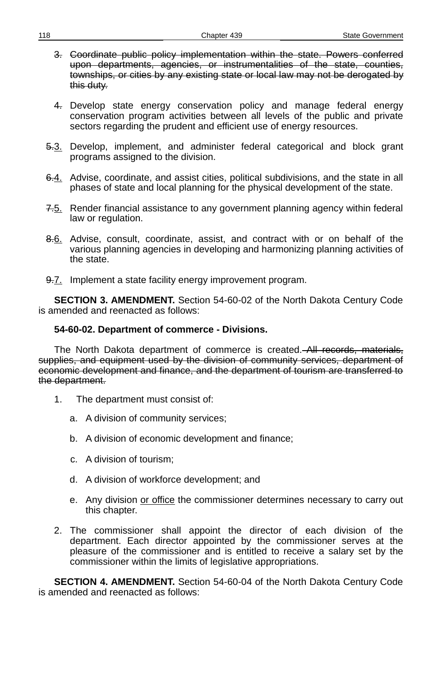- 3. Coordinate public policy implementation within the state. Powers conferred upon departments, agencies, or instrumentalities of the state, counties, townships, or cities by any existing state or local law may not be derogated by this duty.
- 4. Develop state energy conservation policy and manage federal energy conservation program activities between all levels of the public and private sectors regarding the prudent and efficient use of energy resources.
- 5.3. Develop, implement, and administer federal categorical and block grant programs assigned to the division.
- 6.4. Advise, coordinate, and assist cities, political subdivisions, and the state in all phases of state and local planning for the physical development of the state.
- 7.5. Render financial assistance to any government planning agency within federal law or regulation.
- 8.6. Advise, consult, coordinate, assist, and contract with or on behalf of the various planning agencies in developing and harmonizing planning activities of the state.
- 9.7. Implement a state facility energy improvement program.

**SECTION 3. AMENDMENT.** Section 54-60-02 of the North Dakota Century Code is amended and reenacted as follows:

#### **54-60-02. Department of commerce - Divisions.**

The North Dakota department of commerce is created. All records, materials, supplies, and equipment used by the division of community services, department of economic development and finance, and the department of tourism are transferred to the department.

- 1. The department must consist of:
	- a. A division of community services;
	- b. A division of economic development and finance;
	- c. A division of tourism;
	- d. A division of workforce development; and
	- e. Any division or office the commissioner determines necessary to carry out this chapter.
- 2. The commissioner shall appoint the director of each division of the department. Each director appointed by the commissioner serves at the pleasure of the commissioner and is entitled to receive a salary set by the commissioner within the limits of legislative appropriations.

**SECTION 4. AMENDMENT.** Section 54-60-04 of the North Dakota Century Code is amended and reenacted as follows: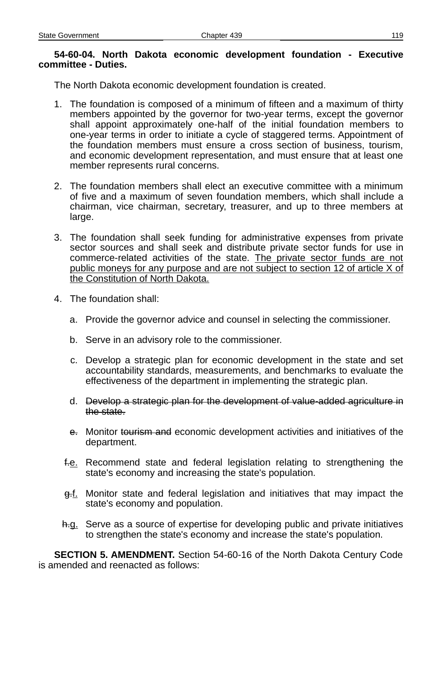### **54-60-04. North Dakota economic development foundation - Executive committee - Duties.**

The North Dakota economic development foundation is created.

- 1. The foundation is composed of a minimum of fifteen and a maximum of thirty members appointed by the governor for two-year terms, except the governor shall appoint approximately one-half of the initial foundation members to one-year terms in order to initiate a cycle of staggered terms. Appointment of the foundation members must ensure a cross section of business, tourism, and economic development representation, and must ensure that at least one member represents rural concerns.
- 2. The foundation members shall elect an executive committee with a minimum of five and a maximum of seven foundation members, which shall include a chairman, vice chairman, secretary, treasurer, and up to three members at large.
- 3. The foundation shall seek funding for administrative expenses from private sector sources and shall seek and distribute private sector funds for use in commerce-related activities of the state. The private sector funds are not public moneys for any purpose and are not subject to section 12 of article X of the Constitution of North Dakota.
- 4. The foundation shall:
	- a. Provide the governor advice and counsel in selecting the commissioner.
	- b. Serve in an advisory role to the commissioner.
	- c. Develop a strategic plan for economic development in the state and set accountability standards, measurements, and benchmarks to evaluate the effectiveness of the department in implementing the strategic plan.
	- d. Develop a strategic plan for the development of value-added agriculture in the state.
	- e. Monitor tourism and economic development activities and initiatives of the department.
	- f.e. Recommend state and federal legislation relating to strengthening the state's economy and increasing the state's population.
	- $g.f.$  Monitor state and federal legislation and initiatives that may impact the state's economy and population.
	- h.g. Serve as a source of expertise for developing public and private initiatives to strengthen the state's economy and increase the state's population.

**SECTION 5. AMENDMENT.** Section 54-60-16 of the North Dakota Century Code is amended and reenacted as follows: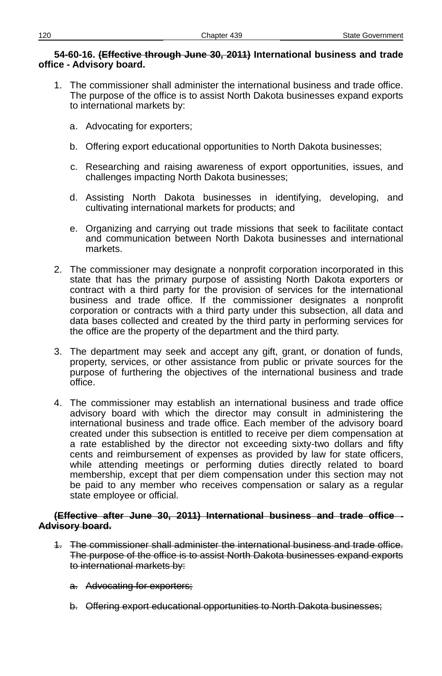#### **54-60-16. (Effective through June 30, 2011) International business and trade office - Advisory board.**

- 1. The commissioner shall administer the international business and trade office. The purpose of the office is to assist North Dakota businesses expand exports to international markets by:
	- a. Advocating for exporters;
	- b. Offering export educational opportunities to North Dakota businesses;
	- c. Researching and raising awareness of export opportunities, issues, and challenges impacting North Dakota businesses;
	- d. Assisting North Dakota businesses in identifying, developing, and cultivating international markets for products; and
	- e. Organizing and carrying out trade missions that seek to facilitate contact and communication between North Dakota businesses and international markets.
- 2. The commissioner may designate a nonprofit corporation incorporated in this state that has the primary purpose of assisting North Dakota exporters or contract with a third party for the provision of services for the international business and trade office. If the commissioner designates a nonprofit corporation or contracts with a third party under this subsection, all data and data bases collected and created by the third party in performing services for the office are the property of the department and the third party.
- 3. The department may seek and accept any gift, grant, or donation of funds, property, services, or other assistance from public or private sources for the purpose of furthering the objectives of the international business and trade office.
- 4. The commissioner may establish an international business and trade office advisory board with which the director may consult in administering the international business and trade office. Each member of the advisory board created under this subsection is entitled to receive per diem compensation at a rate established by the director not exceeding sixty-two dollars and fifty cents and reimbursement of expenses as provided by law for state officers, while attending meetings or performing duties directly related to board membership, except that per diem compensation under this section may not be paid to any member who receives compensation or salary as a regular state employee or official.

### **(Effective after June 30, 2011) International business and trade office - Advisory board.**

- 1. The commissioner shall administer the international business and trade office. The purpose of the office is to assist North Dakota businesses expand exports to international markets by:
	- a. Advocating for exporters;
	- b. Offering export educational opportunities to North Dakota businesses;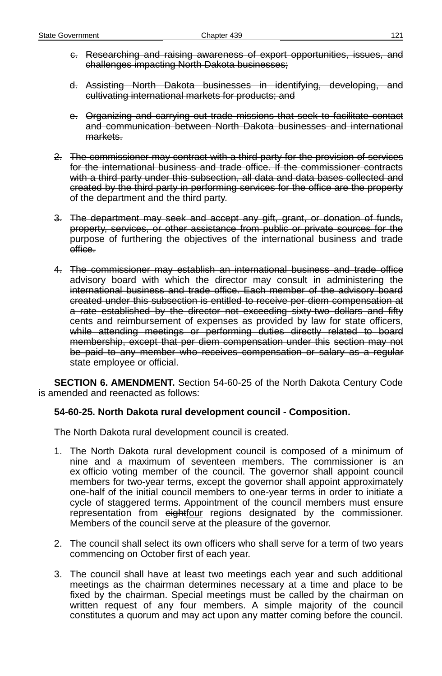- c. Researching and raising awareness of export opportunities, issues, and challenges impacting North Dakota businesses;
- d. Assisting North Dakota businesses in identifying, developing, and cultivating international markets for products; and
- e. Organizing and carrying out trade missions that seek to facilitate contact and communication between North Dakota businesses and international markets.
- 2. The commissioner may contract with a third party for the provision of services for the international business and trade office. If the commissioner contracts with a third party under this subsection, all data and data bases collected and created by the third party in performing services for the office are the property of the department and the third party.
- 3. The department may seek and accept any gift, grant, or donation of funds, property, services, or other assistance from public or private sources for the purpose of furthering the objectives of the international business and trade office.
- 4. The commissioner may establish an international business and trade office advisory board with which the director may consult in administering the international business and trade office. Each member of the advisory board created under this subsection is entitled to receive per diem compensation at a rate established by the director not exceeding sixty-two dollars and fifty cents and reimbursement of expenses as provided by law for state officers, while attending meetings or performing duties directly related to board membership, except that per diem compensation under this section may not be paid to any member who receives compensation or salary as a regular state employee or official.

**SECTION 6. AMENDMENT.** Section 54-60-25 of the North Dakota Century Code is amended and reenacted as follows:

## **54-60-25. North Dakota rural development council - Composition.**

The North Dakota rural development council is created.

- 1. The North Dakota rural development council is composed of a minimum of nine and a maximum of seventeen members. The commissioner is an ex officio voting member of the council. The governor shall appoint council members for two-year terms, except the governor shall appoint approximately one-half of the initial council members to one-year terms in order to initiate a cycle of staggered terms. Appointment of the council members must ensure representation from eightfour regions designated by the commissioner. Members of the council serve at the pleasure of the governor.
- 2. The council shall select its own officers who shall serve for a term of two years commencing on October first of each year.
- 3. The council shall have at least two meetings each year and such additional meetings as the chairman determines necessary at a time and place to be fixed by the chairman. Special meetings must be called by the chairman on written request of any four members. A simple majority of the council constitutes a quorum and may act upon any matter coming before the council.